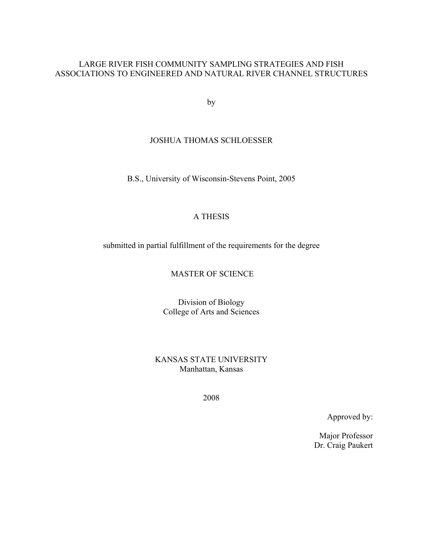## LARGE RIVER FISH COMMUNITY SAMPLING STRATEGIES AND FISH ASSOCIATIONS TO ENGINEERED AND NATURAL RIVER CHANNEL STRUCTURES

by

### JOSHUA THOMAS SCHLOESSER

B.S., University of Wisconsin-Stevens Point, 2005

### A THESIS

submitted in partial fulfillment of the requirements for the degree

MASTER OF SCIENCE

Division of Biology College of Arts and Sciences

KANSAS STATE UNIVERSITY Manhattan, Kansas

2008

Approved by:

Major Professor Dr. Craig Paukert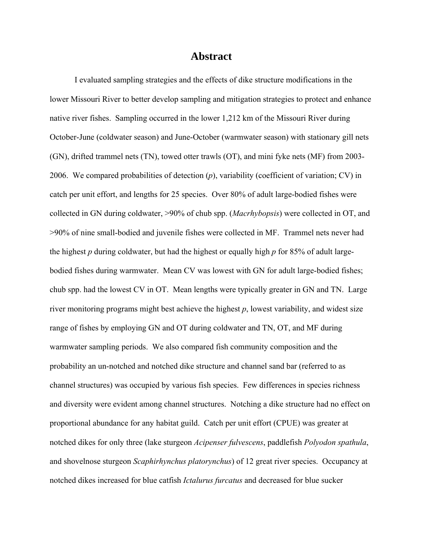# **Abstract**

 I evaluated sampling strategies and the effects of dike structure modifications in the lower Missouri River to better develop sampling and mitigation strategies to protect and enhance native river fishes. Sampling occurred in the lower 1,212 km of the Missouri River during October-June (coldwater season) and June-October (warmwater season) with stationary gill nets (GN), drifted trammel nets (TN), towed otter trawls (OT), and mini fyke nets (MF) from 2003- 2006. We compared probabilities of detection (*p*), variability (coefficient of variation; CV) in catch per unit effort, and lengths for 25 species. Over 80% of adult large-bodied fishes were collected in GN during coldwater, >90% of chub spp. (*Macrhybopsis*) were collected in OT, and >90% of nine small-bodied and juvenile fishes were collected in MF. Trammel nets never had the highest *p* during coldwater, but had the highest or equally high *p* for 85% of adult largebodied fishes during warmwater. Mean CV was lowest with GN for adult large-bodied fishes; chub spp. had the lowest CV in OT. Mean lengths were typically greater in GN and TN. Large river monitoring programs might best achieve the highest *p*, lowest variability, and widest size range of fishes by employing GN and OT during coldwater and TN, OT, and MF during warmwater sampling periods. We also compared fish community composition and the probability an un-notched and notched dike structure and channel sand bar (referred to as channel structures) was occupied by various fish species. Few differences in species richness and diversity were evident among channel structures. Notching a dike structure had no effect on proportional abundance for any habitat guild. Catch per unit effort (CPUE) was greater at notched dikes for only three (lake sturgeon *Acipenser fulvescens*, paddlefish *Polyodon spathula*, and shovelnose sturgeon *Scaphirhynchus platorynchus*) of 12 great river species. Occupancy at notched dikes increased for blue catfish *Ictalurus furcatus* and decreased for blue sucker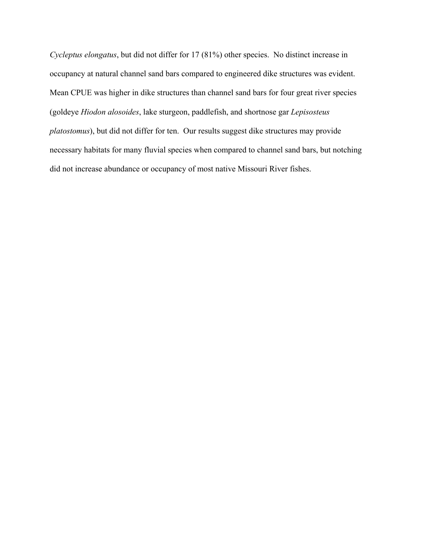*Cycleptus elongatus*, but did not differ for 17 (81%) other species. No distinct increase in occupancy at natural channel sand bars compared to engineered dike structures was evident. Mean CPUE was higher in dike structures than channel sand bars for four great river species (goldeye *Hiodon alosoides*, lake sturgeon, paddlefish, and shortnose gar *Lepisosteus platostomus*), but did not differ for ten. Our results suggest dike structures may provide necessary habitats for many fluvial species when compared to channel sand bars, but notching did not increase abundance or occupancy of most native Missouri River fishes.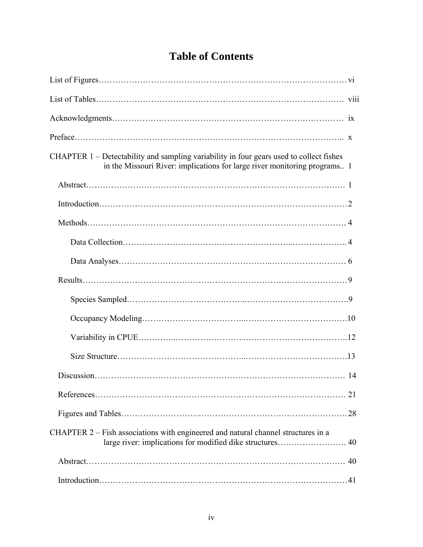| CHAPTER 1 – Detectability and sampling variability in four gears used to collect fishes<br>in the Missouri River: implications for large river monitoring programs 1 |
|----------------------------------------------------------------------------------------------------------------------------------------------------------------------|
|                                                                                                                                                                      |
|                                                                                                                                                                      |
|                                                                                                                                                                      |
|                                                                                                                                                                      |
|                                                                                                                                                                      |
|                                                                                                                                                                      |
|                                                                                                                                                                      |
|                                                                                                                                                                      |
|                                                                                                                                                                      |
|                                                                                                                                                                      |
|                                                                                                                                                                      |
|                                                                                                                                                                      |
|                                                                                                                                                                      |
| CHAPTER 2 – Fish associations with engineered and natural channel structures in a<br>large river: implications for modified dike structures 40                       |
|                                                                                                                                                                      |
|                                                                                                                                                                      |

# **Table of Contents**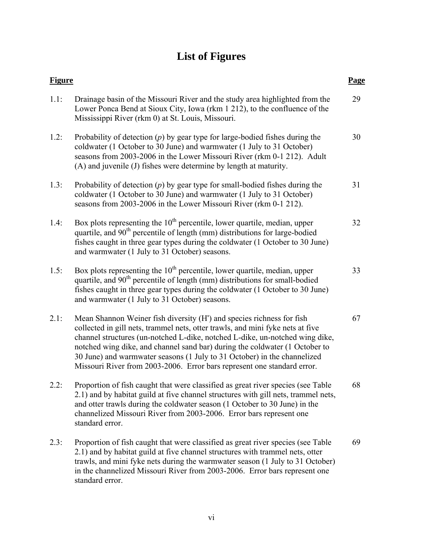# **List of Figures**

| <b>Figure</b> |                                                                                                                                                                                                                                                                                                                                                                                                                                                                               | Page |
|---------------|-------------------------------------------------------------------------------------------------------------------------------------------------------------------------------------------------------------------------------------------------------------------------------------------------------------------------------------------------------------------------------------------------------------------------------------------------------------------------------|------|
| 1.1:          | Drainage basin of the Missouri River and the study area highlighted from the<br>Lower Ponca Bend at Sioux City, Iowa (rkm 1 212), to the confluence of the<br>Mississippi River (rkm 0) at St. Louis, Missouri.                                                                                                                                                                                                                                                               | 29   |
| 1.2:          | Probability of detection $(p)$ by gear type for large-bodied fishes during the<br>coldwater (1 October to 30 June) and warmwater (1 July to 31 October)<br>seasons from 2003-2006 in the Lower Missouri River (rkm 0-1 212). Adult<br>(A) and juvenile (J) fishes were determine by length at maturity.                                                                                                                                                                       | 30   |
| 1.3:          | Probability of detection $(p)$ by gear type for small-bodied fishes during the<br>coldwater (1 October to 30 June) and warmwater (1 July to 31 October)<br>seasons from 2003-2006 in the Lower Missouri River (rkm 0-1 212).                                                                                                                                                                                                                                                  | 31   |
| 1.4:          | Box plots representing the $10th$ percentile, lower quartile, median, upper<br>quartile, and 90 <sup>th</sup> percentile of length (mm) distributions for large-bodied<br>fishes caught in three gear types during the coldwater (1 October to 30 June)<br>and warmwater (1 July to 31 October) seasons.                                                                                                                                                                      | 32   |
| 1.5:          | Box plots representing the $10th$ percentile, lower quartile, median, upper<br>quartile, and 90 <sup>th</sup> percentile of length (mm) distributions for small-bodied<br>fishes caught in three gear types during the coldwater (1 October to 30 June)<br>and warmwater (1 July to 31 October) seasons.                                                                                                                                                                      | 33   |
| 2.1:          | Mean Shannon Weiner fish diversity (H') and species richness for fish<br>collected in gill nets, trammel nets, otter trawls, and mini fyke nets at five<br>channel structures (un-notched L-dike, notched L-dike, un-notched wing dike,<br>notched wing dike, and channel sand bar) during the coldwater (1 October to<br>30 June) and warmwater seasons (1 July to 31 October) in the channelized<br>Missouri River from 2003-2006. Error bars represent one standard error. | 67   |
| 2.2:          | Proportion of fish caught that were classified as great river species (see Table<br>2.1) and by habitat guild at five channel structures with gill nets, trammel nets,<br>and otter trawls during the coldwater season (1 October to 30 June) in the<br>channelized Missouri River from 2003-2006. Error bars represent one<br>standard error.                                                                                                                                | 68   |
| 2.3:          | Proportion of fish caught that were classified as great river species (see Table<br>2.1) and by habitat guild at five channel structures with trammel nets, otter<br>trawls, and mini fyke nets during the warmwater season (1 July to 31 October)<br>in the channelized Missouri River from 2003-2006. Error bars represent one<br>standard error.                                                                                                                           | 69   |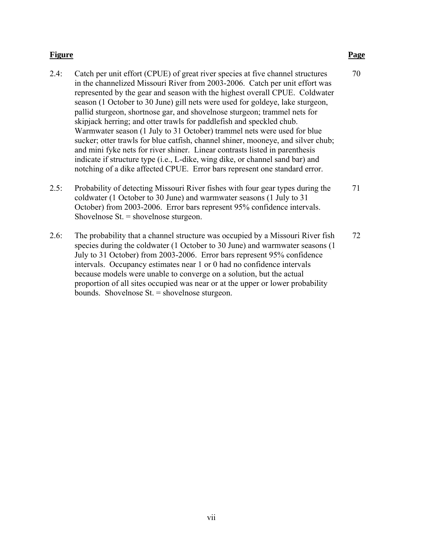### **Figure Page**

| 2.4: | Catch per unit effort (CPUE) of great river species at five channel structures   | 70 |
|------|----------------------------------------------------------------------------------|----|
|      | in the channelized Missouri River from 2003-2006. Catch per unit effort was      |    |
|      | represented by the gear and season with the highest overall CPUE. Coldwater      |    |
|      | season (1 October to 30 June) gill nets were used for goldeye, lake sturgeon,    |    |
|      | pallid sturgeon, shortnose gar, and shovelnose sturgeon; trammel nets for        |    |
|      | skipjack herring; and otter trawls for paddlefish and speckled chub.             |    |
|      | Warmwater season (1 July to 31 October) trammel nets were used for blue          |    |
|      | sucker; otter trawls for blue catfish, channel shiner, mooneye, and silver chub; |    |
|      | and mini fyke nets for river shiner. Linear contrasts listed in parenthesis      |    |
|      | indicate if structure type (i.e., L-dike, wing dike, or channel sand bar) and    |    |
|      | notching of a dike affected CPUE. Error bars represent one standard error.       |    |
| 2.5: | Probability of detecting Missouri River fishes with four gear types during the   | 71 |
|      | coldwater (1 October to 30 June) and warmwater seasons (1 July to 31             |    |

Shovelnose St. = shovelnose sturgeon. 2.6: The probability that a channel structure was occupied by a Missouri River fish 72 species during the coldwater (1 October to 30 June) and warmwater seasons (1 July to 31 October) from 2003-2006. Error bars represent 95% confidence intervals. Occupancy estimates near 1 or 0 had no confidence intervals

October) from 2003-2006. Error bars represent 95% confidence intervals.

because models were unable to converge on a solution, but the actual proportion of all sites occupied was near or at the upper or lower probability bounds. Shovelnose St. = shovelnose sturgeon.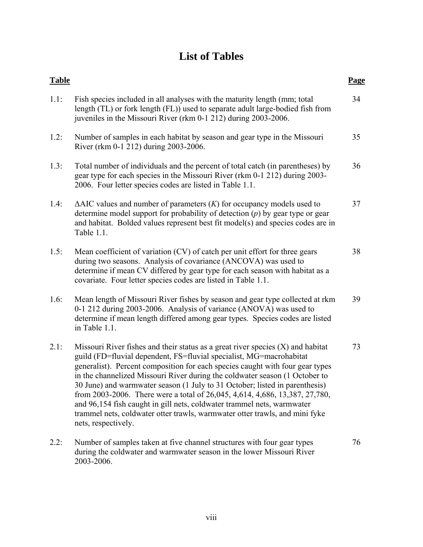# **List of Tables**

| <b>Table</b> |                                                                                                                                                                                                                                                                                                                                                                                                                                                                                                                                                                                                                                                                        | <u>Page</u> |
|--------------|------------------------------------------------------------------------------------------------------------------------------------------------------------------------------------------------------------------------------------------------------------------------------------------------------------------------------------------------------------------------------------------------------------------------------------------------------------------------------------------------------------------------------------------------------------------------------------------------------------------------------------------------------------------------|-------------|
| 1.1:         | Fish species included in all analyses with the maturity length (mm; total<br>length (TL) or fork length (FL)) used to separate adult large-bodied fish from<br>juveniles in the Missouri River (rkm 0-1 212) during 2003-2006.                                                                                                                                                                                                                                                                                                                                                                                                                                         | 34          |
| 1.2:         | Number of samples in each habitat by season and gear type in the Missouri<br>River (rkm 0-1 212) during 2003-2006.                                                                                                                                                                                                                                                                                                                                                                                                                                                                                                                                                     | 35          |
| 1.3:         | Total number of individuals and the percent of total catch (in parentheses) by<br>gear type for each species in the Missouri River (rkm 0-1 212) during 2003-<br>2006. Four letter species codes are listed in Table 1.1.                                                                                                                                                                                                                                                                                                                                                                                                                                              | 36          |
| 1.4:         | $\Delta AIC$ values and number of parameters $(K)$ for occupancy models used to<br>determine model support for probability of detection $(p)$ by gear type or gear<br>and habitat. Bolded values represent best fit model(s) and species codes are in<br>Table 1.1.                                                                                                                                                                                                                                                                                                                                                                                                    | 37          |
| 1.5:         | Mean coefficient of variation (CV) of catch per unit effort for three gears<br>during two seasons. Analysis of covariance (ANCOVA) was used to<br>determine if mean CV differed by gear type for each season with habitat as a<br>covariate. Four letter species codes are listed in Table 1.1.                                                                                                                                                                                                                                                                                                                                                                        | 38          |
| 1.6:         | Mean length of Missouri River fishes by season and gear type collected at rkm<br>0-1 212 during 2003-2006. Analysis of variance (ANOVA) was used to<br>determine if mean length differed among gear types. Species codes are listed<br>in Table 1.1.                                                                                                                                                                                                                                                                                                                                                                                                                   | 39          |
| 2.1:         | Missouri River fishes and their status as a great river species $(X)$ and habitat<br>guild (FD=fluvial dependent, FS=fluvial specialist, MG=macrohabitat<br>generalist). Percent composition for each species caught with four gear types<br>in the channelized Missouri River during the coldwater season (1 October to<br>30 June) and warmwater season (1 July to 31 October; listed in parenthesis)<br>from 2003-2006. There were a total of 26,045, 4,614, 4,686, 13,387, 27,780,<br>and 96,154 fish caught in gill nets, coldwater trammel nets, warmwater<br>trammel nets, coldwater otter trawls, warmwater otter trawls, and mini fyke<br>nets, respectively. | 73          |
| 2.2:         | Number of samples taken at five channel structures with four gear types<br>during the coldwater and warmwater season in the lower Missouri River<br>2003-2006.                                                                                                                                                                                                                                                                                                                                                                                                                                                                                                         | 76          |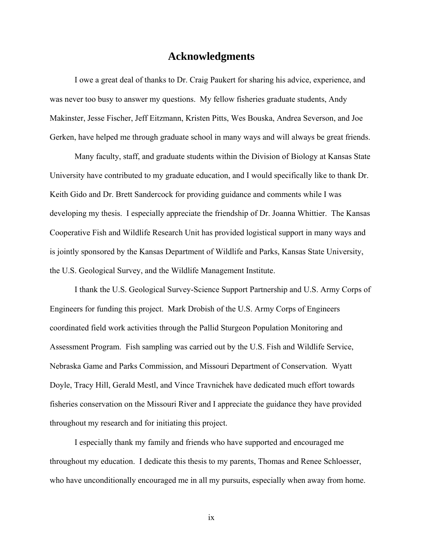# **Acknowledgments**

I owe a great deal of thanks to Dr. Craig Paukert for sharing his advice, experience, and was never too busy to answer my questions. My fellow fisheries graduate students, Andy Makinster, Jesse Fischer, Jeff Eitzmann, Kristen Pitts, Wes Bouska, Andrea Severson, and Joe Gerken, have helped me through graduate school in many ways and will always be great friends.

Many faculty, staff, and graduate students within the Division of Biology at Kansas State University have contributed to my graduate education, and I would specifically like to thank Dr. Keith Gido and Dr. Brett Sandercock for providing guidance and comments while I was developing my thesis. I especially appreciate the friendship of Dr. Joanna Whittier. The Kansas Cooperative Fish and Wildlife Research Unit has provided logistical support in many ways and is jointly sponsored by the Kansas Department of Wildlife and Parks, Kansas State University, the U.S. Geological Survey, and the Wildlife Management Institute.

I thank the U.S. Geological Survey-Science Support Partnership and U.S. Army Corps of Engineers for funding this project. Mark Drobish of the U.S. Army Corps of Engineers coordinated field work activities through the Pallid Sturgeon Population Monitoring and Assessment Program. Fish sampling was carried out by the U.S. Fish and Wildlife Service, Nebraska Game and Parks Commission, and Missouri Department of Conservation. Wyatt Doyle, Tracy Hill, Gerald Mestl, and Vince Travnichek have dedicated much effort towards fisheries conservation on the Missouri River and I appreciate the guidance they have provided throughout my research and for initiating this project.

I especially thank my family and friends who have supported and encouraged me throughout my education. I dedicate this thesis to my parents, Thomas and Renee Schloesser, who have unconditionally encouraged me in all my pursuits, especially when away from home.

ix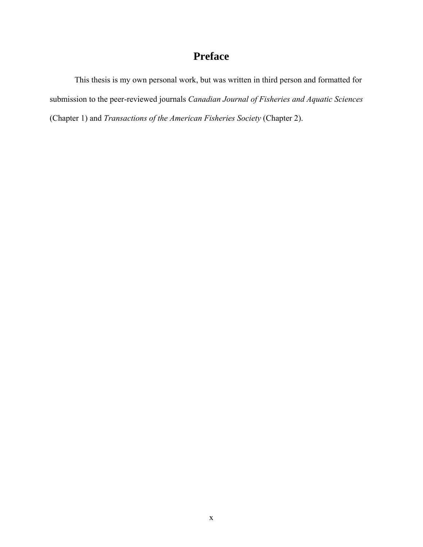# **Preface**

This thesis is my own personal work, but was written in third person and formatted for submission to the peer-reviewed journals *Canadian Journal of Fisheries and Aquatic Sciences* (Chapter 1) and *Transactions of the American Fisheries Society* (Chapter 2).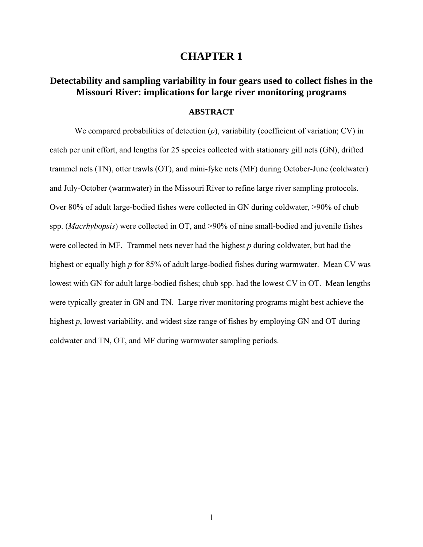# **CHAPTER 1**

# **Detectability and sampling variability in four gears used to collect fishes in the Missouri River: implications for large river monitoring programs**

### **ABSTRACT**

 We compared probabilities of detection (*p*), variability (coefficient of variation; CV) in catch per unit effort, and lengths for 25 species collected with stationary gill nets (GN), drifted trammel nets (TN), otter trawls (OT), and mini-fyke nets (MF) during October-June (coldwater) and July-October (warmwater) in the Missouri River to refine large river sampling protocols. Over 80% of adult large-bodied fishes were collected in GN during coldwater, >90% of chub spp. (*Macrhybopsis*) were collected in OT, and >90% of nine small-bodied and juvenile fishes were collected in MF. Trammel nets never had the highest *p* during coldwater, but had the highest or equally high *p* for 85% of adult large-bodied fishes during warmwater. Mean CV was lowest with GN for adult large-bodied fishes; chub spp. had the lowest CV in OT. Mean lengths were typically greater in GN and TN. Large river monitoring programs might best achieve the highest *p*, lowest variability, and widest size range of fishes by employing GN and OT during coldwater and TN, OT, and MF during warmwater sampling periods.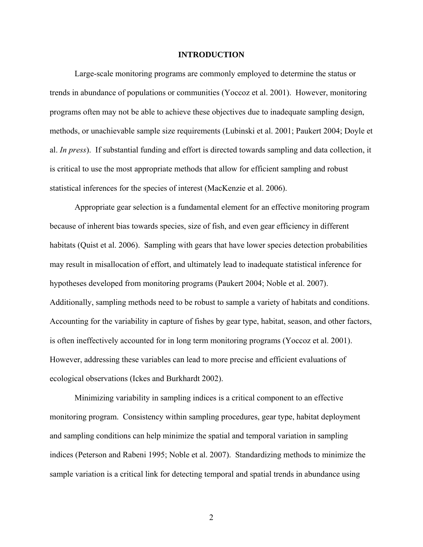### **INTRODUCTION**

 Large-scale monitoring programs are commonly employed to determine the status or trends in abundance of populations or communities (Yoccoz et al. 2001). However, monitoring programs often may not be able to achieve these objectives due to inadequate sampling design, methods, or unachievable sample size requirements (Lubinski et al. 2001; Paukert 2004; Doyle et al. *In press*). If substantial funding and effort is directed towards sampling and data collection, it is critical to use the most appropriate methods that allow for efficient sampling and robust statistical inferences for the species of interest (MacKenzie et al. 2006).

 Appropriate gear selection is a fundamental element for an effective monitoring program because of inherent bias towards species, size of fish, and even gear efficiency in different habitats (Quist et al. 2006). Sampling with gears that have lower species detection probabilities may result in misallocation of effort, and ultimately lead to inadequate statistical inference for hypotheses developed from monitoring programs (Paukert 2004; Noble et al. 2007). Additionally, sampling methods need to be robust to sample a variety of habitats and conditions. Accounting for the variability in capture of fishes by gear type, habitat, season, and other factors, is often ineffectively accounted for in long term monitoring programs (Yoccoz et al. 2001). However, addressing these variables can lead to more precise and efficient evaluations of ecological observations (Ickes and Burkhardt 2002).

 Minimizing variability in sampling indices is a critical component to an effective monitoring program. Consistency within sampling procedures, gear type, habitat deployment and sampling conditions can help minimize the spatial and temporal variation in sampling indices (Peterson and Rabeni 1995; Noble et al. 2007). Standardizing methods to minimize the sample variation is a critical link for detecting temporal and spatial trends in abundance using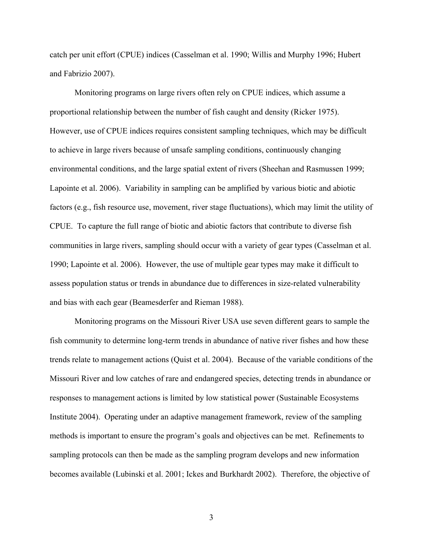catch per unit effort (CPUE) indices (Casselman et al. 1990; Willis and Murphy 1996; Hubert and Fabrizio 2007).

 Monitoring programs on large rivers often rely on CPUE indices, which assume a proportional relationship between the number of fish caught and density (Ricker 1975). However, use of CPUE indices requires consistent sampling techniques, which may be difficult to achieve in large rivers because of unsafe sampling conditions, continuously changing environmental conditions, and the large spatial extent of rivers (Sheehan and Rasmussen 1999; Lapointe et al. 2006). Variability in sampling can be amplified by various biotic and abiotic factors (e.g., fish resource use, movement, river stage fluctuations), which may limit the utility of CPUE. To capture the full range of biotic and abiotic factors that contribute to diverse fish communities in large rivers, sampling should occur with a variety of gear types (Casselman et al. 1990; Lapointe et al. 2006). However, the use of multiple gear types may make it difficult to assess population status or trends in abundance due to differences in size-related vulnerability and bias with each gear (Beamesderfer and Rieman 1988).

 Monitoring programs on the Missouri River USA use seven different gears to sample the fish community to determine long-term trends in abundance of native river fishes and how these trends relate to management actions (Quist et al. 2004). Because of the variable conditions of the Missouri River and low catches of rare and endangered species, detecting trends in abundance or responses to management actions is limited by low statistical power (Sustainable Ecosystems Institute 2004). Operating under an adaptive management framework, review of the sampling methods is important to ensure the program's goals and objectives can be met. Refinements to sampling protocols can then be made as the sampling program develops and new information becomes available (Lubinski et al. 2001; Ickes and Burkhardt 2002). Therefore, the objective of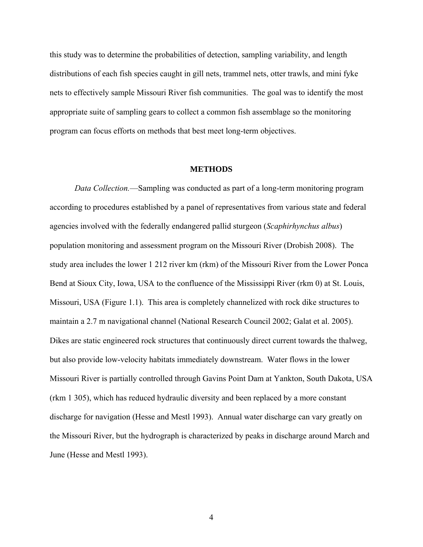this study was to determine the probabilities of detection, sampling variability, and length distributions of each fish species caught in gill nets, trammel nets, otter trawls, and mini fyke nets to effectively sample Missouri River fish communities. The goal was to identify the most appropriate suite of sampling gears to collect a common fish assemblage so the monitoring program can focus efforts on methods that best meet long-term objectives.

### **METHODS**

*Data Collection.*—Sampling was conducted as part of a long-term monitoring program according to procedures established by a panel of representatives from various state and federal agencies involved with the federally endangered pallid sturgeon (*Scaphirhynchus albus*) population monitoring and assessment program on the Missouri River (Drobish 2008). The study area includes the lower 1 212 river km (rkm) of the Missouri River from the Lower Ponca Bend at Sioux City, Iowa, USA to the confluence of the Mississippi River (rkm 0) at St. Louis, Missouri, USA (Figure 1.1). This area is completely channelized with rock dike structures to maintain a 2.7 m navigational channel (National Research Council 2002; Galat et al. 2005). Dikes are static engineered rock structures that continuously direct current towards the thalweg, but also provide low-velocity habitats immediately downstream. Water flows in the lower Missouri River is partially controlled through Gavins Point Dam at Yankton, South Dakota, USA (rkm 1 305), which has reduced hydraulic diversity and been replaced by a more constant discharge for navigation (Hesse and Mestl 1993). Annual water discharge can vary greatly on the Missouri River, but the hydrograph is characterized by peaks in discharge around March and June (Hesse and Mestl 1993).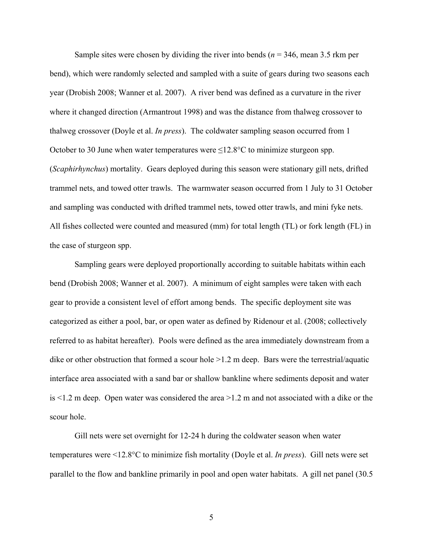Sample sites were chosen by dividing the river into bends (*n* = 346, mean 3.5 rkm per bend), which were randomly selected and sampled with a suite of gears during two seasons each year (Drobish 2008; Wanner et al. 2007). A river bend was defined as a curvature in the river where it changed direction (Armantrout 1998) and was the distance from thalweg crossover to thalweg crossover (Doyle et al. *In press*). The coldwater sampling season occurred from 1 October to 30 June when water temperatures were  $\leq$ 12.8°C to minimize sturgeon spp. (*Scaphirhynchus*) mortality. Gears deployed during this season were stationary gill nets, drifted trammel nets, and towed otter trawls. The warmwater season occurred from 1 July to 31 October and sampling was conducted with drifted trammel nets, towed otter trawls, and mini fyke nets. All fishes collected were counted and measured (mm) for total length (TL) or fork length (FL) in the case of sturgeon spp.

Sampling gears were deployed proportionally according to suitable habitats within each bend (Drobish 2008; Wanner et al. 2007). A minimum of eight samples were taken with each gear to provide a consistent level of effort among bends. The specific deployment site was categorized as either a pool, bar, or open water as defined by Ridenour et al. (2008; collectively referred to as habitat hereafter). Pools were defined as the area immediately downstream from a dike or other obstruction that formed a scour hole  $>1.2$  m deep. Bars were the terrestrial/aquatic interface area associated with a sand bar or shallow bankline where sediments deposit and water is <1.2 m deep. Open water was considered the area >1.2 m and not associated with a dike or the scour hole.

Gill nets were set overnight for 12-24 h during the coldwater season when water temperatures were <12.8°C to minimize fish mortality (Doyle et al. *In press*). Gill nets were set parallel to the flow and bankline primarily in pool and open water habitats. A gill net panel (30.5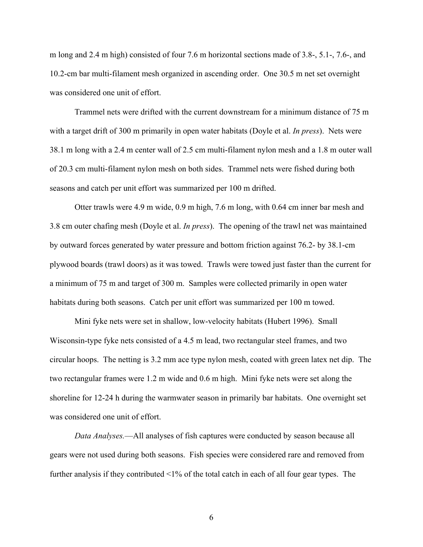m long and 2.4 m high) consisted of four 7.6 m horizontal sections made of 3.8-, 5.1-, 7.6-, and 10.2-cm bar multi-filament mesh organized in ascending order. One 30.5 m net set overnight was considered one unit of effort.

Trammel nets were drifted with the current downstream for a minimum distance of 75 m with a target drift of 300 m primarily in open water habitats (Doyle et al. *In press*). Nets were 38.1 m long with a 2.4 m center wall of 2.5 cm multi-filament nylon mesh and a 1.8 m outer wall of 20.3 cm multi-filament nylon mesh on both sides. Trammel nets were fished during both seasons and catch per unit effort was summarized per 100 m drifted.

Otter trawls were 4.9 m wide, 0.9 m high, 7.6 m long, with 0.64 cm inner bar mesh and 3.8 cm outer chafing mesh (Doyle et al. *In press*). The opening of the trawl net was maintained by outward forces generated by water pressure and bottom friction against 76.2- by 38.1-cm plywood boards (trawl doors) as it was towed. Trawls were towed just faster than the current for a minimum of 75 m and target of 300 m. Samples were collected primarily in open water habitats during both seasons. Catch per unit effort was summarized per 100 m towed.

Mini fyke nets were set in shallow, low-velocity habitats (Hubert 1996). Small Wisconsin-type fyke nets consisted of a 4.5 m lead, two rectangular steel frames, and two circular hoops. The netting is 3.2 mm ace type nylon mesh, coated with green latex net dip. The two rectangular frames were 1.2 m wide and 0.6 m high. Mini fyke nets were set along the shoreline for 12-24 h during the warmwater season in primarily bar habitats. One overnight set was considered one unit of effort.

 *Data Analyses.*—All analyses of fish captures were conducted by season because all gears were not used during both seasons. Fish species were considered rare and removed from further analysis if they contributed <1% of the total catch in each of all four gear types. The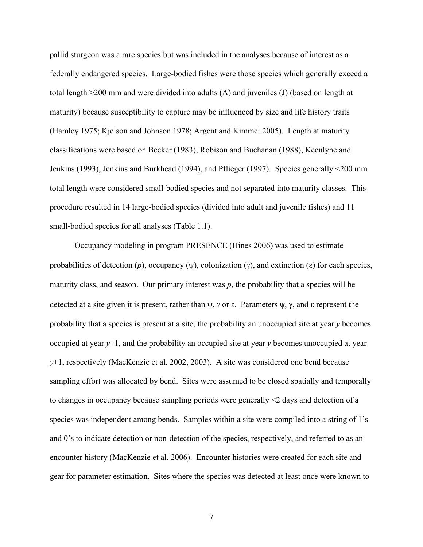pallid sturgeon was a rare species but was included in the analyses because of interest as a federally endangered species. Large-bodied fishes were those species which generally exceed a total length >200 mm and were divided into adults (A) and juveniles (J) (based on length at maturity) because susceptibility to capture may be influenced by size and life history traits (Hamley 1975; Kjelson and Johnson 1978; Argent and Kimmel 2005). Length at maturity classifications were based on Becker (1983), Robison and Buchanan (1988), Keenlyne and Jenkins (1993), Jenkins and Burkhead (1994), and Pflieger (1997). Species generally <200 mm total length were considered small-bodied species and not separated into maturity classes. This procedure resulted in 14 large-bodied species (divided into adult and juvenile fishes) and 11 small-bodied species for all analyses (Table 1.1).

Occupancy modeling in program PRESENCE (Hines 2006) was used to estimate probabilities of detection  $(p)$ , occupancy  $(\psi)$ , colonization  $(\gamma)$ , and extinction  $(\varepsilon)$  for each species, maturity class, and season. Our primary interest was  $p$ , the probability that a species will be detected at a site given it is present, rather than  $\psi$ ,  $\gamma$  or  $\varepsilon$ . Parameters  $\psi$ ,  $\gamma$ , and  $\varepsilon$  represent the probability that a species is present at a site, the probability an unoccupied site at year *y* becomes occupied at year *y*+1, and the probability an occupied site at year *y* becomes unoccupied at year *y*+1, respectively (MacKenzie et al. 2002, 2003). A site was considered one bend because sampling effort was allocated by bend. Sites were assumed to be closed spatially and temporally to changes in occupancy because sampling periods were generally <2 days and detection of a species was independent among bends. Samples within a site were compiled into a string of 1's and 0's to indicate detection or non-detection of the species, respectively, and referred to as an encounter history (MacKenzie et al. 2006). Encounter histories were created for each site and gear for parameter estimation. Sites where the species was detected at least once were known to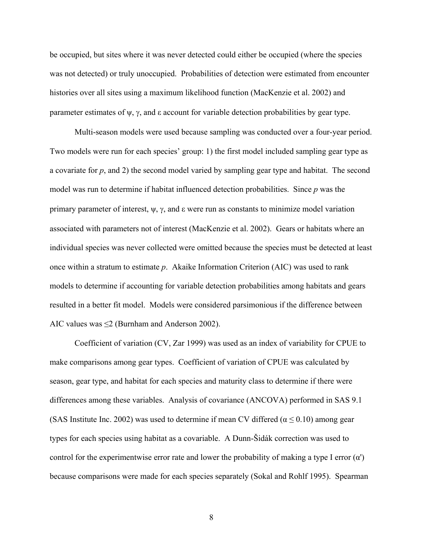be occupied, but sites where it was never detected could either be occupied (where the species was not detected) or truly unoccupied. Probabilities of detection were estimated from encounter histories over all sites using a maximum likelihood function (MacKenzie et al. 2002) and parameter estimates of  $\psi$ ,  $\gamma$ , and  $\varepsilon$  account for variable detection probabilities by gear type.

 Multi-season models were used because sampling was conducted over a four-year period. Two models were run for each species' group: 1) the first model included sampling gear type as a covariate for *p*, and 2) the second model varied by sampling gear type and habitat. The second model was run to determine if habitat influenced detection probabilities. Since *p* was the primary parameter of interest,  $\psi$ ,  $\gamma$ , and  $\epsilon$  were run as constants to minimize model variation associated with parameters not of interest (MacKenzie et al. 2002). Gears or habitats where an individual species was never collected were omitted because the species must be detected at least once within a stratum to estimate *p*. Akaike Information Criterion (AIC) was used to rank models to determine if accounting for variable detection probabilities among habitats and gears resulted in a better fit model. Models were considered parsimonious if the difference between AIC values was  $\leq$  (Burnham and Anderson 2002).

 Coefficient of variation (CV, Zar 1999) was used as an index of variability for CPUE to make comparisons among gear types. Coefficient of variation of CPUE was calculated by season, gear type, and habitat for each species and maturity class to determine if there were differences among these variables. Analysis of covariance (ANCOVA) performed in SAS 9.1 (SAS Institute Inc. 2002) was used to determine if mean CV differed ( $\alpha \le 0.10$ ) among gear types for each species using habitat as a covariable. A Dunn-Šidák correction was used to control for the experimentwise error rate and lower the probability of making a type I error  $(\alpha')$ because comparisons were made for each species separately (Sokal and Rohlf 1995). Spearman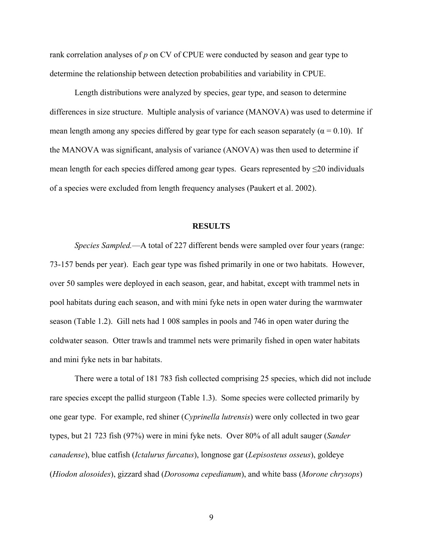rank correlation analyses of *p* on CV of CPUE were conducted by season and gear type to determine the relationship between detection probabilities and variability in CPUE.

 Length distributions were analyzed by species, gear type, and season to determine differences in size structure. Multiple analysis of variance (MANOVA) was used to determine if mean length among any species differed by gear type for each season separately ( $\alpha = 0.10$ ). If the MANOVA was significant, analysis of variance (ANOVA) was then used to determine if mean length for each species differed among gear types. Gears represented by  $\leq 20$  individuals of a species were excluded from length frequency analyses (Paukert et al. 2002).

#### **RESULTS**

*Species Sampled.*—A total of 227 different bends were sampled over four years (range: 73-157 bends per year). Each gear type was fished primarily in one or two habitats. However, over 50 samples were deployed in each season, gear, and habitat, except with trammel nets in pool habitats during each season, and with mini fyke nets in open water during the warmwater season (Table 1.2). Gill nets had 1 008 samples in pools and 746 in open water during the coldwater season. Otter trawls and trammel nets were primarily fished in open water habitats and mini fyke nets in bar habitats.

 There were a total of 181 783 fish collected comprising 25 species, which did not include rare species except the pallid sturgeon (Table 1.3). Some species were collected primarily by one gear type. For example, red shiner (*Cyprinella lutrensis*) were only collected in two gear types, but 21 723 fish (97%) were in mini fyke nets. Over 80% of all adult sauger (*Sander canadense*), blue catfish (*Ictalurus furcatus*), longnose gar (*Lepisosteus osseus*), goldeye (*Hiodon alosoides*), gizzard shad (*Dorosoma cepedianum*), and white bass (*Morone chrysops*)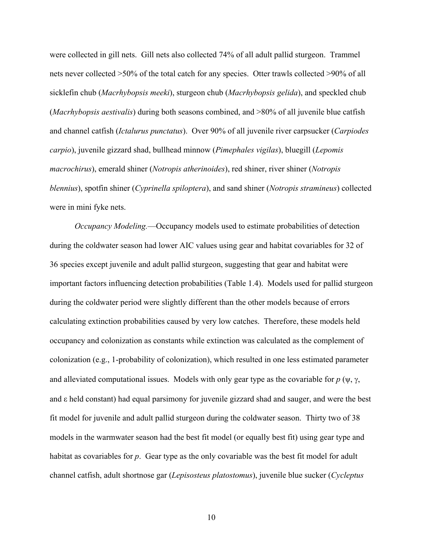were collected in gill nets. Gill nets also collected 74% of all adult pallid sturgeon. Trammel nets never collected >50% of the total catch for any species. Otter trawls collected >90% of all sicklefin chub (*Macrhybopsis meeki*), sturgeon chub (*Macrhybopsis gelida*), and speckled chub (*Macrhybopsis aestivalis*) during both seasons combined, and >80% of all juvenile blue catfish and channel catfish (*Ictalurus punctatus*). Over 90% of all juvenile river carpsucker (*Carpiodes carpio*), juvenile gizzard shad, bullhead minnow (*Pimephales vigilas*), bluegill (*Lepomis macrochirus*), emerald shiner (*Notropis atherinoides*), red shiner, river shiner (*Notropis blennius*), spotfin shiner (*Cyprinella spiloptera*), and sand shiner (*Notropis stramineus*) collected were in mini fyke nets.

*Occupancy Modeling.*—Occupancy models used to estimate probabilities of detection during the coldwater season had lower AIC values using gear and habitat covariables for 32 of 36 species except juvenile and adult pallid sturgeon, suggesting that gear and habitat were important factors influencing detection probabilities (Table 1.4). Models used for pallid sturgeon during the coldwater period were slightly different than the other models because of errors calculating extinction probabilities caused by very low catches. Therefore, these models held occupancy and colonization as constants while extinction was calculated as the complement of colonization (e.g., 1-probability of colonization), which resulted in one less estimated parameter and alleviated computational issues. Models with only gear type as the covariable for  $p$  ( $\psi$ ,  $\gamma$ , and ε held constant) had equal parsimony for juvenile gizzard shad and sauger, and were the best fit model for juvenile and adult pallid sturgeon during the coldwater season. Thirty two of 38 models in the warmwater season had the best fit model (or equally best fit) using gear type and habitat as covariables for *p*. Gear type as the only covariable was the best fit model for adult channel catfish, adult shortnose gar (*Lepisosteus platostomus*), juvenile blue sucker (*Cycleptus*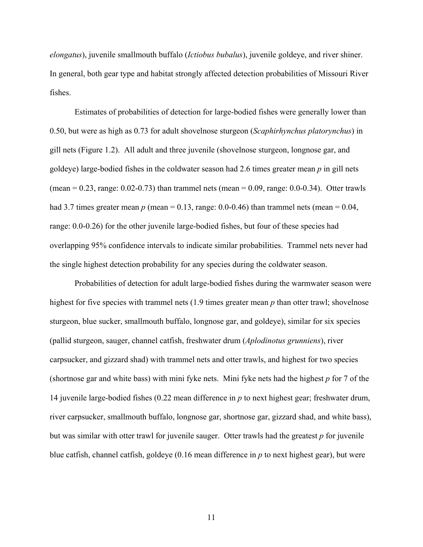*elongatus*), juvenile smallmouth buffalo (*Ictiobus bubalus*), juvenile goldeye, and river shiner. In general, both gear type and habitat strongly affected detection probabilities of Missouri River fishes.

 Estimates of probabilities of detection for large-bodied fishes were generally lower than 0.50, but were as high as 0.73 for adult shovelnose sturgeon (*Scaphirhynchus platorynchus*) in gill nets (Figure 1.2). All adult and three juvenile (shovelnose sturgeon, longnose gar, and goldeye) large-bodied fishes in the coldwater season had 2.6 times greater mean *p* in gill nets (mean =  $0.23$ , range:  $0.02 - 0.73$ ) than trammel nets (mean =  $0.09$ , range:  $0.0 - 0.34$ ). Otter trawls had 3.7 times greater mean  $p$  (mean = 0.13, range: 0.0-0.46) than trammel nets (mean = 0.04, range: 0.0-0.26) for the other juvenile large-bodied fishes, but four of these species had overlapping 95% confidence intervals to indicate similar probabilities. Trammel nets never had the single highest detection probability for any species during the coldwater season.

 Probabilities of detection for adult large-bodied fishes during the warmwater season were highest for five species with trammel nets (1.9 times greater mean *p* than otter trawl; shovelnose sturgeon, blue sucker, smallmouth buffalo, longnose gar, and goldeye), similar for six species (pallid sturgeon, sauger, channel catfish, freshwater drum (*Aplodinotus grunniens*), river carpsucker, and gizzard shad) with trammel nets and otter trawls, and highest for two species (shortnose gar and white bass) with mini fyke nets. Mini fyke nets had the highest *p* for 7 of the 14 juvenile large-bodied fishes (0.22 mean difference in *p* to next highest gear; freshwater drum, river carpsucker, smallmouth buffalo, longnose gar, shortnose gar, gizzard shad, and white bass), but was similar with otter trawl for juvenile sauger. Otter trawls had the greatest *p* for juvenile blue catfish, channel catfish, goldeye (0.16 mean difference in *p* to next highest gear), but were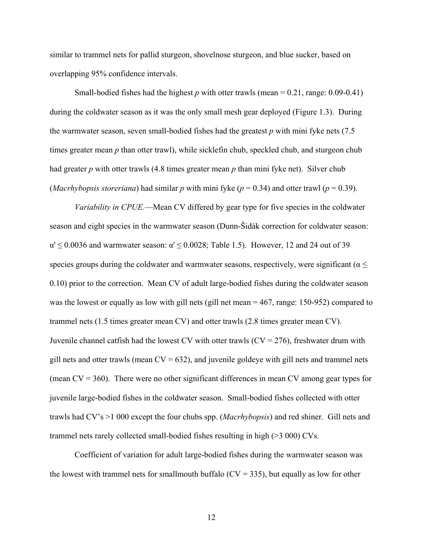similar to trammel nets for pallid sturgeon, shovelnose sturgeon, and blue sucker, based on overlapping 95% confidence intervals.

Small-bodied fishes had the highest  $p$  with otter trawls (mean =  $0.21$ , range:  $0.09$ - $0.41$ ) during the coldwater season as it was the only small mesh gear deployed (Figure 1.3). During the warmwater season, seven small-bodied fishes had the greatest *p* with mini fyke nets (7.5 times greater mean *p* than otter trawl), while sicklefin chub, speckled chub, and sturgeon chub had greater *p* with otter trawls (4.8 times greater mean *p* than mini fyke net). Silver chub (*Macrhybopsis storeriana*) had similar *p* with mini fyke ( $p = 0.34$ ) and otter trawl ( $p = 0.39$ ).

*Variability in CPUE.*—Mean CV differed by gear type for five species in the coldwater season and eight species in the warmwater season (Dunn-Šidák correction for coldwater season:  $\alpha' \leq 0.0036$  and warmwater season:  $\alpha' \leq 0.0028$ ; Table 1.5). However, 12 and 24 out of 39 species groups during the coldwater and warmwater seasons, respectively, were significant ( $\alpha \leq$ 0.10) prior to the correction. Mean CV of adult large-bodied fishes during the coldwater season was the lowest or equally as low with gill nets (gill net mean  $= 467$ , range: 150-952) compared to trammel nets (1.5 times greater mean CV) and otter trawls (2.8 times greater mean CV). Juvenile channel catfish had the lowest CV with otter trawls  $(CV = 276)$ , freshwater drum with gill nets and otter trawls (mean  $CV = 632$ ), and juvenile goldeye with gill nets and trammel nets (mean  $CV = 360$ ). There were no other significant differences in mean CV among gear types for juvenile large-bodied fishes in the coldwater season. Small-bodied fishes collected with otter trawls had CV's >1 000 except the four chubs spp. (*Macrhybopsis*) and red shiner. Gill nets and trammel nets rarely collected small-bodied fishes resulting in high (>3 000) CVs.

 Coefficient of variation for adult large-bodied fishes during the warmwater season was the lowest with trammel nets for smallmouth buffalo ( $CV = 335$ ), but equally as low for other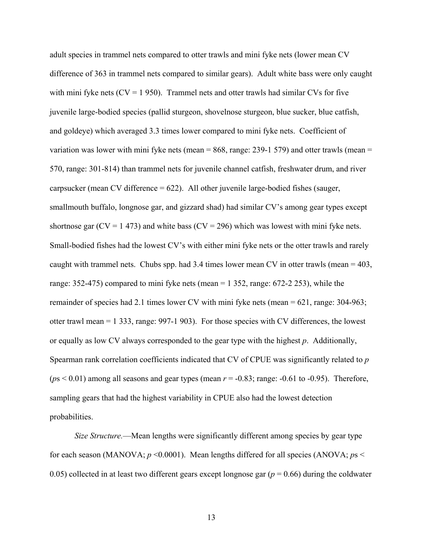adult species in trammel nets compared to otter trawls and mini fyke nets (lower mean CV difference of 363 in trammel nets compared to similar gears). Adult white bass were only caught with mini fyke nets  $(CV = 1950)$ . Trammel nets and otter trawls had similar CVs for five juvenile large-bodied species (pallid sturgeon, shovelnose sturgeon, blue sucker, blue catfish, and goldeye) which averaged 3.3 times lower compared to mini fyke nets. Coefficient of variation was lower with mini fyke nets (mean  $= 868$ , range: 239-1 579) and otter trawls (mean  $=$ 570, range: 301-814) than trammel nets for juvenile channel catfish, freshwater drum, and river carpsucker (mean CV difference = 622). All other juvenile large-bodied fishes (sauger, smallmouth buffalo, longnose gar, and gizzard shad) had similar CV's among gear types except shortnose gar ( $CV = 1473$ ) and white bass ( $CV = 296$ ) which was lowest with mini fyke nets. Small-bodied fishes had the lowest CV's with either mini fyke nets or the otter trawls and rarely caught with trammel nets. Chubs spp. had 3.4 times lower mean CV in otter trawls (mean  $=$  403, range: 352-475) compared to mini fyke nets (mean = 1 352, range: 672-2 253), while the remainder of species had 2.1 times lower CV with mini fyke nets (mean = 621, range: 304-963; otter trawl mean = 1 333, range: 997-1 903). For those species with CV differences, the lowest or equally as low CV always corresponded to the gear type with the highest *p*. Additionally, Spearman rank correlation coefficients indicated that CV of CPUE was significantly related to *p*  $(ps < 0.01)$  among all seasons and gear types (mean  $r = -0.83$ ; range:  $-0.61$  to  $-0.95$ ). Therefore, sampling gears that had the highest variability in CPUE also had the lowest detection probabilities.

*Size Structure.*—Mean lengths were significantly different among species by gear type for each season (MANOVA;  $p \le 0.0001$ ). Mean lengths differed for all species (ANOVA;  $p_s$ 0.05) collected in at least two different gears except longnose gar (*p* = 0.66) during the coldwater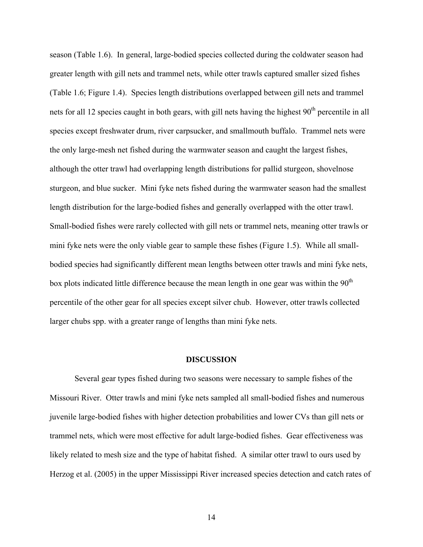season (Table 1.6). In general, large-bodied species collected during the coldwater season had greater length with gill nets and trammel nets, while otter trawls captured smaller sized fishes (Table 1.6; Figure 1.4). Species length distributions overlapped between gill nets and trammel nets for all 12 species caught in both gears, with gill nets having the highest  $90<sup>th</sup>$  percentile in all species except freshwater drum, river carpsucker, and smallmouth buffalo. Trammel nets were the only large-mesh net fished during the warmwater season and caught the largest fishes, although the otter trawl had overlapping length distributions for pallid sturgeon, shovelnose sturgeon, and blue sucker. Mini fyke nets fished during the warmwater season had the smallest length distribution for the large-bodied fishes and generally overlapped with the otter trawl. Small-bodied fishes were rarely collected with gill nets or trammel nets, meaning otter trawls or mini fyke nets were the only viable gear to sample these fishes (Figure 1.5). While all smallbodied species had significantly different mean lengths between otter trawls and mini fyke nets, box plots indicated little difference because the mean length in one gear was within the  $90<sup>th</sup>$ percentile of the other gear for all species except silver chub. However, otter trawls collected larger chubs spp. with a greater range of lengths than mini fyke nets.

#### **DISCUSSION**

 Several gear types fished during two seasons were necessary to sample fishes of the Missouri River. Otter trawls and mini fyke nets sampled all small-bodied fishes and numerous juvenile large-bodied fishes with higher detection probabilities and lower CVs than gill nets or trammel nets, which were most effective for adult large-bodied fishes. Gear effectiveness was likely related to mesh size and the type of habitat fished. A similar otter trawl to ours used by Herzog et al. (2005) in the upper Mississippi River increased species detection and catch rates of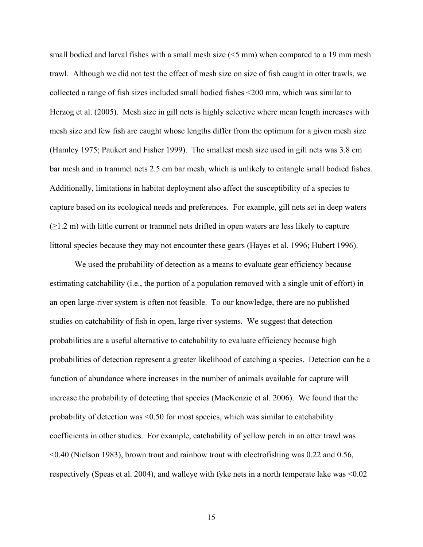small bodied and larval fishes with a small mesh size (<5 mm) when compared to a 19 mm mesh trawl. Although we did not test the effect of mesh size on size of fish caught in otter trawls, we collected a range of fish sizes included small bodied fishes <200 mm, which was similar to Herzog et al. (2005). Mesh size in gill nets is highly selective where mean length increases with mesh size and few fish are caught whose lengths differ from the optimum for a given mesh size (Hamley 1975; Paukert and Fisher 1999). The smallest mesh size used in gill nets was 3.8 cm bar mesh and in trammel nets 2.5 cm bar mesh, which is unlikely to entangle small bodied fishes. Additionally, limitations in habitat deployment also affect the susceptibility of a species to capture based on its ecological needs and preferences. For example, gill nets set in deep waters  $(\geq 1.2 \text{ m})$  with little current or trammel nets drifted in open waters are less likely to capture littoral species because they may not encounter these gears (Hayes et al. 1996; Hubert 1996).

 We used the probability of detection as a means to evaluate gear efficiency because estimating catchability (i.e., the portion of a population removed with a single unit of effort) in an open large-river system is often not feasible. To our knowledge, there are no published studies on catchability of fish in open, large river systems. We suggest that detection probabilities are a useful alternative to catchability to evaluate efficiency because high probabilities of detection represent a greater likelihood of catching a species. Detection can be a function of abundance where increases in the number of animals available for capture will increase the probability of detecting that species (MacKenzie et al. 2006). We found that the probability of detection was <0.50 for most species, which was similar to catchability coefficients in other studies. For example, catchability of yellow perch in an otter trawl was <0.40 (Nielson 1983), brown trout and rainbow trout with electrofishing was 0.22 and 0.56, respectively (Speas et al. 2004), and walleye with fyke nets in a north temperate lake was <0.02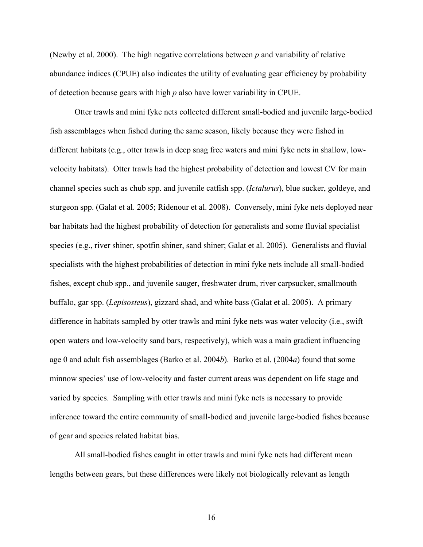(Newby et al. 2000). The high negative correlations between *p* and variability of relative abundance indices (CPUE) also indicates the utility of evaluating gear efficiency by probability of detection because gears with high *p* also have lower variability in CPUE.

Otter trawls and mini fyke nets collected different small-bodied and juvenile large-bodied fish assemblages when fished during the same season, likely because they were fished in different habitats (e.g., otter trawls in deep snag free waters and mini fyke nets in shallow, lowvelocity habitats). Otter trawls had the highest probability of detection and lowest CV for main channel species such as chub spp. and juvenile catfish spp. (*Ictalurus*), blue sucker, goldeye, and sturgeon spp. (Galat et al. 2005; Ridenour et al. 2008). Conversely, mini fyke nets deployed near bar habitats had the highest probability of detection for generalists and some fluvial specialist species (e.g., river shiner, spotfin shiner, sand shiner; Galat et al. 2005). Generalists and fluvial specialists with the highest probabilities of detection in mini fyke nets include all small-bodied fishes, except chub spp., and juvenile sauger, freshwater drum, river carpsucker, smallmouth buffalo, gar spp. (*Lepisosteus*), gizzard shad, and white bass (Galat et al. 2005). A primary difference in habitats sampled by otter trawls and mini fyke nets was water velocity (i.e., swift open waters and low-velocity sand bars, respectively), which was a main gradient influencing age 0 and adult fish assemblages (Barko et al. 2004*b*). Barko et al. (2004*a*) found that some minnow species' use of low-velocity and faster current areas was dependent on life stage and varied by species. Sampling with otter trawls and mini fyke nets is necessary to provide inference toward the entire community of small-bodied and juvenile large-bodied fishes because of gear and species related habitat bias.

All small-bodied fishes caught in otter trawls and mini fyke nets had different mean lengths between gears, but these differences were likely not biologically relevant as length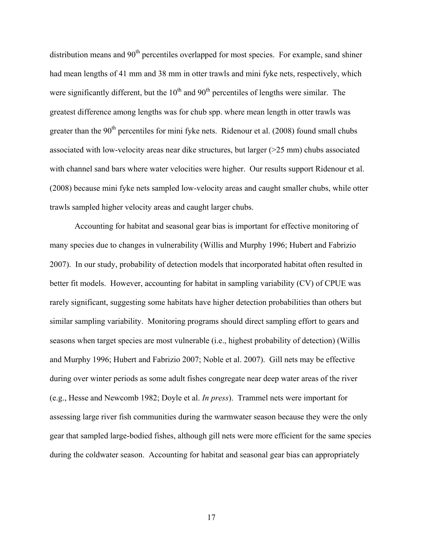distribution means and 90<sup>th</sup> percentiles overlapped for most species. For example, sand shiner had mean lengths of 41 mm and 38 mm in otter trawls and mini fyke nets, respectively, which were significantly different, but the  $10<sup>th</sup>$  and  $90<sup>th</sup>$  percentiles of lengths were similar. The greatest difference among lengths was for chub spp. where mean length in otter trawls was greater than the  $90<sup>th</sup>$  percentiles for mini fyke nets. Ridenour et al. (2008) found small chubs associated with low-velocity areas near dike structures, but larger  $(>=25 \text{ mm})$  chubs associated with channel sand bars where water velocities were higher. Our results support Ridenour et al. (2008) because mini fyke nets sampled low-velocity areas and caught smaller chubs, while otter trawls sampled higher velocity areas and caught larger chubs.

 Accounting for habitat and seasonal gear bias is important for effective monitoring of many species due to changes in vulnerability (Willis and Murphy 1996; Hubert and Fabrizio 2007). In our study, probability of detection models that incorporated habitat often resulted in better fit models. However, accounting for habitat in sampling variability (CV) of CPUE was rarely significant, suggesting some habitats have higher detection probabilities than others but similar sampling variability. Monitoring programs should direct sampling effort to gears and seasons when target species are most vulnerable (i.e., highest probability of detection) (Willis and Murphy 1996; Hubert and Fabrizio 2007; Noble et al. 2007). Gill nets may be effective during over winter periods as some adult fishes congregate near deep water areas of the river (e.g., Hesse and Newcomb 1982; Doyle et al. *In press*). Trammel nets were important for assessing large river fish communities during the warmwater season because they were the only gear that sampled large-bodied fishes, although gill nets were more efficient for the same species during the coldwater season. Accounting for habitat and seasonal gear bias can appropriately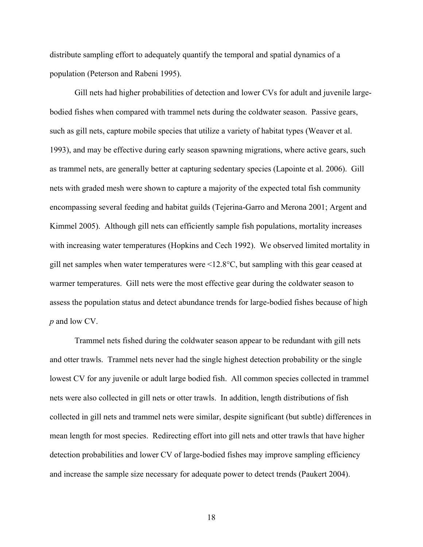distribute sampling effort to adequately quantify the temporal and spatial dynamics of a population (Peterson and Rabeni 1995).

Gill nets had higher probabilities of detection and lower CVs for adult and juvenile largebodied fishes when compared with trammel nets during the coldwater season. Passive gears, such as gill nets, capture mobile species that utilize a variety of habitat types (Weaver et al. 1993), and may be effective during early season spawning migrations, where active gears, such as trammel nets, are generally better at capturing sedentary species (Lapointe et al. 2006). Gill nets with graded mesh were shown to capture a majority of the expected total fish community encompassing several feeding and habitat guilds (Tejerina-Garro and Merona 2001; Argent and Kimmel 2005). Although gill nets can efficiently sample fish populations, mortality increases with increasing water temperatures (Hopkins and Cech 1992). We observed limited mortality in gill net samples when water temperatures were <12.8°C, but sampling with this gear ceased at warmer temperatures. Gill nets were the most effective gear during the coldwater season to assess the population status and detect abundance trends for large-bodied fishes because of high *p* and low CV.

Trammel nets fished during the coldwater season appear to be redundant with gill nets and otter trawls. Trammel nets never had the single highest detection probability or the single lowest CV for any juvenile or adult large bodied fish. All common species collected in trammel nets were also collected in gill nets or otter trawls. In addition, length distributions of fish collected in gill nets and trammel nets were similar, despite significant (but subtle) differences in mean length for most species. Redirecting effort into gill nets and otter trawls that have higher detection probabilities and lower CV of large-bodied fishes may improve sampling efficiency and increase the sample size necessary for adequate power to detect trends (Paukert 2004).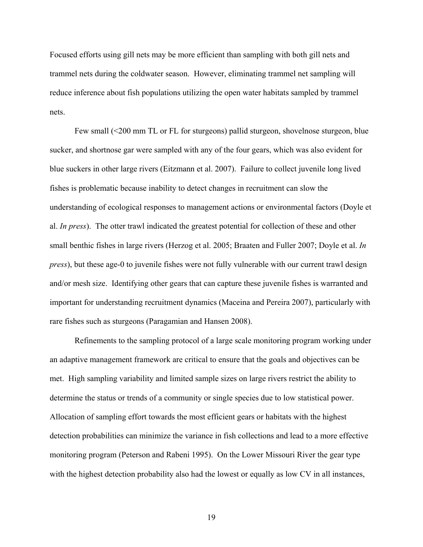Focused efforts using gill nets may be more efficient than sampling with both gill nets and trammel nets during the coldwater season. However, eliminating trammel net sampling will reduce inference about fish populations utilizing the open water habitats sampled by trammel nets.

 Few small (<200 mm TL or FL for sturgeons) pallid sturgeon, shovelnose sturgeon, blue sucker, and shortnose gar were sampled with any of the four gears, which was also evident for blue suckers in other large rivers (Eitzmann et al. 2007). Failure to collect juvenile long lived fishes is problematic because inability to detect changes in recruitment can slow the understanding of ecological responses to management actions or environmental factors (Doyle et al. *In press*). The otter trawl indicated the greatest potential for collection of these and other small benthic fishes in large rivers (Herzog et al. 2005; Braaten and Fuller 2007; Doyle et al. *In press*), but these age-0 to juvenile fishes were not fully vulnerable with our current trawl design and/or mesh size. Identifying other gears that can capture these juvenile fishes is warranted and important for understanding recruitment dynamics (Maceina and Pereira 2007), particularly with rare fishes such as sturgeons (Paragamian and Hansen 2008).

 Refinements to the sampling protocol of a large scale monitoring program working under an adaptive management framework are critical to ensure that the goals and objectives can be met. High sampling variability and limited sample sizes on large rivers restrict the ability to determine the status or trends of a community or single species due to low statistical power. Allocation of sampling effort towards the most efficient gears or habitats with the highest detection probabilities can minimize the variance in fish collections and lead to a more effective monitoring program (Peterson and Rabeni 1995). On the Lower Missouri River the gear type with the highest detection probability also had the lowest or equally as low CV in all instances,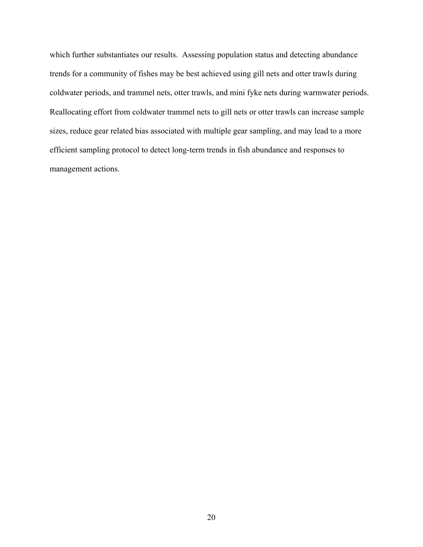which further substantiates our results. Assessing population status and detecting abundance trends for a community of fishes may be best achieved using gill nets and otter trawls during coldwater periods, and trammel nets, otter trawls, and mini fyke nets during warmwater periods. Reallocating effort from coldwater trammel nets to gill nets or otter trawls can increase sample sizes, reduce gear related bias associated with multiple gear sampling, and may lead to a more efficient sampling protocol to detect long-term trends in fish abundance and responses to management actions.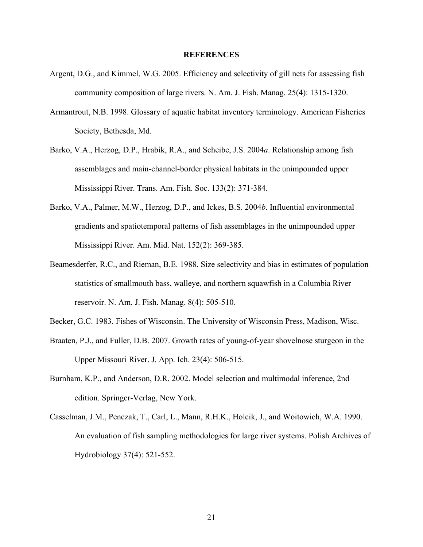### **REFERENCES**

- Argent, D.G., and Kimmel, W.G. 2005. Efficiency and selectivity of gill nets for assessing fish community composition of large rivers. N. Am. J. Fish. Manag. 25(4): 1315-1320.
- Armantrout, N.B. 1998. Glossary of aquatic habitat inventory terminology. American Fisheries Society, Bethesda, Md.
- Barko, V.A., Herzog, D.P., Hrabik, R.A., and Scheibe, J.S. 2004*a*. Relationship among fish assemblages and main-channel-border physical habitats in the unimpounded upper Mississippi River. Trans. Am. Fish. Soc. 133(2): 371-384.
- Barko, V.A., Palmer, M.W., Herzog, D.P., and Ickes, B.S. 2004*b*. Influential environmental gradients and spatiotemporal patterns of fish assemblages in the unimpounded upper Mississippi River. Am. Mid. Nat. 152(2): 369-385.
- Beamesderfer, R.C., and Rieman, B.E. 1988. Size selectivity and bias in estimates of population statistics of smallmouth bass, walleye, and northern squawfish in a Columbia River reservoir. N. Am. J. Fish. Manag. 8(4): 505-510.
- Becker, G.C. 1983. Fishes of Wisconsin. The University of Wisconsin Press, Madison, Wisc.
- Braaten, P.J., and Fuller, D.B. 2007. Growth rates of young-of-year shovelnose sturgeon in the Upper Missouri River. J. App. Ich. 23(4): 506-515.
- Burnham, K.P., and Anderson, D.R. 2002. Model selection and multimodal inference, 2nd edition. Springer-Verlag, New York.
- Casselman, J.M., Penczak, T., Carl, L., Mann, R.H.K., Holcik, J., and Woitowich, W.A. 1990. An evaluation of fish sampling methodologies for large river systems. Polish Archives of Hydrobiology 37(4): 521-552.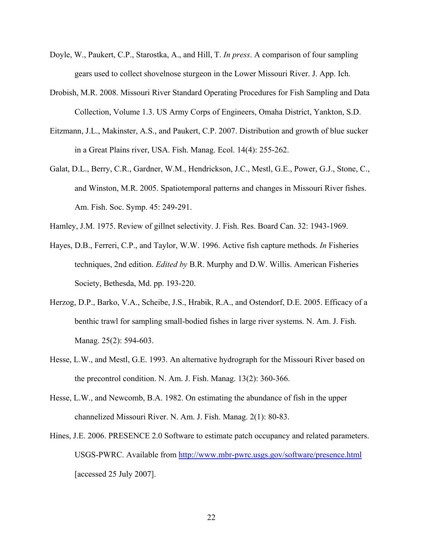- Doyle, W., Paukert, C.P., Starostka, A., and Hill, T. *In press*. A comparison of four sampling gears used to collect shovelnose sturgeon in the Lower Missouri River. J. App. Ich.
- Drobish, M.R. 2008. Missouri River Standard Operating Procedures for Fish Sampling and Data Collection, Volume 1.3. US Army Corps of Engineers, Omaha District, Yankton, S.D.
- Eitzmann, J.L., Makinster, A.S., and Paukert, C.P. 2007. Distribution and growth of blue sucker in a Great Plains river, USA. Fish. Manag. Ecol. 14(4): 255-262.
- Galat, D.L., Berry, C.R., Gardner, W.M., Hendrickson, J.C., Mestl, G.E., Power, G.J., Stone, C., and Winston, M.R. 2005. Spatiotemporal patterns and changes in Missouri River fishes. Am. Fish. Soc. Symp. 45: 249-291.
- Hamley, J.M. 1975. Review of gillnet selectivity. J. Fish. Res. Board Can. 32: 1943-1969.
- Hayes, D.B., Ferreri, C.P., and Taylor, W.W. 1996. Active fish capture methods. *In* Fisheries techniques, 2nd edition. *Edited by* B.R. Murphy and D.W. Willis. American Fisheries Society, Bethesda, Md. pp. 193-220.
- Herzog, D.P., Barko, V.A., Scheibe, J.S., Hrabik, R.A., and Ostendorf, D.E. 2005. Efficacy of a benthic trawl for sampling small-bodied fishes in large river systems. N. Am. J. Fish. Manag. 25(2): 594-603.
- Hesse, L.W., and Mestl, G.E. 1993. An alternative hydrograph for the Missouri River based on the precontrol condition. N. Am. J. Fish. Manag. 13(2): 360-366.
- Hesse, L.W., and Newcomb, B.A. 1982. On estimating the abundance of fish in the upper channelized Missouri River. N. Am. J. Fish. Manag. 2(1): 80-83.
- Hines, J.E. 2006. PRESENCE 2.0 Software to estimate patch occupancy and related parameters. USGS-PWRC. Available from <http://www.mbr-pwrc.usgs.gov/software/presence.html> [accessed 25 July 2007].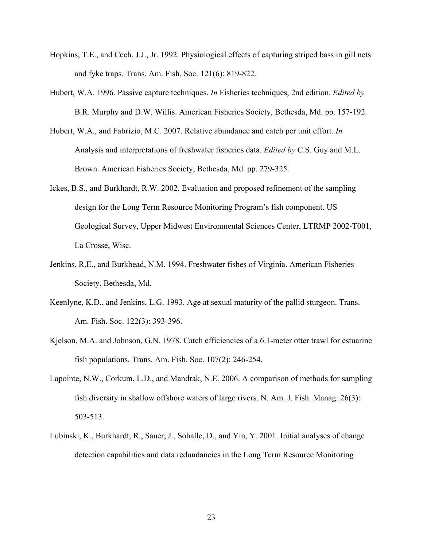- Hopkins, T.E., and Cech, J.J., Jr. 1992. Physiological effects of capturing striped bass in gill nets and fyke traps. Trans. Am. Fish. Soc. 121(6): 819-822.
- Hubert, W.A. 1996. Passive capture techniques. *In* Fisheries techniques, 2nd edition. *Edited by* B.R. Murphy and D.W. Willis. American Fisheries Society, Bethesda, Md. pp. 157-192.
- Hubert, W.A., and Fabrizio, M.C. 2007. Relative abundance and catch per unit effort. *In* Analysis and interpretations of freshwater fisheries data. *Edited by* C.S. Guy and M.L. Brown. American Fisheries Society, Bethesda, Md. pp. 279-325.
- Ickes, B.S., and Burkhardt, R.W. 2002. Evaluation and proposed refinement of the sampling design for the Long Term Resource Monitoring Program's fish component. US Geological Survey, Upper Midwest Environmental Sciences Center, LTRMP 2002-T001, La Crosse, Wisc.
- Jenkins, R.E., and Burkhead, N.M. 1994. Freshwater fishes of Virginia. American Fisheries Society, Bethesda, Md.
- Keenlyne, K.D., and Jenkins, L.G. 1993. Age at sexual maturity of the pallid sturgeon. Trans. Am. Fish. Soc. 122(3): 393-396.
- Kjelson, M.A. and Johnson, G.N. 1978. Catch efficiencies of a 6.1-meter otter trawl for estuarine fish populations. Trans. Am. Fish. Soc. 107(2): 246-254.
- Lapointe, N.W., Corkum, L.D., and Mandrak, N.E. 2006. A comparison of methods for sampling fish diversity in shallow offshore waters of large rivers. N. Am. J. Fish. Manag. 26(3): 503-513.
- Lubinski, K., Burkhardt, R., Sauer, J., Soballe, D., and Yin, Y. 2001. Initial analyses of change detection capabilities and data redundancies in the Long Term Resource Monitoring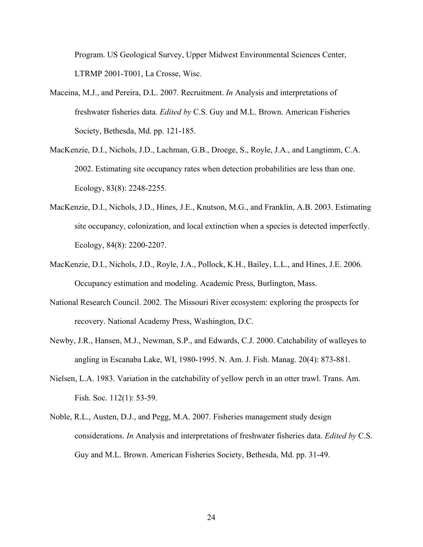Program. US Geological Survey, Upper Midwest Environmental Sciences Center, LTRMP 2001-T001, La Crosse, Wisc.

- Maceina, M.J., and Pereira, D.L. 2007. Recruitment. *In* Analysis and interpretations of freshwater fisheries data. *Edited by* C.S. Guy and M.L. Brown. American Fisheries Society, Bethesda, Md. pp. 121-185.
- MacKenzie, D.I., Nichols, J.D., Lachman, G.B., Droege, S., Royle, J.A., and Langtimm, C.A. 2002. Estimating site occupancy rates when detection probabilities are less than one. Ecology, 83(8): 2248-2255.
- MacKenzie, D.I., Nichols, J.D., Hines, J.E., Knutson, M.G., and Franklin, A.B. 2003. Estimating site occupancy, colonization, and local extinction when a species is detected imperfectly. Ecology, 84(8): 2200-2207.
- MacKenzie, D.I., Nichols, J.D., Royle, J.A., Pollock, K.H., Bailey, L.L., and Hines, J.E. 2006. Occupancy estimation and modeling. Academic Press, Burlington, Mass.
- National Research Council. 2002. The Missouri River ecosystem: exploring the prospects for recovery. National Academy Press, Washington, D.C.
- Newby, J.R., Hansen, M.J., Newman, S.P., and Edwards, C.J. 2000. Catchability of walleyes to angling in Escanaba Lake, WI, 1980-1995. N. Am. J. Fish. Manag. 20(4): 873-881.
- Nielsen, L.A. 1983. Variation in the catchability of yellow perch in an otter trawl. Trans. Am. Fish. Soc. 112(1): 53-59.
- Noble, R.L., Austen, D.J., and Pegg, M.A. 2007. Fisheries management study design considerations. *In* Analysis and interpretations of freshwater fisheries data. *Edited by* C.S. Guy and M.L. Brown. American Fisheries Society, Bethesda, Md. pp. 31-49.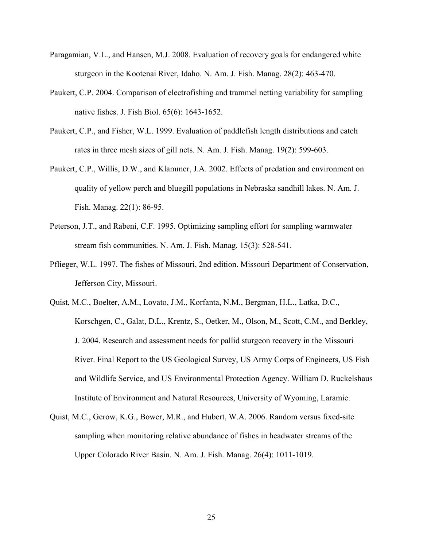- Paragamian, V.L., and Hansen, M.J. 2008. Evaluation of recovery goals for endangered white sturgeon in the Kootenai River, Idaho. N. Am. J. Fish. Manag. 28(2): 463-470.
- Paukert, C.P. 2004. Comparison of electrofishing and trammel netting variability for sampling native fishes. J. Fish Biol. 65(6): 1643-1652.
- Paukert, C.P., and Fisher, W.L. 1999. Evaluation of paddlefish length distributions and catch rates in three mesh sizes of gill nets. N. Am. J. Fish. Manag. 19(2): 599-603.
- Paukert, C.P., Willis, D.W., and Klammer, J.A. 2002. Effects of predation and environment on quality of yellow perch and bluegill populations in Nebraska sandhill lakes. N. Am. J. Fish. Manag. 22(1): 86-95.
- Peterson, J.T., and Rabeni, C.F. 1995. Optimizing sampling effort for sampling warmwater stream fish communities. N. Am. J. Fish. Manag. 15(3): 528-541.
- Pflieger, W.L. 1997. The fishes of Missouri, 2nd edition. Missouri Department of Conservation, Jefferson City, Missouri.
- Quist, M.C., Boelter, A.M., Lovato, J.M., Korfanta, N.M., Bergman, H.L., Latka, D.C., Korschgen, C., Galat, D.L., Krentz, S., Oetker, M., Olson, M., Scott, C.M., and Berkley, J. 2004. Research and assessment needs for pallid sturgeon recovery in the Missouri River. Final Report to the US Geological Survey, US Army Corps of Engineers, US Fish and Wildlife Service, and US Environmental Protection Agency. William D. Ruckelshaus Institute of Environment and Natural Resources, University of Wyoming, Laramie.
- Quist, M.C., Gerow, K.G., Bower, M.R., and Hubert, W.A. 2006. Random versus fixed-site sampling when monitoring relative abundance of fishes in headwater streams of the Upper Colorado River Basin. N. Am. J. Fish. Manag. 26(4): 1011-1019.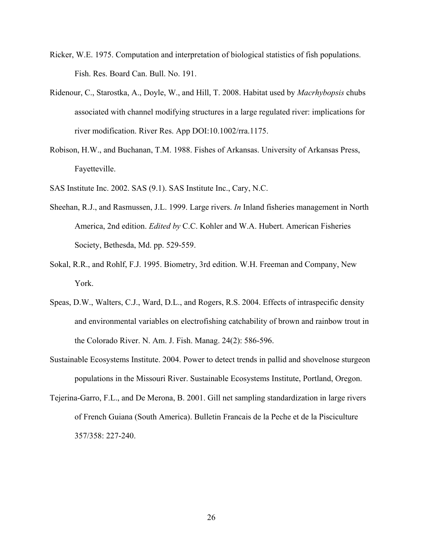- Ricker, W.E. 1975. Computation and interpretation of biological statistics of fish populations. Fish. Res. Board Can. Bull. No. 191.
- Ridenour, C., Starostka, A., Doyle, W., and Hill, T. 2008. Habitat used by *Macrhybopsis* chubs associated with channel modifying structures in a large regulated river: implications for river modification. River Res. App DOI:10.1002/rra.1175.
- Robison, H.W., and Buchanan, T.M. 1988. Fishes of Arkansas. University of Arkansas Press, Fayetteville.
- SAS Institute Inc. 2002. SAS (9.1). SAS Institute Inc., Cary, N.C.
- Sheehan, R.J., and Rasmussen, J.L. 1999. Large rivers. *In* Inland fisheries management in North America, 2nd edition. *Edited by* C.C. Kohler and W.A. Hubert. American Fisheries Society, Bethesda, Md. pp. 529-559.
- Sokal, R.R., and Rohlf, F.J. 1995. Biometry, 3rd edition. W.H. Freeman and Company, New York.
- Speas, D.W., Walters, C.J., Ward, D.L., and Rogers, R.S. 2004. Effects of intraspecific density and environmental variables on electrofishing catchability of brown and rainbow trout in the Colorado River. N. Am. J. Fish. Manag. 24(2): 586-596.
- Sustainable Ecosystems Institute. 2004. Power to detect trends in pallid and shovelnose sturgeon populations in the Missouri River. Sustainable Ecosystems Institute, Portland, Oregon.
- Tejerina-Garro, F.L., and De Merona, B. 2001. Gill net sampling standardization in large rivers of French Guiana (South America). Bulletin Francais de la Peche et de la Pisciculture 357/358: 227-240.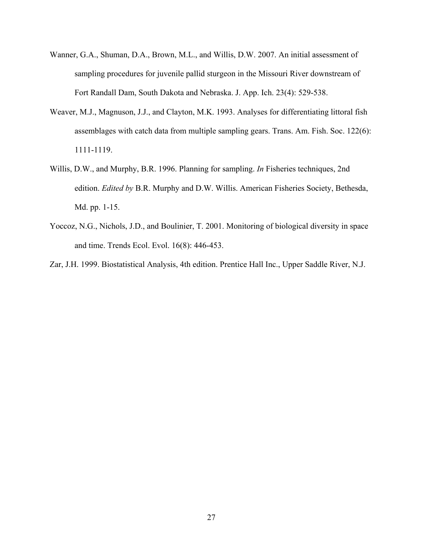- Wanner, G.A., Shuman, D.A., Brown, M.L., and Willis, D.W. 2007. An initial assessment of sampling procedures for juvenile pallid sturgeon in the Missouri River downstream of Fort Randall Dam, South Dakota and Nebraska. J. App. Ich. 23(4): 529-538.
- Weaver, M.J., Magnuson, J.J., and Clayton, M.K. 1993. Analyses for differentiating littoral fish assemblages with catch data from multiple sampling gears. Trans. Am. Fish. Soc. 122(6): 1111-1119.
- Willis, D.W., and Murphy, B.R. 1996. Planning for sampling. *In* Fisheries techniques, 2nd edition. *Edited by* B.R. Murphy and D.W. Willis. American Fisheries Society, Bethesda, Md. pp. 1-15.
- Yoccoz, N.G., Nichols, J.D., and Boulinier, T. 2001. Monitoring of biological diversity in space and time. Trends Ecol. Evol. 16(8): 446-453.

Zar, J.H. 1999. Biostatistical Analysis, 4th edition. Prentice Hall Inc., Upper Saddle River, N.J.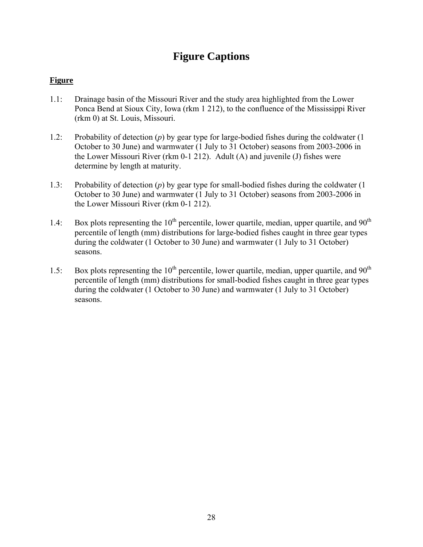# **Figure Captions**

## **Figure**

- 1.1: Drainage basin of the Missouri River and the study area highlighted from the Lower Ponca Bend at Sioux City, Iowa (rkm 1 212), to the confluence of the Mississippi River (rkm 0) at St. Louis, Missouri.
- 1.2: Probability of detection (*p*) by gear type for large-bodied fishes during the coldwater (1 October to 30 June) and warmwater (1 July to 31 October) seasons from 2003-2006 in the Lower Missouri River (rkm 0-1 212). Adult (A) and juvenile (J) fishes were determine by length at maturity.
- 1.3: Probability of detection (*p*) by gear type for small-bodied fishes during the coldwater (1 October to 30 June) and warmwater (1 July to 31 October) seasons from 2003-2006 in the Lower Missouri River (rkm 0-1 212).
- 1.4: Box plots representing the  $10^{th}$  percentile, lower quartile, median, upper quartile, and  $90^{th}$ percentile of length (mm) distributions for large-bodied fishes caught in three gear types during the coldwater (1 October to 30 June) and warmwater (1 July to 31 October) seasons.
- 1.5: Box plots representing the  $10^{th}$  percentile, lower quartile, median, upper quartile, and  $90^{th}$ percentile of length (mm) distributions for small-bodied fishes caught in three gear types during the coldwater (1 October to 30 June) and warmwater (1 July to 31 October) seasons.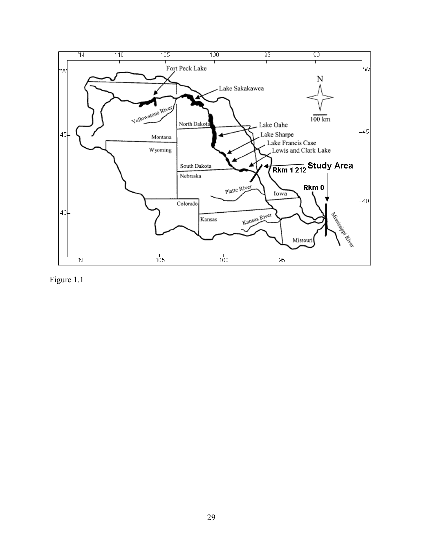

Figure 1.1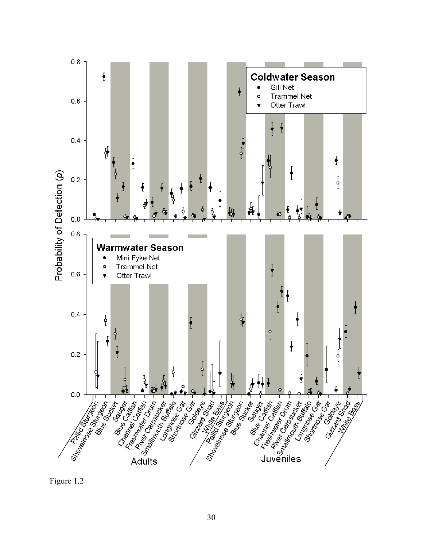

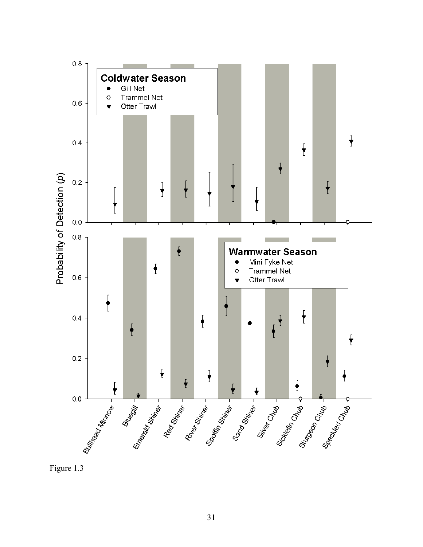

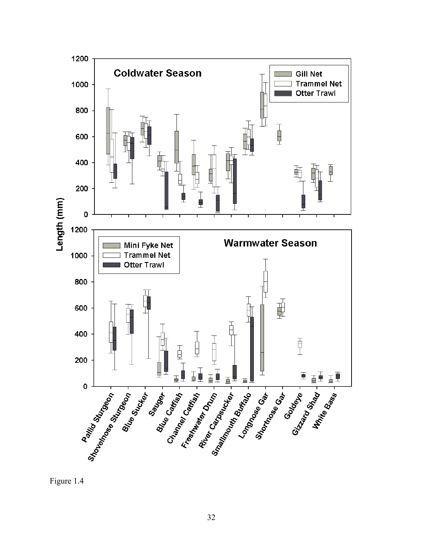

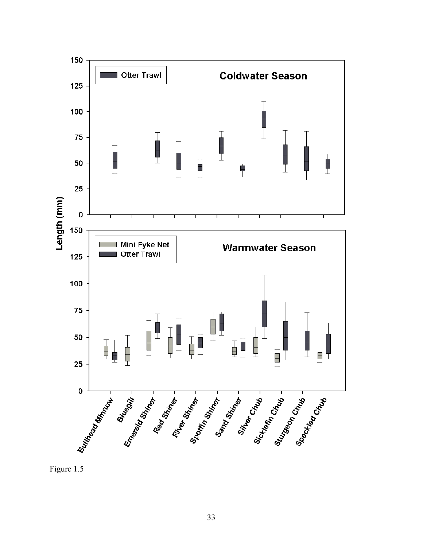

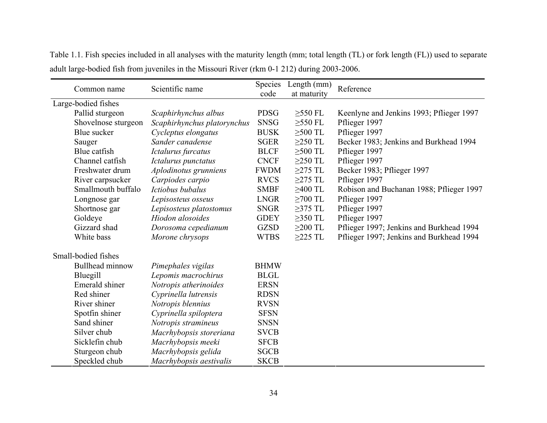|                     | Common name         | Scientific name             | Species<br>code | Length (mm)<br>at maturity | Reference                                |
|---------------------|---------------------|-----------------------------|-----------------|----------------------------|------------------------------------------|
| Large-bodied fishes |                     |                             |                 |                            |                                          |
|                     | Pallid sturgeon     | Scaphirhynchus albus        | <b>PDSG</b>     | $>550$ FL                  | Keenlyne and Jenkins 1993; Pflieger 1997 |
|                     | Shovelnose sturgeon | Scaphirhynchus platorynchus | <b>SNSG</b>     | $\geq$ 550 FL              | Pflieger 1997                            |
|                     | Blue sucker         | Cycleptus elongatus         | <b>BUSK</b>     | $>500$ TL                  | Pflieger 1997                            |
|                     | Sauger              | Sander canadense            | <b>SGER</b>     | $\geq$ 250 TL              | Becker 1983; Jenkins and Burkhead 1994   |
|                     | Blue catfish        | Ictalurus furcatus          | <b>BLCF</b>     | $\geq$ 500 TL              | Pflieger 1997                            |
|                     | Channel catfish     | Ictalurus punctatus         | <b>CNCF</b>     | $>250$ TL                  | Pflieger 1997                            |
|                     | Freshwater drum     | Aplodinotus grunniens       | <b>FWDM</b>     | $\geq$ 275 TL              | Becker 1983; Pflieger 1997               |
|                     | River carpsucker    | Carpiodes carpio            | <b>RVCS</b>     | $\geq$ 275 TL              | Pflieger 1997                            |
|                     | Smallmouth buffalo  | Ictiobus bubalus            | <b>SMBF</b>     | $>400$ TL                  | Robison and Buchanan 1988; Pflieger 1997 |
|                     | Longnose gar        | Lepisosteus osseus          | <b>LNGR</b>     | $\geq$ 700 TL              | Pflieger 1997                            |
|                     | Shortnose gar       | Lepisosteus platostomus     | <b>SNGR</b>     | $\geq$ 375 TL              | Pflieger 1997                            |
|                     | Goldeye             | Hiodon alosoides            | <b>GDEY</b>     | $>350$ TL                  | Pflieger 1997                            |
|                     | Gizzard shad        | Dorosoma cepedianum         | <b>GZSD</b>     | $>200$ TL                  | Pflieger 1997; Jenkins and Burkhead 1994 |
|                     | White bass          | Morone chrysops             | <b>WTBS</b>     | $\geq$ 225 TL              | Pflieger 1997; Jenkins and Burkhead 1994 |
|                     | Small-bodied fishes |                             |                 |                            |                                          |
|                     | Bullhead minnow     | Pimephales vigilas          | <b>BHMW</b>     |                            |                                          |
|                     | Bluegill            | Lepomis macrochirus         | <b>BLGL</b>     |                            |                                          |
|                     | Emerald shiner      | Notropis atherinoides       | <b>ERSN</b>     |                            |                                          |
|                     | Red shiner          | Cyprinella lutrensis        | <b>RDSN</b>     |                            |                                          |
|                     | River shiner        | Notropis blennius           | <b>RVSN</b>     |                            |                                          |
|                     | Spotfin shiner      | Cyprinella spiloptera       | <b>SFSN</b>     |                            |                                          |
|                     | Sand shiner         | Notropis stramineus         | <b>SNSN</b>     |                            |                                          |
|                     | Silver chub         | Macrhybopsis storeriana     | <b>SVCB</b>     |                            |                                          |
|                     | Sicklefin chub      | Macrhybopsis meeki          | <b>SFCB</b>     |                            |                                          |
|                     | Sturgeon chub       | Macrhybopsis gelida         | <b>SGCB</b>     |                            |                                          |
|                     | Speckled chub       | Macrhybopsis aestivalis     | <b>SKCB</b>     |                            |                                          |

Table 1.1. Fish species included in all analyses with the maturity length (mm; total length (TL) or fork length (FL)) used to separate adult large-bodied fish from juveniles in the Missouri River (rkm 0-1 212) during 2003-2006.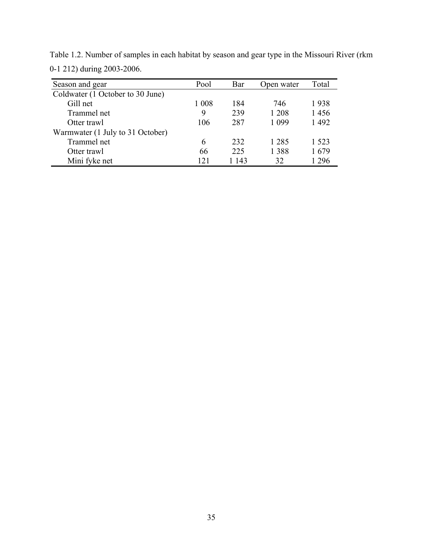| Season and gear                  | Pool    | Bar   | Open water | Total   |
|----------------------------------|---------|-------|------------|---------|
| Coldwater (1 October to 30 June) |         |       |            |         |
| Gill net                         | 1 0 0 8 | 184   | 746        | 1938    |
| Trammel net                      | 9       | 239   | 1 208      | 1456    |
| Otter trawl                      | 106     | 287   | 1 0 9 9    | 1492    |
| Warmwater (1 July to 31 October) |         |       |            |         |
| Trammel net                      | 6       | 232   | 1 2 8 5    | 1 5 2 3 |
| Otter trawl                      | 66      | 225   | 1 3 8 8    | 1679    |
| Mini fyke net                    | 121     | 1 143 | 32         | 1 2 9 6 |

Table 1.2. Number of samples in each habitat by season and gear type in the Missouri River (rkm 0-1 212) during 2003-2006.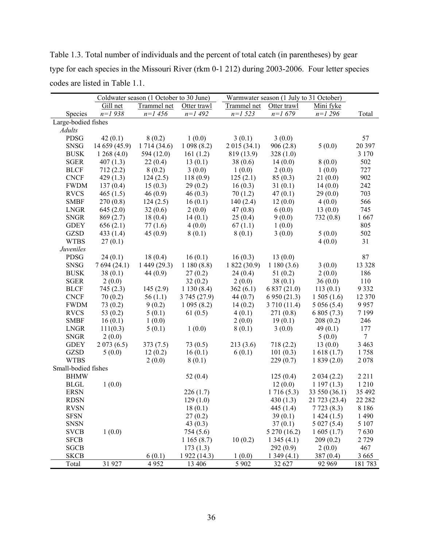Table 1.3. Total number of individuals and the percent of total catch (in parentheses) by gear type for each species in the Missouri River (rkm 0-1 212) during 2003-2006. Four letter species codes are listed in Table 1.1.

|                     |               | Coldwater season (1 October to 30 June) |              | Warmwater season (1 July to 31 October) |              |               |                 |  |  |
|---------------------|---------------|-----------------------------------------|--------------|-----------------------------------------|--------------|---------------|-----------------|--|--|
|                     | Gill net      | Trammel net                             | Otter trawl  | Trammel net                             | Otter trawl  | Mini fyke     |                 |  |  |
| Species             | $n=1938$      | $n=1$ 456                               | $n=1$ 492    | $n=1$ 523                               | $n=1679$     | $n=1296$      | Total           |  |  |
| Large-bodied fishes |               |                                         |              |                                         |              |               |                 |  |  |
| Adults              |               |                                         |              |                                         |              |               |                 |  |  |
| <b>PDSG</b>         | 42(0.1)       | 8(0.2)                                  | 1(0.0)       | 3(0.1)                                  | 3(0.0)       |               | 57              |  |  |
| <b>SNSG</b>         | 14 659 (45.9) | 1 714 (34.6)                            | 1098(8.2)    | 2015(34.1)                              | 906(2.8)     | 5(0.0)        | 20 397          |  |  |
| <b>BUSK</b>         | 1268(4.0)     | 594 (12.0)                              | 161(1.2)     | 819 (13.9)                              | 328(1.0)     |               | 3 1 7 0         |  |  |
| <b>SGER</b>         | 407(1.3)      | 22(0.4)                                 | 13(0.1)      | 38(0.6)                                 | 14(0.0)      | 8(0.0)        | 502             |  |  |
| <b>BLCF</b>         | 712(2.2)      | 8(0.2)                                  | 3(0.0)       | 1(0.0)                                  | 2(0.0)       | 1(0.0)        | 727             |  |  |
| <b>CNCF</b>         | 429(1.3)      | 124(2.5)                                | 118(0.9)     | 125(2.1)                                | 85(0.3)      | 21(0.0)       | 902             |  |  |
| <b>FWDM</b>         | 137(0.4)      | 15(0.3)                                 | 29(0.2)      | 16(0.3)                                 | 31(0.1)      | 14(0.0)       | 242             |  |  |
| <b>RVCS</b>         | 465(1.5)      | 46(0.9)                                 | 46(0.3)      | 70(1.2)                                 | 47(0.1)      | 29(0.0)       | 703             |  |  |
| <b>SMBF</b>         | 270(0.8)      | 124(2.5)                                | 16(0.1)      | 140(2.4)                                | 12(0.0)      | 4(0.0)        | 566             |  |  |
| <b>LNGR</b>         | 645(2.0)      | 32(0.6)                                 | 2(0.0)       | 47(0.8)                                 | 6(0.0)       | 13(0.0)       | 745             |  |  |
| <b>SNGR</b>         | 869(2.7)      | 18(0.4)                                 | 14(0.1)      | 25(0.4)                                 | 9(0.0)       | 732(0.8)      | 1667            |  |  |
| <b>GDEY</b>         | 656(2.1)      | 77(1.6)                                 | 4(0.0)       | 67(1.1)                                 | 1(0.0)       |               | 805             |  |  |
| <b>GZSD</b>         | 433 $(1.4)$   | 45(0.9)                                 | 8(0.1)       | 8(0.1)                                  | 3(0.0)       | 5(0.0)        | 502             |  |  |
| <b>WTBS</b>         | 27(0.1)       |                                         |              |                                         |              | 4(0.0)        | 31              |  |  |
| <b>Juveniles</b>    |               |                                         |              |                                         |              |               |                 |  |  |
| <b>PDSG</b>         | 24(0.1)       | 18(0.4)                                 | 16(0.1)      | 16(0.3)                                 | 13(0.0)      |               | 87              |  |  |
| <b>SNSG</b>         | 7694(24.1)    | 1449(29.3)                              | 1180(8.8)    | 1822(30.9)                              | 1180(3.6)    | 3(0.0)        | 13 3 28         |  |  |
| <b>BUSK</b>         | 38(0.1)       | 44 $(0.9)$                              | 27(0.2)      | 24(0.4)                                 | 51(0.2)      | 2(0.0)        | 186             |  |  |
| <b>SGER</b>         | 2(0.0)        |                                         | 32(0.2)      | 2(0.0)                                  | 38(0.1)      | 36(0.0)       | 110             |  |  |
| <b>BLCF</b>         | 745(2.3)      | 145(2.9)                                | 1130(8.4)    | 362(6.1)                                | 6 837 (21.0) | 113(0.1)      | 9 3 3 2         |  |  |
| <b>CNCF</b>         | 70(0.2)       | 56(1.1)                                 | 3745(27.9)   | 44 $(0.7)$                              | 6 950 (21.3) | 1505(1.6)     | 12 370          |  |  |
| <b>FWDM</b>         | 73(0.2)       | 9(0.2)                                  | 1095(8.2)    | 14(0.2)                                 | 3 710 (11.4) | 5056(5.4)     | 9957            |  |  |
| <b>RVCS</b>         | 53 $(0.2)$    | 5(0.1)                                  | 61 $(0.5)$   | 4(0.1)                                  | 271(0.8)     | 6805(7.3)     | 7 1 9 9         |  |  |
| <b>SMBF</b>         | 16(0.1)       | 1(0.0)                                  |              | 2(0.0)                                  | 19(0.1)      | 208(0.2)      | 246             |  |  |
| <b>LNGR</b>         | 111(0.3)      | 5(0.1)                                  | 1(0.0)       | 8(0.1)                                  | 3(0.0)       | 49(0.1)       | 177             |  |  |
| <b>SNGR</b>         | 2(0.0)        |                                         |              |                                         |              | 5(0.0)        | $7\overline{ }$ |  |  |
| <b>GDEY</b>         | 2073(6.5)     | 373(7.5)                                | 73(0.5)      | 213(3.6)                                | 718(2.2)     | 13(0.0)       | 3 4 6 3         |  |  |
| <b>GZSD</b>         | 5(0.0)        | 12(0.2)                                 | 16(0.1)      | 6(0.1)                                  | 101(0.3)     | 1618(1.7)     | 1758            |  |  |
| <b>WTBS</b>         |               | 2(0.0)                                  | 8(0.1)       |                                         | 229(0.7)     | 1839(2.0)     | 2078            |  |  |
| Small-bodied fishes |               |                                         |              |                                         |              |               |                 |  |  |
| <b>BHMW</b>         |               |                                         | 52 $(0.4)$   |                                         | 125(0.4)     | 2034(2.2)     | 2 2 1 1         |  |  |
| <b>BLGL</b>         | 1(0.0)        |                                         |              |                                         | 12(0.0)      | 1197(1.3)     | 1 2 1 0         |  |  |
| <b>ERSN</b>         |               |                                         | 226(1.7)     |                                         | 1716(5.3)    | 33 550 (36.1) | 35 492          |  |  |
| <b>RDSN</b>         |               |                                         | 129(1.0)     |                                         | 430(1.3)     | 21 723 (23.4) | 22 28 2         |  |  |
| <b>RVSN</b>         |               |                                         | 18(0.1)      |                                         | 445 (1.4)    | 7723(8.3)     | 8 1 8 6         |  |  |
| <b>SFSN</b>         |               |                                         | 27(0.2)      |                                         | 39(0.1)      | 1424(1.5)     | 1 4 9 0         |  |  |
| <b>SNSN</b>         |               |                                         | 43 $(0.3)$   |                                         | 37(0.1)      | 5027(5.4)     | 5 1 0 7         |  |  |
| <b>SVCB</b>         | 1(0.0)        |                                         | 754 (5.6)    |                                         | 5 270 (16.2) | 1605(1.7)     | 7630            |  |  |
| <b>SFCB</b>         |               |                                         | 1165(8.7)    | 10(0.2)                                 | 1345(4.1)    | 209(0.2)      | 2 7 2 9         |  |  |
| <b>SGCB</b>         |               |                                         | 173(1.3)     |                                         | 292(0.9)     | 2(0.0)        | 467             |  |  |
| <b>SKCB</b>         |               | 6(0.1)                                  | 1 922 (14.3) | 1(0.0)                                  | 1349(4.1)    | 387(0.4)      | 3 6 6 5         |  |  |
| Total               | 31 927        | 4952                                    | 13 40 6      | 5 9 0 2                                 | 32 627       | 92 969        | 181783          |  |  |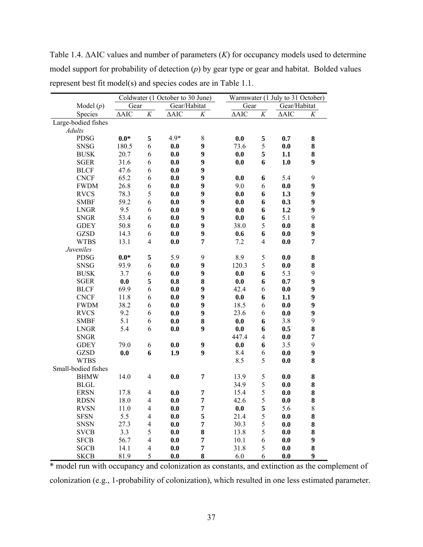Table 1.4. ΔAIC values and number of parameters (*K*) for occupancy models used to determine model support for probability of detection (*p*) by gear type or gear and habitat. Bolded values represent best fit model(s) and species codes are in Table 1.1.

|                     | Coldwater (1 October to 30 June) |                          |                 | Warmwater (1 July to 31 October) |                    |                          |                 |                  |  |
|---------------------|----------------------------------|--------------------------|-----------------|----------------------------------|--------------------|--------------------------|-----------------|------------------|--|
| Model $(p)$         | Gear                             |                          | Gear/Habitat    |                                  | Gear               |                          | Gear/Habitat    |                  |  |
| Species             | $\triangle AIC$                  | $\cal K$                 | $\triangle AIC$ | K                                | $\Delta\text{AIC}$ | $\cal K$                 | $\triangle AIC$ | K                |  |
| Large-bodied fishes |                                  |                          |                 |                                  |                    |                          |                 |                  |  |
| <b>Adults</b>       |                                  |                          |                 |                                  |                    |                          |                 |                  |  |
| <b>PDSG</b>         | $0.0*$                           | 5                        | $4.9*$          | $8\,$                            | 0.0                | 5                        | 0.7             | ${\bf 8}$        |  |
| <b>SNSG</b>         | 180.5                            | 6                        | 0.0             | 9                                | 73.6               | 5                        | 0.0             | 8                |  |
| <b>BUSK</b>         | 20.7                             | 6                        | 0.0             | 9                                | 0.0                | 5                        | 1.1             | ${\bf 8}$        |  |
| <b>SGER</b>         | 31.6                             | 6                        | 0.0             | 9                                | 0.0                | 6                        | 1.0             | $\boldsymbol{9}$ |  |
| <b>BLCF</b>         | 47.6                             | 6                        | 0.0             | 9                                |                    |                          |                 |                  |  |
| <b>CNCF</b>         | 65.2                             | 6                        | 0.0             | 9                                | 0.0                | 6                        | 5.4             | $\boldsymbol{9}$ |  |
| <b>FWDM</b>         | 26.8                             | 6                        | 0.0             | 9                                | 9.0                | 6                        | 0.0             | $\boldsymbol{9}$ |  |
| <b>RVCS</b>         | 78.3                             | 5                        | 0.0             | 9                                | 0.0                | 6                        | 1.3             | $\boldsymbol{9}$ |  |
| <b>SMBF</b>         | 59.2                             | 6                        | 0.0             | 9                                | 0.0                | 6                        | 0.3             | $\boldsymbol{9}$ |  |
| <b>LNGR</b>         | 9.5                              | 6                        | 0.0             | 9                                | 0.0                | 6                        | 1.2             | $\boldsymbol{9}$ |  |
| <b>SNGR</b>         | 53.4                             | 6                        | 0.0             | 9                                | 0.0                | 6                        | 5.1             | 9                |  |
| <b>GDEY</b>         | 50.8                             | 6                        | 0.0             | 9                                | 38.0               | 5                        | 0.0             | ${\bf 8}$        |  |
| <b>GZSD</b>         | 14.3                             | 6                        | 0.0             | 9                                | 0.6                | 6                        | 0.0             | 9                |  |
| <b>WTBS</b>         | 13.1                             | $\overline{4}$           | 0.0             | 7                                | 7.2                | $\overline{\mathcal{A}}$ | 0.0             | 7                |  |
| Juveniles           |                                  |                          |                 |                                  |                    |                          |                 |                  |  |
| PDSG                | $0.0*$                           | 5                        | 5.9             | 9                                | 8.9                | 5                        | 0.0             | ${\bf 8}$        |  |
| <b>SNSG</b>         | 93.9                             | 6                        | 0.0             | 9                                | 120.3              | 5                        | 0.0             | ${\bf 8}$        |  |
| <b>BUSK</b>         | 3.7                              | 6                        | 0.0             | 9                                | 0.0                | 6                        | 5.3             | 9                |  |
| <b>SGER</b>         | 0.0                              | 5                        | 0.8             | 8                                | 0.0                | 6                        | 0.7             | 9                |  |
| <b>BLCF</b>         | 69.9                             | 6                        | 0.0             | 9                                | 42.4               | 6                        | 0.0             | 9                |  |
| <b>CNCF</b>         | 11.8                             | 6                        | 0.0             | 9                                | 0.0                | 6                        | 1.1             | $\boldsymbol{9}$ |  |
| <b>FWDM</b>         | 38.2                             | 6                        | 0.0             | 9                                | 18.5               | 6                        | 0.0             | $\boldsymbol{9}$ |  |
| <b>RVCS</b>         | 9.2                              | 6                        | 0.0             | 9                                | 23.6               | 6                        | 0.0             | 9                |  |
| <b>SMBF</b>         | 5.1                              | 6                        | 0.0             | 8                                | 0.0                | 6                        | 3.8             | 9                |  |
| <b>LNGR</b>         | 5.4                              | 6                        | 0.0             | 9                                | 0.0                | 6                        | 0.5             | ${\bf 8}$        |  |
| <b>SNGR</b>         |                                  |                          |                 |                                  | 447.4              | $\overline{4}$           | 0.0             | 7                |  |
| <b>GDEY</b>         | 79.0                             | 6                        | 0.0             | 9                                | 0.0                | 6                        | 3.5             | 9                |  |
| <b>GZSD</b>         | 0.0                              | 6                        | 1.9             | 9                                | 8.4                | 6                        | 0.0             | $\boldsymbol{9}$ |  |
| <b>WTBS</b>         |                                  |                          |                 |                                  | 8.5                | 5                        | 0.0             | 8                |  |
| Small-bodied fishes |                                  |                          |                 |                                  |                    |                          |                 |                  |  |
| <b>BHMW</b>         | 14.0                             | $\overline{4}$           | 0.0             | 7                                | 13.9               | $\sqrt{5}$               | 0.0             | 8                |  |
| <b>BLGL</b>         |                                  |                          |                 |                                  | 34.9               | 5                        | 0.0             | ${\bf 8}$        |  |
| <b>ERSN</b>         | 17.8                             | 4                        | 0.0             | 7                                | 15.4               | 5                        | 0.0             | ${\bf 8}$        |  |
| <b>RDSN</b>         | 18.0                             | 4                        | 0.0             | 7                                | 42.6               | 5                        | 0.0             | 8                |  |
| <b>RVSN</b>         | 11.0                             | $\overline{\mathcal{A}}$ | 0.0             | 7                                | 0.0                | 5                        | 5.6             | $\,$ 8 $\,$      |  |
| <b>SFSN</b>         | 5.5                              | $\overline{4}$           | 0.0             | 5                                | 21.4               | 5                        | 0.0             | 8                |  |
| <b>SNSN</b>         | 27.3                             | $\overline{\mathbf{4}}$  | 0.0             | 7                                | 30.3               | 5                        | 0.0             | 8                |  |
| <b>SVCB</b>         | 3.3                              | 5                        | 0.0             | 8                                | 13.8               | 5                        | 0.0             | 8                |  |
| <b>SFCB</b>         | 56.7                             | $\overline{4}$           | 0.0             | 7                                | 10.1               | 6                        | 0.0             | 9                |  |
| <b>SGCB</b>         | 14.1                             | $\overline{4}$           | 0.0             | 7                                | 31.8               | 5                        | 0.0             | ${\bf 8}$        |  |
| <b>SKCB</b>         | 81.9                             | 5                        | 0.0             | 8                                | 6.0                | 6                        | 0.0             | 9                |  |

\* model run with occupancy and colonization as constants, and extinction as the complement of colonization (e.g., 1-probability of colonization), which resulted in one less estimated parameter.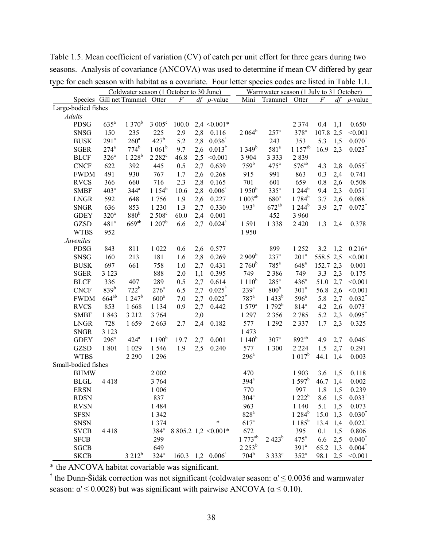| JГ<br>Coldwater season (1 October to 30 June) |                  |                                |                    |          |     |                                         | Warmwater season (1 July to 31 October) |                    |                    |           |     |                   |
|-----------------------------------------------|------------------|--------------------------------|--------------------|----------|-----|-----------------------------------------|-----------------------------------------|--------------------|--------------------|-----------|-----|-------------------|
|                                               |                  | Species Gill net Trammel Otter |                    | $\cal F$ |     | $df$ <i>p</i> -value                    | Mini                                    | Trammel            | Otter              | $\cal F$  | df  | $p$ -value        |
| Large-bodied fishes                           |                  |                                |                    |          |     |                                         |                                         |                    |                    |           |     |                   |
| <b>Adults</b>                                 |                  |                                |                    |          |     |                                         |                                         |                    |                    |           |     |                   |
| <b>PDSG</b>                                   | $635^a$          | $1370^{b}$                     | $3005^{\circ}$     | 100.0    |     | $2,4 \leq 0.001*$                       |                                         |                    | 2 3 7 4            | 0.4       | 1,1 | 0.650             |
| <b>SNSG</b>                                   | 150              | 235                            | 225                | 2.9      | 2,8 | 0.116                                   | $2.064^b$                               | $257^a$            | $378^a$            | 107.8 2,5 |     | < 0.001           |
| <b>BUSK</b>                                   | $291^a$          | $260^a$                        | $427^b$            | 5.2      | 2,8 | $0.036^{\dagger}$                       |                                         | 243                | 353                | 5.3       | 1,5 | $0.070^{\dagger}$ |
| <b>SGER</b>                                   | $274^a$          | $774^b$                        | $1061^b$           | 9.7      | 2,6 | $0.013^{\dagger}$                       | $1349^{b}$                              | 581 <sup>a</sup>   | $1157^{ab}$        | 16.9      | 2,3 | $0.023^{\dagger}$ |
| <b>BLCF</b>                                   | $326^a$          | $1228^b$                       | 2 2 8 2 °          | 46.8     | 2,5 | < 0.001                                 | 3 9 0 4                                 | 3 3 3 3            | 2839               |           |     |                   |
| <b>CNCF</b>                                   | 622              | 392                            | 445                | 0.5      | 2,7 | 0.639                                   | 759 <sup>b</sup>                        | $475^{\mathrm{a}}$ | $576^{ab}$         | 4.3       | 2,8 | $0.055^{\dagger}$ |
| <b>FWDM</b>                                   | 491              | 930                            | 767                | 1.7      | 2,6 | 0.268                                   | 915                                     | 991                | 863                | 0.3       | 2,4 | 0.741             |
| <b>RVCS</b>                                   | 366              | 660                            | 716                | 2.3      | 2,8 | 0.165                                   | 701                                     | 601                | 659                | 0.8       | 2,6 | 0.508             |
| <b>SMBF</b>                                   | 403 <sup>a</sup> | $344^a$                        | $1154^b$           | 10.6     | 2,8 | $0.006^{\dagger}$                       | $1950^b$                                | $335^a$            | $1244^b$           | 9.4       | 2,3 | $0.051^{\dagger}$ |
| <b>LNGR</b>                                   | 592              | 648                            | 1756               | 1.9      | 2,6 | 0.227                                   | $1003^{ab}$                             | 680 <sup>a</sup>   | $1784^b$           | 3.7       | 2,6 | $0.088^{\dagger}$ |
| <b>SNGR</b>                                   | 636              | 853                            | 1 2 3 0            | 1.3      | 2,7 | 0.330                                   | 193 <sup>a</sup>                        | $672^{ab}$         | $1244^b$           | 3.9       | 2,7 | $0.072^{\dagger}$ |
| <b>GDEY</b>                                   | $320^a$          | 880 <sup>b</sup>               | 2 508 <sup>c</sup> | 60.0     | 2,4 | 0.001                                   |                                         | 452                | 3 9 6 0            |           |     |                   |
| <b>GZSD</b>                                   | 481 <sup>a</sup> | $669^{ab}$                     | $1207^{\rm b}$     | 6.6      | 2,7 | $0.024^{\dagger}$                       | 1591                                    | 1 3 3 8            | 2 4 2 0            | 1.3       | 2,4 | 0.378             |
| <b>WTBS</b>                                   | 952              |                                |                    |          |     |                                         | 1950                                    |                    |                    |           |     |                   |
| Juveniles                                     |                  |                                |                    |          |     |                                         |                                         |                    |                    |           |     |                   |
| PDSG                                          | 843              | 811                            | 1 0 2 2            | 0.6      | 2,6 | 0.577                                   |                                         | 899                | 1 2 5 2            | 3.2       | 1,2 | $0.216*$          |
| <b>SNSG</b>                                   | 160              | 213                            | 181                | 1.6      | 2,8 | 0.269                                   | $2909^b$                                | $237^a$            | 201 <sup>a</sup>   | 558.5 2,5 |     | < 0.001           |
| <b>BUSK</b>                                   | 697              | 661                            | 758                | 1.0      | 2,7 | 0.431                                   | $2760^{\rm b}$                          | $785^a$            | $648$ <sup>a</sup> | 152.7 2,3 |     | 0.001             |
| <b>SGER</b>                                   | 3 1 2 3          |                                | 888                | 2.0      | 1,1 | 0.395                                   | 749                                     | 2 3 8 6            | 749                | 3.3       | 2,3 | 0.175             |
| <b>BLCF</b>                                   | 336              | 407                            | 289                | 0.5      | 2,7 | 0.614                                   | $1110^b$                                | $285^{\mathrm{a}}$ | 436 <sup>a</sup>   | 51.0      | 2,7 | < 0.001           |
| <b>CNCF</b>                                   | 839 <sup>b</sup> | $722^b$                        | $276^a$            | 6.5      | 2,7 | $0.025^{\dagger}$                       | $239^a$                                 | 800 <sup>b</sup>   | 301 <sup>a</sup>   | 56.8      | 2,6 | < 0.001           |
| <b>FWDM</b>                                   | $664^{ab}$       | $1247^b$                       | $600^a$            | 7.0      | 2,7 | $0.022^{\dagger}$                       | $787$ <sup>a</sup>                      | $1433^b$           | $596^{\circ}$      | 5.8       | 2,7 | $0.032^{\dagger}$ |
| <b>RVCS</b>                                   | 853              | 1668                           | 1 1 3 4            | 0.9      | 2,7 | 0.442                                   | $1579^a$                                | $1792^b$           | 814 <sup>a</sup>   | 4.2       | 2,6 | $0.073^{\dagger}$ |
| <b>SMBF</b>                                   | 1843             | 3 2 1 2                        | 3 7 6 4            |          | 2,0 |                                         | 1 2 9 7                                 | 2 3 5 6            | 2 7 8 5            | 5.2       | 2,3 | $0.095^{\dagger}$ |
| <b>LNGR</b>                                   | 728              | 1659                           | 2663               | 2.7      | 2,4 | 0.182                                   | 577                                     | 1 2 9 2            | 2 3 3 7            | 1.7       | 2,3 | 0.325             |
| <b>SNGR</b>                                   | 3 1 2 3          |                                |                    |          |     |                                         | 1 473                                   |                    |                    |           |     |                   |
| <b>GDEY</b>                                   | $296^a$          | $424^a$                        | $1~190^b$          | 19.7     | 2,7 | 0.001                                   | $1140^b$                                | $307^a$            | $892^{ab}$         | 4.9       | 2,7 | $0.046^{\dagger}$ |
| <b>GZSD</b>                                   | 1801             | 1 0 29                         | 1546               | 1.9      | 2,5 | 0.240                                   | 577                                     | 1 300              | 2 2 2 4            | 1.5       | 2,7 | 0.291             |
| <b>WTBS</b>                                   |                  | 2 2 9 0                        | 1 2 9 6            |          |     |                                         | $296^a$                                 |                    | $1017^b$           | 44.1      | 1,4 | 0.003             |
| Small-bodied fishes                           |                  |                                |                    |          |     |                                         |                                         |                    |                    |           |     |                   |
| <b>BHMW</b>                                   |                  |                                | 2 0 0 2            |          |     |                                         | 470                                     |                    | 1903               | 3.6       | 1,5 | 0.118             |
| <b>BLGL</b>                                   | 4418             |                                | 3 7 6 4            |          |     |                                         | $394^a$                                 |                    | 1.597 <sup>b</sup> | 46.7      | 1,4 | 0.002             |
| <b>ERSN</b>                                   |                  |                                | 1 0 0 6            |          |     |                                         | 770                                     |                    | 997                | 1.8       | 1,5 | 0.239             |
| <b>RDSN</b>                                   |                  |                                | 837                |          |     |                                         | 304 <sup>a</sup>                        |                    | $1222^b$           | 8.6       | 1,5 | $0.033^{\dagger}$ |
| <b>RVSN</b>                                   |                  |                                | 1484               |          |     |                                         | 963                                     |                    | 1 1 4 0            | 5.1       | 1,5 | 0.073             |
| <b>SFSN</b>                                   |                  |                                | 1 3 4 2            |          |     |                                         | $828^a$                                 |                    | $1284^b$           | 15.0      | 1,3 | $0.030^{\dagger}$ |
| <b>SNSN</b>                                   |                  |                                | 1 3 7 4            |          |     | *                                       | 617 <sup>a</sup>                        |                    | $1185^b$           | 13.4      | 1,4 | $0.022^{\dagger}$ |
| <b>SVCB</b>                                   | 4418             |                                | $384^a$            |          |     | 8 805.2 1,2 $\leq 0.001*$               | 672                                     |                    | 395                | 0.1       | 1,5 | 0.806             |
| <b>SFCB</b>                                   |                  |                                | 299                |          |     |                                         | $1773^{ab}$                             | $2423^b$           | $475^{\mathrm{a}}$ | 6.6       | 2,5 | $0.040^{\dagger}$ |
| <b>SGCB</b>                                   |                  |                                | 649                |          |     |                                         | $2253^b$                                |                    | 391 <sup>a</sup>   | 65.2      | 1,3 | $0.004^{\dagger}$ |
| <b>SKCB</b>                                   |                  | $3212^b$                       | $324^a$            |          |     | $160.3 \quad 1,2 \quad 0.006^{\dagger}$ | 704 <sup>b</sup>                        | 3 3 3 3 3 °        | $352^a$            | 98.1 2,5  |     | < 0.001           |

Table 1.5. Mean coefficient of variation (CV) of catch per unit effort for three gears during two seasons. Analysis of covariance (ANCOVA) was used to determine if mean CV differed by gear type for each season with habitat as a covariate. Four letter species codes are listed in Table 1.1.

\* the ANCOVA habitat covariable was significant.

<sup>†</sup> the Dunn-Šidák correction was not significant (coldwater season:  $\alpha' \le 0.0036$  and warmwater season:  $\alpha' \le 0.0028$ ) but was significant with pairwise ANCOVA ( $\alpha \le 0.10$ ).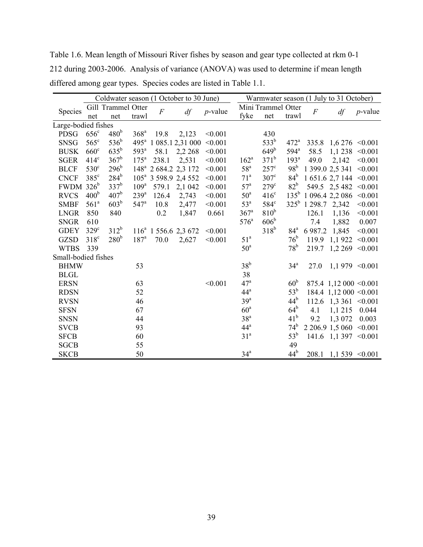Table 1.6. Mean length of Missouri River fishes by season and gear type collected at rkm 0-1 212 during 2003-2006. Analysis of variance (ANOVA) was used to determine if mean length differed among gear types. Species codes are listed in Table 1.1.

|                     |                  |                    |                    |                | Coldwater season (1 October to 30 June) | Warmwater season (1 July to 31 October) |                    |                    |                  |                  |                             |                    |
|---------------------|------------------|--------------------|--------------------|----------------|-----------------------------------------|-----------------------------------------|--------------------|--------------------|------------------|------------------|-----------------------------|--------------------|
|                     |                  | Gill Trammel Otter |                    |                |                                         |                                         |                    | Mini Trammel Otter |                  |                  | df                          | $p$ -value         |
| Species             | net              | net                | trawl              | $\overline{F}$ | df                                      | $p$ -value                              | fyke               | net                | trawl            | $\boldsymbol{F}$ |                             |                    |
| Large-bodied fishes |                  |                    |                    |                |                                         |                                         |                    |                    |                  |                  |                             |                    |
| <b>PDSG</b>         | $656^{\circ}$    | 480 <sup>b</sup>   | 368 <sup>a</sup>   | 19.8           | 2,123                                   | < 0.001                                 |                    | 430                |                  |                  |                             |                    |
| <b>SNSG</b>         | $565^{\circ}$    | $536^b$            | $495^{\mathrm{a}}$ |                | 1 085.1 2,31 000                        | < 0.001                                 |                    | 533 <sup>b</sup>   | $472^{\circ}$    | 335.8            |                             | $1,6276 \le 0.001$ |
| <b>BUSK</b>         | $660^\circ$      | $635^{\rm b}$      | $593^{\mathrm{a}}$ | 58.1           | 2,2 268                                 | < 0.001                                 |                    | $649^b$            | $594^a$          | 58.5             | 1,1238                      | < 0.001            |
| <b>SGER</b>         | $414^c$          | $367^b$            | $175^a$            | 238.1          | 2,531                                   | < 0.001                                 | $162^a$            | $371^b$            | 193 <sup>a</sup> | 49.0             | 2,142                       | < 0.001            |
| <b>BLCF</b>         | $530^\circ$      | 296 <sup>b</sup>   |                    |                | 148 <sup>a</sup> 2 684.2 2,3 172        | < 0.001                                 | 58 <sup>a</sup>    | $257^{\circ}$      | 98 <sup>b</sup>  |                  | 1 399.0 2,5 341             | < 0.001            |
| <b>CNCF</b>         | $385^{\circ}$    | $284^b$            | 105 <sup>a</sup>   |                | 3 598.9 2,4 552                         | < 0.001                                 | 71 <sup>a</sup>    | $307^{\circ}$      | 84 <sup>b</sup>  |                  | $1651.6$ 2,7 144 < 0.001    |                    |
| <b>FWDM</b>         | $326^b$          | $337^b$            | 109 <sup>a</sup>   | 579.1          | 2,1 042                                 | < 0.001                                 | 57 <sup>a</sup>    | $279^\circ$        | 82 <sup>b</sup>  |                  | 549.5 2,5 482 < 0.001       |                    |
| <b>RVCS</b>         | 400 <sup>b</sup> | $407^{\rm b}$      | $239^a$            | 126.4          | 2,743                                   | < 0.001                                 | 50 <sup>a</sup>    | $416^{\circ}$      | $135^{\rm b}$    |                  | $1096.42,2086$ < 0.001      |                    |
| <b>SMBF</b>         | 561 <sup>a</sup> | 603 <sup>b</sup>   | $547^{\circ}$      | 10.8           | 2,477                                   | < 0.001                                 | 53 <sup>a</sup>    | 584 <sup>c</sup>   |                  | $325^b$ 1 298.7  | 2,342                       | < 0.001            |
| <b>LNGR</b>         | 850              | 840                |                    | 0.2            | 1,847                                   | 0.661                                   | $367$ <sup>a</sup> | 810 <sup>b</sup>   |                  | 126.1            | 1,136                       | < 0.001            |
| <b>SNGR</b>         | 610              |                    |                    |                |                                         |                                         | $576^{\circ}$      | 606 <sup>b</sup>   |                  | 7.4              | 1,882                       | 0.007              |
| <b>GDEY</b>         | $329^\circ$      | $312^b$            |                    |                | $116^a$ 1 556.6 2,3 672                 | < 0.001                                 |                    | $318^b$            | 84 <sup>a</sup>  | 6 9 8 7.2        | 1,845                       | < 0.001            |
| <b>GZSD</b>         | $318^{\circ}$    | 280 <sup>b</sup>   | 187 <sup>a</sup>   | 70.0           | 2,627                                   | < 0.001                                 | 51 <sup>a</sup>    |                    | 76 <sup>b</sup>  | 119.9            | 1,1922                      | < 0.001            |
| <b>WTBS</b>         | 339              |                    |                    |                |                                         |                                         | 50 <sup>a</sup>    |                    | 78 <sup>b</sup>  | 219.7            | 1,2 269                     | < 0.001            |
| Small-bodied fishes |                  |                    |                    |                |                                         |                                         |                    |                    |                  |                  |                             |                    |
| <b>BHMW</b>         |                  |                    | 53                 |                |                                         |                                         | $38^b$             |                    | 34 <sup>a</sup>  | 27.0             | $1,1979 \le 0.001$          |                    |
| <b>BLGL</b>         |                  |                    |                    |                |                                         |                                         | 38                 |                    |                  |                  |                             |                    |
| <b>ERSN</b>         |                  |                    | 63                 |                |                                         | < 0.001                                 | 47 <sup>a</sup>    |                    | 60 <sup>b</sup>  |                  | 875.4 1,12 000 $\leq 0.001$ |                    |
| <b>RDSN</b>         |                  |                    | 52                 |                |                                         |                                         | 44 <sup>a</sup>    |                    | $53^{\rm b}$     |                  | 184.4 1,12 000 $\leq 0.001$ |                    |
| <b>RVSN</b>         |                  |                    | 46                 |                |                                         |                                         | 39 <sup>a</sup>    |                    | 44 <sup>b</sup>  | 112.6            | $1,3361 \le 0.001$          |                    |
| <b>SFSN</b>         |                  |                    | 67                 |                |                                         |                                         | 60 <sup>a</sup>    |                    | $64^{\rm b}$     | 4.1              | 1,1215                      | 0.044              |
| <b>SNSN</b>         |                  |                    | 44                 |                |                                         |                                         | 38 <sup>a</sup>    |                    | 41 <sup>b</sup>  | 9.2              | 1,3 072                     | 0.003              |
| <b>SVCB</b>         |                  |                    | 93                 |                |                                         |                                         | 44 <sup>a</sup>    |                    | 74 <sup>b</sup>  |                  | 2 206.9 1,5 060 < 0.001     |                    |
| <b>SFCB</b>         |                  |                    | 60                 |                |                                         |                                         | 31 <sup>a</sup>    |                    | $53^b$           | 141.6            | $1,1397 \le 0.001$          |                    |
| <b>SGCB</b>         |                  |                    | 55                 |                |                                         |                                         |                    |                    | 49               |                  |                             |                    |
| <b>SKCB</b>         |                  |                    | 50                 |                |                                         |                                         | 34 <sup>a</sup>    |                    | 44 <sup>b</sup>  | 208.1            | $1,1539 \le 0.001$          |                    |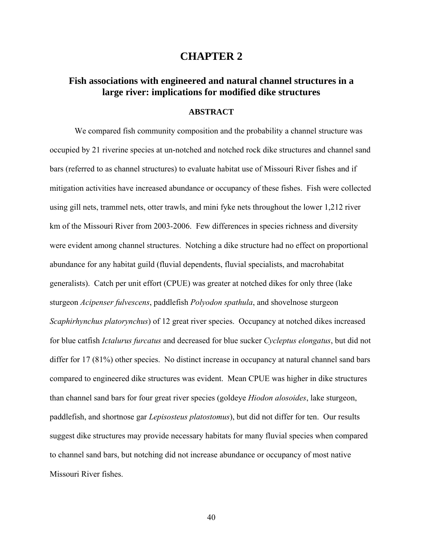## **CHAPTER 2**

## **Fish associations with engineered and natural channel structures in a large river: implications for modified dike structures**

### **ABSTRACT**

We compared fish community composition and the probability a channel structure was occupied by 21 riverine species at un-notched and notched rock dike structures and channel sand bars (referred to as channel structures) to evaluate habitat use of Missouri River fishes and if mitigation activities have increased abundance or occupancy of these fishes. Fish were collected using gill nets, trammel nets, otter trawls, and mini fyke nets throughout the lower 1,212 river km of the Missouri River from 2003-2006. Few differences in species richness and diversity were evident among channel structures. Notching a dike structure had no effect on proportional abundance for any habitat guild (fluvial dependents, fluvial specialists, and macrohabitat generalists). Catch per unit effort (CPUE) was greater at notched dikes for only three (lake sturgeon *Acipenser fulvescens*, paddlefish *Polyodon spathula*, and shovelnose sturgeon *Scaphirhynchus platorynchus*) of 12 great river species. Occupancy at notched dikes increased for blue catfish *Ictalurus furcatus* and decreased for blue sucker *Cycleptus elongatus*, but did not differ for 17 (81%) other species. No distinct increase in occupancy at natural channel sand bars compared to engineered dike structures was evident. Mean CPUE was higher in dike structures than channel sand bars for four great river species (goldeye *Hiodon alosoides*, lake sturgeon, paddlefish, and shortnose gar *Lepisosteus platostomus*), but did not differ for ten. Our results suggest dike structures may provide necessary habitats for many fluvial species when compared to channel sand bars, but notching did not increase abundance or occupancy of most native Missouri River fishes.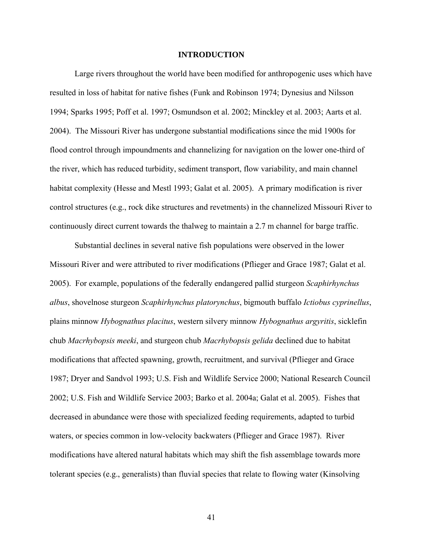#### **INTRODUCTION**

Large rivers throughout the world have been modified for anthropogenic uses which have resulted in loss of habitat for native fishes (Funk and Robinson 1974; Dynesius and Nilsson 1994; Sparks 1995; Poff et al. 1997; Osmundson et al. 2002; Minckley et al. 2003; Aarts et al. 2004). The Missouri River has undergone substantial modifications since the mid 1900s for flood control through impoundments and channelizing for navigation on the lower one-third of the river, which has reduced turbidity, sediment transport, flow variability, and main channel habitat complexity (Hesse and Mestl 1993; Galat et al. 2005). A primary modification is river control structures (e.g., rock dike structures and revetments) in the channelized Missouri River to continuously direct current towards the thalweg to maintain a 2.7 m channel for barge traffic.

Substantial declines in several native fish populations were observed in the lower Missouri River and were attributed to river modifications (Pflieger and Grace 1987; Galat et al. 2005). For example, populations of the federally endangered pallid sturgeon *Scaphirhynchus albus*, shovelnose sturgeon *Scaphirhynchus platorynchus*, bigmouth buffalo *Ictiobus cyprinellus*, plains minnow *Hybognathus placitus*, western silvery minnow *Hybognathus argyritis*, sicklefin chub *Macrhybopsis meeki*, and sturgeon chub *Macrhybopsis gelida* declined due to habitat modifications that affected spawning, growth, recruitment, and survival (Pflieger and Grace 1987; Dryer and Sandvol 1993; U.S. Fish and Wildlife Service 2000; National Research Council 2002; U.S. Fish and Wildlife Service 2003; Barko et al. 2004a; Galat et al. 2005). Fishes that decreased in abundance were those with specialized feeding requirements, adapted to turbid waters, or species common in low-velocity backwaters (Pflieger and Grace 1987). River modifications have altered natural habitats which may shift the fish assemblage towards more tolerant species (e.g., generalists) than fluvial species that relate to flowing water (Kinsolving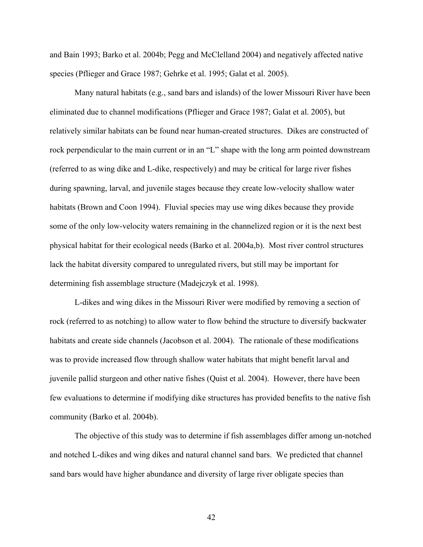and Bain 1993; Barko et al. 2004b; Pegg and McClelland 2004) and negatively affected native species (Pflieger and Grace 1987; Gehrke et al. 1995; Galat et al. 2005).

Many natural habitats (e.g., sand bars and islands) of the lower Missouri River have been eliminated due to channel modifications (Pflieger and Grace 1987; Galat et al. 2005), but relatively similar habitats can be found near human-created structures. Dikes are constructed of rock perpendicular to the main current or in an "L" shape with the long arm pointed downstream (referred to as wing dike and L-dike, respectively) and may be critical for large river fishes during spawning, larval, and juvenile stages because they create low-velocity shallow water habitats (Brown and Coon 1994). Fluvial species may use wing dikes because they provide some of the only low-velocity waters remaining in the channelized region or it is the next best physical habitat for their ecological needs (Barko et al. 2004a,b). Most river control structures lack the habitat diversity compared to unregulated rivers, but still may be important for determining fish assemblage structure (Madejczyk et al. 1998).

L-dikes and wing dikes in the Missouri River were modified by removing a section of rock (referred to as notching) to allow water to flow behind the structure to diversify backwater habitats and create side channels (Jacobson et al. 2004). The rationale of these modifications was to provide increased flow through shallow water habitats that might benefit larval and juvenile pallid sturgeon and other native fishes (Quist et al. 2004). However, there have been few evaluations to determine if modifying dike structures has provided benefits to the native fish community (Barko et al. 2004b).

The objective of this study was to determine if fish assemblages differ among un-notched and notched L-dikes and wing dikes and natural channel sand bars. We predicted that channel sand bars would have higher abundance and diversity of large river obligate species than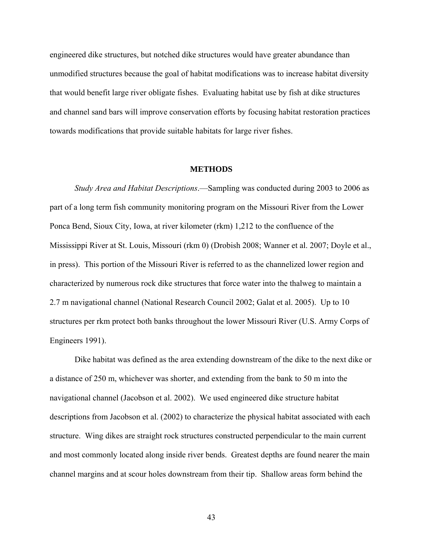engineered dike structures, but notched dike structures would have greater abundance than unmodified structures because the goal of habitat modifications was to increase habitat diversity that would benefit large river obligate fishes. Evaluating habitat use by fish at dike structures and channel sand bars will improve conservation efforts by focusing habitat restoration practices towards modifications that provide suitable habitats for large river fishes.

#### **METHODS**

*Study Area and Habitat Descriptions*.—Sampling was conducted during 2003 to 2006 as part of a long term fish community monitoring program on the Missouri River from the Lower Ponca Bend, Sioux City, Iowa, at river kilometer (rkm) 1,212 to the confluence of the Mississippi River at St. Louis, Missouri (rkm 0) (Drobish 2008; Wanner et al. 2007; Doyle et al., in press). This portion of the Missouri River is referred to as the channelized lower region and characterized by numerous rock dike structures that force water into the thalweg to maintain a 2.7 m navigational channel (National Research Council 2002; Galat et al. 2005). Up to 10 structures per rkm protect both banks throughout the lower Missouri River (U.S. Army Corps of Engineers 1991).

Dike habitat was defined as the area extending downstream of the dike to the next dike or a distance of 250 m, whichever was shorter, and extending from the bank to 50 m into the navigational channel (Jacobson et al. 2002). We used engineered dike structure habitat descriptions from Jacobson et al. (2002) to characterize the physical habitat associated with each structure. Wing dikes are straight rock structures constructed perpendicular to the main current and most commonly located along inside river bends. Greatest depths are found nearer the main channel margins and at scour holes downstream from their tip. Shallow areas form behind the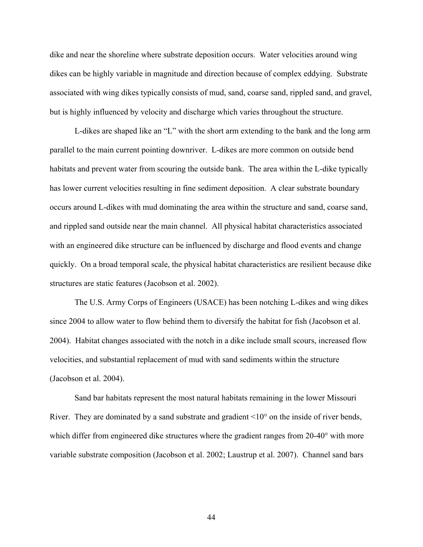dike and near the shoreline where substrate deposition occurs. Water velocities around wing dikes can be highly variable in magnitude and direction because of complex eddying. Substrate associated with wing dikes typically consists of mud, sand, coarse sand, rippled sand, and gravel, but is highly influenced by velocity and discharge which varies throughout the structure.

L-dikes are shaped like an "L" with the short arm extending to the bank and the long arm parallel to the main current pointing downriver. L-dikes are more common on outside bend habitats and prevent water from scouring the outside bank. The area within the L-dike typically has lower current velocities resulting in fine sediment deposition. A clear substrate boundary occurs around L-dikes with mud dominating the area within the structure and sand, coarse sand, and rippled sand outside near the main channel. All physical habitat characteristics associated with an engineered dike structure can be influenced by discharge and flood events and change quickly. On a broad temporal scale, the physical habitat characteristics are resilient because dike structures are static features (Jacobson et al. 2002).

The U.S. Army Corps of Engineers (USACE) has been notching L-dikes and wing dikes since 2004 to allow water to flow behind them to diversify the habitat for fish (Jacobson et al. 2004). Habitat changes associated with the notch in a dike include small scours, increased flow velocities, and substantial replacement of mud with sand sediments within the structure (Jacobson et al. 2004).

Sand bar habitats represent the most natural habitats remaining in the lower Missouri River. They are dominated by a sand substrate and gradient  $\leq 10^{\circ}$  on the inside of river bends, which differ from engineered dike structures where the gradient ranges from 20-40° with more variable substrate composition (Jacobson et al. 2002; Laustrup et al. 2007). Channel sand bars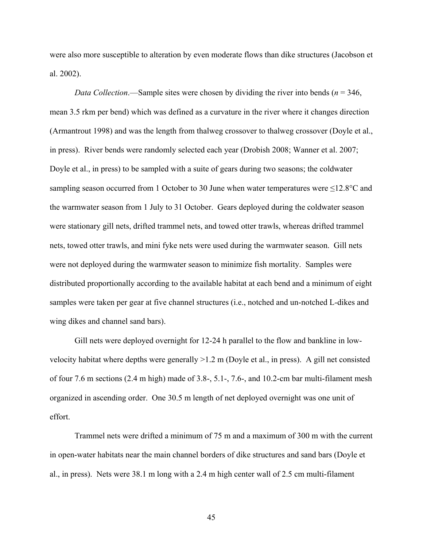were also more susceptible to alteration by even moderate flows than dike structures (Jacobson et al. 2002).

*Data Collection*.—Sample sites were chosen by dividing the river into bends ( $n = 346$ , mean 3.5 rkm per bend) which was defined as a curvature in the river where it changes direction (Armantrout 1998) and was the length from thalweg crossover to thalweg crossover (Doyle et al., in press). River bends were randomly selected each year (Drobish 2008; Wanner et al. 2007; Doyle et al., in press) to be sampled with a suite of gears during two seasons; the coldwater sampling season occurred from 1 October to 30 June when water temperatures were ≤12.8°C and the warmwater season from 1 July to 31 October. Gears deployed during the coldwater season were stationary gill nets, drifted trammel nets, and towed otter trawls, whereas drifted trammel nets, towed otter trawls, and mini fyke nets were used during the warmwater season. Gill nets were not deployed during the warmwater season to minimize fish mortality. Samples were distributed proportionally according to the available habitat at each bend and a minimum of eight samples were taken per gear at five channel structures (i.e., notched and un-notched L-dikes and wing dikes and channel sand bars).

Gill nets were deployed overnight for 12-24 h parallel to the flow and bankline in lowvelocity habitat where depths were generally >1.2 m (Doyle et al., in press). A gill net consisted of four 7.6 m sections (2.4 m high) made of 3.8-, 5.1-, 7.6-, and 10.2-cm bar multi-filament mesh organized in ascending order. One 30.5 m length of net deployed overnight was one unit of effort.

Trammel nets were drifted a minimum of 75 m and a maximum of 300 m with the current in open-water habitats near the main channel borders of dike structures and sand bars (Doyle et al., in press). Nets were 38.1 m long with a 2.4 m high center wall of 2.5 cm multi-filament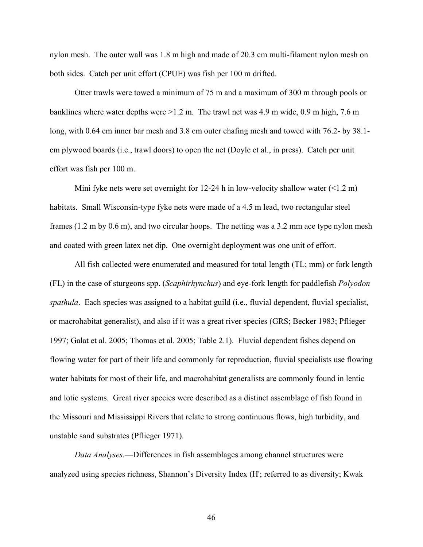nylon mesh. The outer wall was 1.8 m high and made of 20.3 cm multi-filament nylon mesh on both sides. Catch per unit effort (CPUE) was fish per 100 m drifted.

Otter trawls were towed a minimum of 75 m and a maximum of 300 m through pools or banklines where water depths were >1.2 m. The trawl net was 4.9 m wide, 0.9 m high, 7.6 m long, with 0.64 cm inner bar mesh and 3.8 cm outer chafing mesh and towed with 76.2- by 38.1 cm plywood boards (i.e., trawl doors) to open the net (Doyle et al., in press). Catch per unit effort was fish per 100 m.

Mini fyke nets were set overnight for 12-24 h in low-velocity shallow water  $(\leq 1.2 \text{ m})$ habitats. Small Wisconsin-type fyke nets were made of a 4.5 m lead, two rectangular steel frames (1.2 m by 0.6 m), and two circular hoops. The netting was a 3.2 mm ace type nylon mesh and coated with green latex net dip. One overnight deployment was one unit of effort.

All fish collected were enumerated and measured for total length (TL; mm) or fork length (FL) in the case of sturgeons spp. (*Scaphirhynchus*) and eye-fork length for paddlefish *Polyodon spathula*. Each species was assigned to a habitat guild (i.e., fluvial dependent, fluvial specialist, or macrohabitat generalist), and also if it was a great river species (GRS; Becker 1983; Pflieger 1997; Galat et al. 2005; Thomas et al. 2005; Table 2.1). Fluvial dependent fishes depend on flowing water for part of their life and commonly for reproduction, fluvial specialists use flowing water habitats for most of their life, and macrohabitat generalists are commonly found in lentic and lotic systems. Great river species were described as a distinct assemblage of fish found in the Missouri and Mississippi Rivers that relate to strong continuous flows, high turbidity, and unstable sand substrates (Pflieger 1971).

*Data Analyses*.—Differences in fish assemblages among channel structures were analyzed using species richness, Shannon's Diversity Index (H'; referred to as diversity; Kwak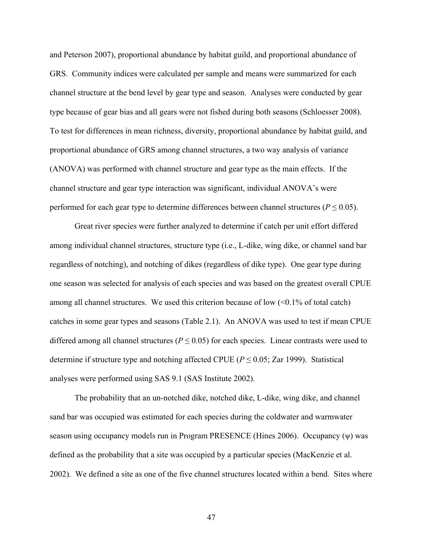and Peterson 2007), proportional abundance by habitat guild, and proportional abundance of GRS. Community indices were calculated per sample and means were summarized for each channel structure at the bend level by gear type and season. Analyses were conducted by gear type because of gear bias and all gears were not fished during both seasons (Schloesser 2008). To test for differences in mean richness, diversity, proportional abundance by habitat guild, and proportional abundance of GRS among channel structures, a two way analysis of variance (ANOVA) was performed with channel structure and gear type as the main effects. If the channel structure and gear type interaction was significant, individual ANOVA's were performed for each gear type to determine differences between channel structures ( $P \le 0.05$ ).

Great river species were further analyzed to determine if catch per unit effort differed among individual channel structures, structure type (i.e., L-dike, wing dike, or channel sand bar regardless of notching), and notching of dikes (regardless of dike type). One gear type during one season was selected for analysis of each species and was based on the greatest overall CPUE among all channel structures. We used this criterion because of low  $\langle 0.1\%$  of total catch) catches in some gear types and seasons (Table 2.1). An ANOVA was used to test if mean CPUE differed among all channel structures ( $P \le 0.05$ ) for each species. Linear contrasts were used to determine if structure type and notching affected CPUE ( $P \le 0.05$ ; Zar 1999). Statistical analyses were performed using SAS 9.1 (SAS Institute 2002).

The probability that an un-notched dike, notched dike, L-dike, wing dike, and channel sand bar was occupied was estimated for each species during the coldwater and warmwater season using occupancy models run in Program PRESENCE (Hines 2006). Occupancy (ψ) was defined as the probability that a site was occupied by a particular species (MacKenzie et al. 2002). We defined a site as one of the five channel structures located within a bend. Sites where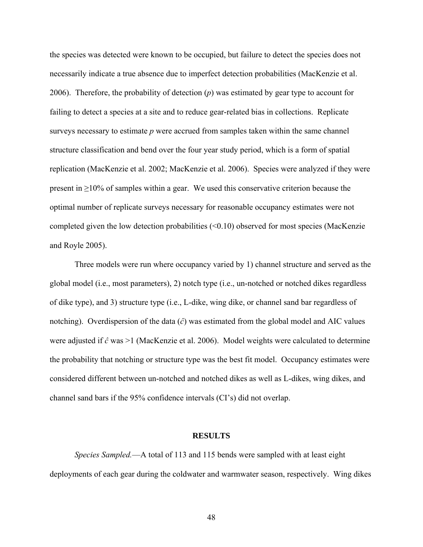the species was detected were known to be occupied, but failure to detect the species does not necessarily indicate a true absence due to imperfect detection probabilities (MacKenzie et al. 2006). Therefore, the probability of detection (*p*) was estimated by gear type to account for failing to detect a species at a site and to reduce gear-related bias in collections. Replicate surveys necessary to estimate *p* were accrued from samples taken within the same channel structure classification and bend over the four year study period, which is a form of spatial replication (MacKenzie et al. 2002; MacKenzie et al. 2006). Species were analyzed if they were present in  $\geq$ 10% of samples within a gear. We used this conservative criterion because the optimal number of replicate surveys necessary for reasonable occupancy estimates were not completed given the low detection probabilities  $( $0.10$ )$  observed for most species (MacKenzie and Royle 2005).

Three models were run where occupancy varied by 1) channel structure and served as the global model (i.e., most parameters), 2) notch type (i.e., un-notched or notched dikes regardless of dike type), and 3) structure type (i.e., L-dike, wing dike, or channel sand bar regardless of notching). Overdispersion of the data (*ĉ*) was estimated from the global model and AIC values were adjusted if *ĉ* was >1 (MacKenzie et al. 2006). Model weights were calculated to determine the probability that notching or structure type was the best fit model. Occupancy estimates were considered different between un-notched and notched dikes as well as L-dikes, wing dikes, and channel sand bars if the 95% confidence intervals (CI's) did not overlap.

#### **RESULTS**

*Species Sampled.*—A total of 113 and 115 bends were sampled with at least eight deployments of each gear during the coldwater and warmwater season, respectively. Wing dikes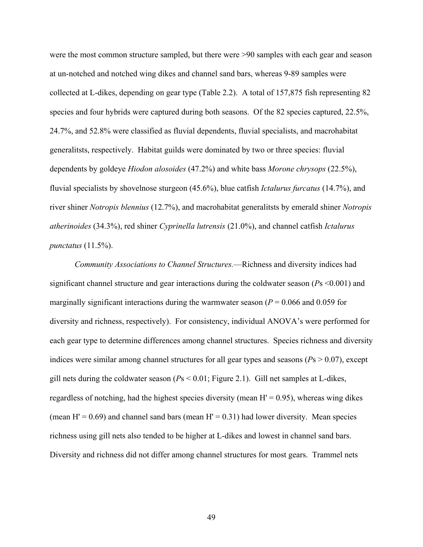were the most common structure sampled, but there were >90 samples with each gear and season at un-notched and notched wing dikes and channel sand bars, whereas 9-89 samples were collected at L-dikes, depending on gear type (Table 2.2). A total of 157,875 fish representing 82 species and four hybrids were captured during both seasons. Of the 82 species captured, 22.5%, 24.7%, and 52.8% were classified as fluvial dependents, fluvial specialists, and macrohabitat generalitsts, respectively. Habitat guilds were dominated by two or three species: fluvial dependents by goldeye *Hiodon alosoides* (47.2%) and white bass *Morone chrysops* (22.5%), fluvial specialists by shovelnose sturgeon (45.6%), blue catfish *Ictalurus furcatus* (14.7%), and river shiner *Notropis blennius* (12.7%), and macrohabitat generalitsts by emerald shiner *Notropis atherinoides* (34.3%), red shiner *Cyprinella lutrensis* (21.0%), and channel catfish *Ictalurus punctatus* (11.5%).

*Community Associations to Channel Structures.*—Richness and diversity indices had significant channel structure and gear interactions during the coldwater season (*P*s <0.001) and marginally significant interactions during the warmwater season  $(P = 0.066$  and 0.059 for diversity and richness, respectively). For consistency, individual ANOVA's were performed for each gear type to determine differences among channel structures. Species richness and diversity indices were similar among channel structures for all gear types and seasons ( $Ps > 0.07$ ), except gill nets during the coldwater season (*P*s < 0.01; Figure 2.1). Gill net samples at L-dikes, regardless of notching, had the highest species diversity (mean  $H' = 0.95$ ), whereas wing dikes (mean H' =  $0.69$ ) and channel sand bars (mean H' =  $0.31$ ) had lower diversity. Mean species richness using gill nets also tended to be higher at L-dikes and lowest in channel sand bars. Diversity and richness did not differ among channel structures for most gears. Trammel nets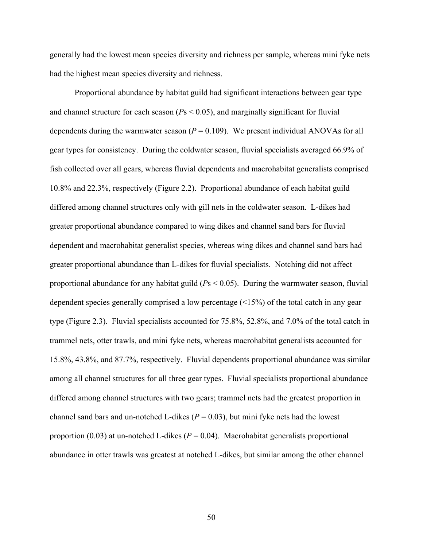generally had the lowest mean species diversity and richness per sample, whereas mini fyke nets had the highest mean species diversity and richness.

Proportional abundance by habitat guild had significant interactions between gear type and channel structure for each season (*P*s < 0.05), and marginally significant for fluvial dependents during the warmwater season  $(P = 0.109)$ . We present individual ANOVAs for all gear types for consistency. During the coldwater season, fluvial specialists averaged 66.9% of fish collected over all gears, whereas fluvial dependents and macrohabitat generalists comprised 10.8% and 22.3%, respectively (Figure 2.2). Proportional abundance of each habitat guild differed among channel structures only with gill nets in the coldwater season. L-dikes had greater proportional abundance compared to wing dikes and channel sand bars for fluvial dependent and macrohabitat generalist species, whereas wing dikes and channel sand bars had greater proportional abundance than L-dikes for fluvial specialists. Notching did not affect proportional abundance for any habitat guild (*P*s < 0.05). During the warmwater season, fluvial dependent species generally comprised a low percentage (<15%) of the total catch in any gear type (Figure 2.3). Fluvial specialists accounted for 75.8%, 52.8%, and 7.0% of the total catch in trammel nets, otter trawls, and mini fyke nets, whereas macrohabitat generalists accounted for 15.8%, 43.8%, and 87.7%, respectively. Fluvial dependents proportional abundance was similar among all channel structures for all three gear types. Fluvial specialists proportional abundance differed among channel structures with two gears; trammel nets had the greatest proportion in channel sand bars and un-notched L-dikes  $(P = 0.03)$ , but mini fyke nets had the lowest proportion (0.03) at un-notched L-dikes ( $P = 0.04$ ). Macrohabitat generalists proportional abundance in otter trawls was greatest at notched L-dikes, but similar among the other channel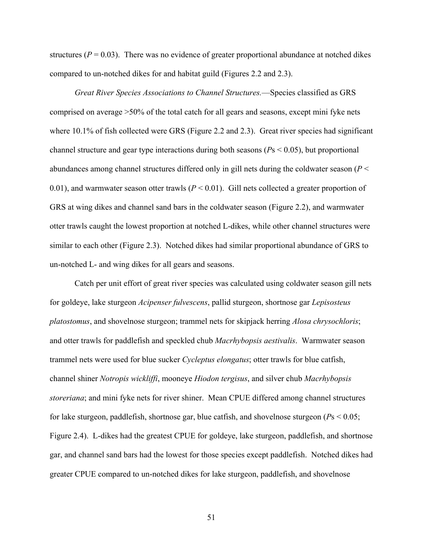structures ( $P = 0.03$ ). There was no evidence of greater proportional abundance at notched dikes compared to un-notched dikes for and habitat guild (Figures 2.2 and 2.3).

*Great River Species Associations to Channel Structures.*—Species classified as GRS comprised on average >50% of the total catch for all gears and seasons, except mini fyke nets where 10.1% of fish collected were GRS (Figure 2.2 and 2.3). Great river species had significant channel structure and gear type interactions during both seasons (*P*s < 0.05), but proportional abundances among channel structures differed only in gill nets during the coldwater season (*P* < 0.01), and warmwater season otter trawls  $(P < 0.01)$ . Gill nets collected a greater proportion of GRS at wing dikes and channel sand bars in the coldwater season (Figure 2.2), and warmwater otter trawls caught the lowest proportion at notched L-dikes, while other channel structures were similar to each other (Figure 2.3). Notched dikes had similar proportional abundance of GRS to un-notched L- and wing dikes for all gears and seasons.

Catch per unit effort of great river species was calculated using coldwater season gill nets for goldeye, lake sturgeon *Acipenser fulvescens*, pallid sturgeon, shortnose gar *Lepisosteus platostomus*, and shovelnose sturgeon; trammel nets for skipjack herring *Alosa chrysochloris*; and otter trawls for paddlefish and speckled chub *Macrhybopsis aestivalis*. Warmwater season trammel nets were used for blue sucker *Cycleptus elongatus*; otter trawls for blue catfish, channel shiner *Notropis wickliffi*, mooneye *Hiodon tergisus*, and silver chub *Macrhybopsis storeriana*; and mini fyke nets for river shiner. Mean CPUE differed among channel structures for lake sturgeon, paddlefish, shortnose gar, blue catfish, and shovelnose sturgeon (*P*s < 0.05; Figure 2.4). L-dikes had the greatest CPUE for goldeye, lake sturgeon, paddlefish, and shortnose gar, and channel sand bars had the lowest for those species except paddlefish. Notched dikes had greater CPUE compared to un-notched dikes for lake sturgeon, paddlefish, and shovelnose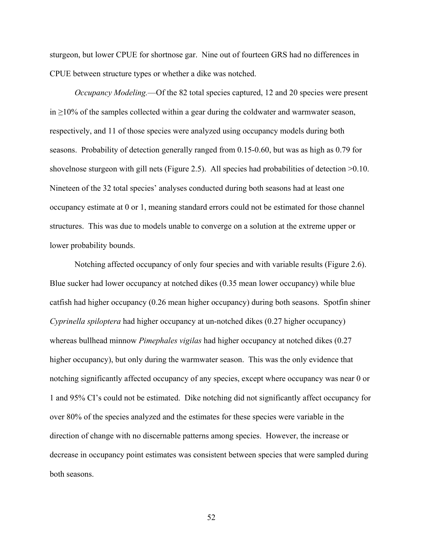sturgeon, but lower CPUE for shortnose gar. Nine out of fourteen GRS had no differences in CPUE between structure types or whether a dike was notched.

*Occupancy Modeling.*—Of the 82 total species captured, 12 and 20 species were present  $in \geq 10\%$  of the samples collected within a gear during the coldwater and warmwater season, respectively, and 11 of those species were analyzed using occupancy models during both seasons. Probability of detection generally ranged from 0.15-0.60, but was as high as 0.79 for shovelnose sturgeon with gill nets (Figure 2.5). All species had probabilities of detection >0.10. Nineteen of the 32 total species' analyses conducted during both seasons had at least one occupancy estimate at 0 or 1, meaning standard errors could not be estimated for those channel structures. This was due to models unable to converge on a solution at the extreme upper or lower probability bounds.

Notching affected occupancy of only four species and with variable results (Figure 2.6). Blue sucker had lower occupancy at notched dikes (0.35 mean lower occupancy) while blue catfish had higher occupancy (0.26 mean higher occupancy) during both seasons. Spotfin shiner *Cyprinella spiloptera* had higher occupancy at un-notched dikes (0.27 higher occupancy) whereas bullhead minnow *Pimephales vigilas* had higher occupancy at notched dikes (0.27 higher occupancy), but only during the warmwater season. This was the only evidence that notching significantly affected occupancy of any species, except where occupancy was near 0 or 1 and 95% CI's could not be estimated. Dike notching did not significantly affect occupancy for over 80% of the species analyzed and the estimates for these species were variable in the direction of change with no discernable patterns among species. However, the increase or decrease in occupancy point estimates was consistent between species that were sampled during both seasons.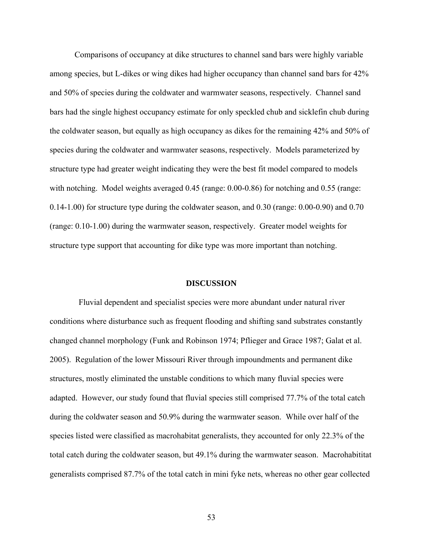Comparisons of occupancy at dike structures to channel sand bars were highly variable among species, but L-dikes or wing dikes had higher occupancy than channel sand bars for 42% and 50% of species during the coldwater and warmwater seasons, respectively. Channel sand bars had the single highest occupancy estimate for only speckled chub and sicklefin chub during the coldwater season, but equally as high occupancy as dikes for the remaining 42% and 50% of species during the coldwater and warmwater seasons, respectively. Models parameterized by structure type had greater weight indicating they were the best fit model compared to models with notching. Model weights averaged 0.45 (range: 0.00-0.86) for notching and 0.55 (range: 0.14-1.00) for structure type during the coldwater season, and 0.30 (range: 0.00-0.90) and 0.70 (range: 0.10-1.00) during the warmwater season, respectively. Greater model weights for structure type support that accounting for dike type was more important than notching.

#### **DISCUSSION**

 Fluvial dependent and specialist species were more abundant under natural river conditions where disturbance such as frequent flooding and shifting sand substrates constantly changed channel morphology (Funk and Robinson 1974; Pflieger and Grace 1987; Galat et al. 2005). Regulation of the lower Missouri River through impoundments and permanent dike structures, mostly eliminated the unstable conditions to which many fluvial species were adapted. However, our study found that fluvial species still comprised 77.7% of the total catch during the coldwater season and 50.9% during the warmwater season. While over half of the species listed were classified as macrohabitat generalists, they accounted for only 22.3% of the total catch during the coldwater season, but 49.1% during the warmwater season. Macrohabititat generalists comprised 87.7% of the total catch in mini fyke nets, whereas no other gear collected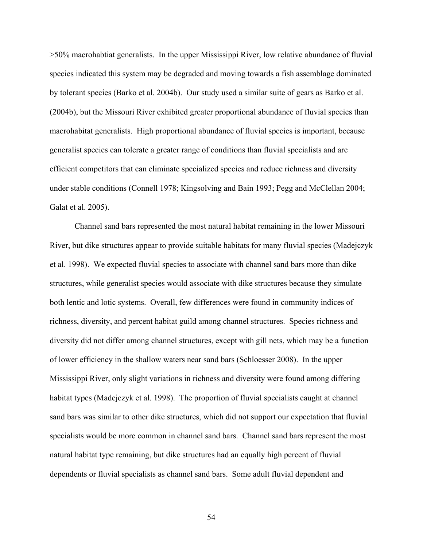>50% macrohabtiat generalists. In the upper Mississippi River, low relative abundance of fluvial species indicated this system may be degraded and moving towards a fish assemblage dominated by tolerant species (Barko et al. 2004b). Our study used a similar suite of gears as Barko et al. (2004b), but the Missouri River exhibited greater proportional abundance of fluvial species than macrohabitat generalists. High proportional abundance of fluvial species is important, because generalist species can tolerate a greater range of conditions than fluvial specialists and are efficient competitors that can eliminate specialized species and reduce richness and diversity under stable conditions (Connell 1978; Kingsolving and Bain 1993; Pegg and McClellan 2004; Galat et al. 2005).

Channel sand bars represented the most natural habitat remaining in the lower Missouri River, but dike structures appear to provide suitable habitats for many fluvial species (Madejczyk et al. 1998). We expected fluvial species to associate with channel sand bars more than dike structures, while generalist species would associate with dike structures because they simulate both lentic and lotic systems. Overall, few differences were found in community indices of richness, diversity, and percent habitat guild among channel structures. Species richness and diversity did not differ among channel structures, except with gill nets, which may be a function of lower efficiency in the shallow waters near sand bars (Schloesser 2008). In the upper Mississippi River, only slight variations in richness and diversity were found among differing habitat types (Madejczyk et al. 1998). The proportion of fluvial specialists caught at channel sand bars was similar to other dike structures, which did not support our expectation that fluvial specialists would be more common in channel sand bars. Channel sand bars represent the most natural habitat type remaining, but dike structures had an equally high percent of fluvial dependents or fluvial specialists as channel sand bars. Some adult fluvial dependent and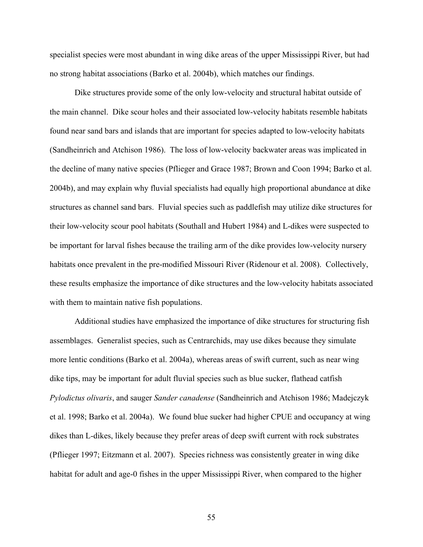specialist species were most abundant in wing dike areas of the upper Mississippi River, but had no strong habitat associations (Barko et al. 2004b), which matches our findings.

Dike structures provide some of the only low-velocity and structural habitat outside of the main channel. Dike scour holes and their associated low-velocity habitats resemble habitats found near sand bars and islands that are important for species adapted to low-velocity habitats (Sandheinrich and Atchison 1986). The loss of low-velocity backwater areas was implicated in the decline of many native species (Pflieger and Grace 1987; Brown and Coon 1994; Barko et al. 2004b), and may explain why fluvial specialists had equally high proportional abundance at dike structures as channel sand bars. Fluvial species such as paddlefish may utilize dike structures for their low-velocity scour pool habitats (Southall and Hubert 1984) and L-dikes were suspected to be important for larval fishes because the trailing arm of the dike provides low-velocity nursery habitats once prevalent in the pre-modified Missouri River (Ridenour et al. 2008). Collectively, these results emphasize the importance of dike structures and the low-velocity habitats associated with them to maintain native fish populations.

Additional studies have emphasized the importance of dike structures for structuring fish assemblages. Generalist species, such as Centrarchids, may use dikes because they simulate more lentic conditions (Barko et al. 2004a), whereas areas of swift current, such as near wing dike tips, may be important for adult fluvial species such as blue sucker, flathead catfish *Pylodictus olivaris*, and sauger *Sander canadense* (Sandheinrich and Atchison 1986; Madejczyk et al. 1998; Barko et al. 2004a). We found blue sucker had higher CPUE and occupancy at wing dikes than L-dikes, likely because they prefer areas of deep swift current with rock substrates (Pflieger 1997; Eitzmann et al. 2007). Species richness was consistently greater in wing dike habitat for adult and age-0 fishes in the upper Mississippi River, when compared to the higher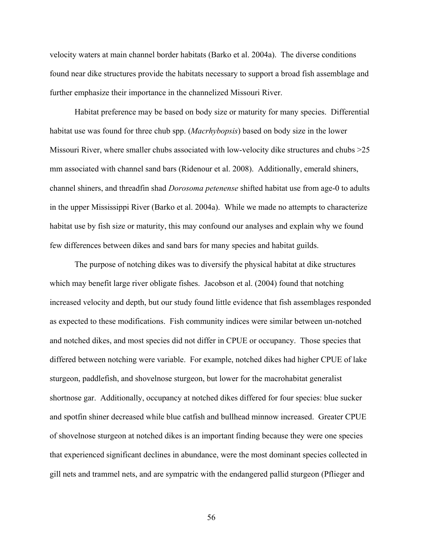velocity waters at main channel border habitats (Barko et al. 2004a). The diverse conditions found near dike structures provide the habitats necessary to support a broad fish assemblage and further emphasize their importance in the channelized Missouri River.

Habitat preference may be based on body size or maturity for many species. Differential habitat use was found for three chub spp. (*Macrhybopsis*) based on body size in the lower Missouri River, where smaller chubs associated with low-velocity dike structures and chubs >25 mm associated with channel sand bars (Ridenour et al. 2008). Additionally, emerald shiners, channel shiners, and threadfin shad *Dorosoma petenense* shifted habitat use from age-0 to adults in the upper Mississippi River (Barko et al. 2004a). While we made no attempts to characterize habitat use by fish size or maturity, this may confound our analyses and explain why we found few differences between dikes and sand bars for many species and habitat guilds.

The purpose of notching dikes was to diversify the physical habitat at dike structures which may benefit large river obligate fishes. Jacobson et al. (2004) found that notching increased velocity and depth, but our study found little evidence that fish assemblages responded as expected to these modifications. Fish community indices were similar between un-notched and notched dikes, and most species did not differ in CPUE or occupancy. Those species that differed between notching were variable. For example, notched dikes had higher CPUE of lake sturgeon, paddlefish, and shovelnose sturgeon, but lower for the macrohabitat generalist shortnose gar. Additionally, occupancy at notched dikes differed for four species: blue sucker and spotfin shiner decreased while blue catfish and bullhead minnow increased. Greater CPUE of shovelnose sturgeon at notched dikes is an important finding because they were one species that experienced significant declines in abundance, were the most dominant species collected in gill nets and trammel nets, and are sympatric with the endangered pallid sturgeon (Pflieger and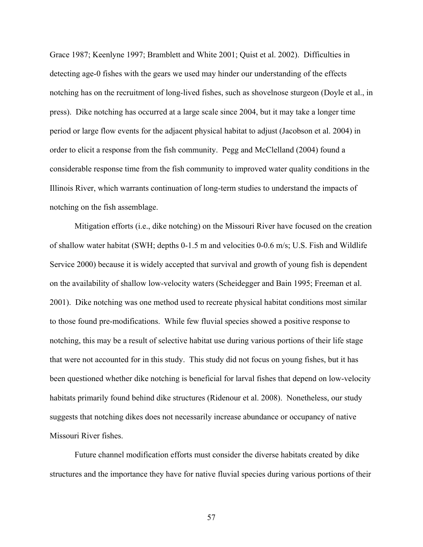Grace 1987; Keenlyne 1997; Bramblett and White 2001; Quist et al. 2002). Difficulties in detecting age-0 fishes with the gears we used may hinder our understanding of the effects notching has on the recruitment of long-lived fishes, such as shovelnose sturgeon (Doyle et al., in press). Dike notching has occurred at a large scale since 2004, but it may take a longer time period or large flow events for the adjacent physical habitat to adjust (Jacobson et al. 2004) in order to elicit a response from the fish community. Pegg and McClelland (2004) found a considerable response time from the fish community to improved water quality conditions in the Illinois River, which warrants continuation of long-term studies to understand the impacts of notching on the fish assemblage.

Mitigation efforts (i.e., dike notching) on the Missouri River have focused on the creation of shallow water habitat (SWH; depths 0-1.5 m and velocities 0-0.6 m/s; U.S. Fish and Wildlife Service 2000) because it is widely accepted that survival and growth of young fish is dependent on the availability of shallow low-velocity waters (Scheidegger and Bain 1995; Freeman et al. 2001). Dike notching was one method used to recreate physical habitat conditions most similar to those found pre-modifications. While few fluvial species showed a positive response to notching, this may be a result of selective habitat use during various portions of their life stage that were not accounted for in this study. This study did not focus on young fishes, but it has been questioned whether dike notching is beneficial for larval fishes that depend on low-velocity habitats primarily found behind dike structures (Ridenour et al. 2008). Nonetheless, our study suggests that notching dikes does not necessarily increase abundance or occupancy of native Missouri River fishes.

 Future channel modification efforts must consider the diverse habitats created by dike structures and the importance they have for native fluvial species during various portions of their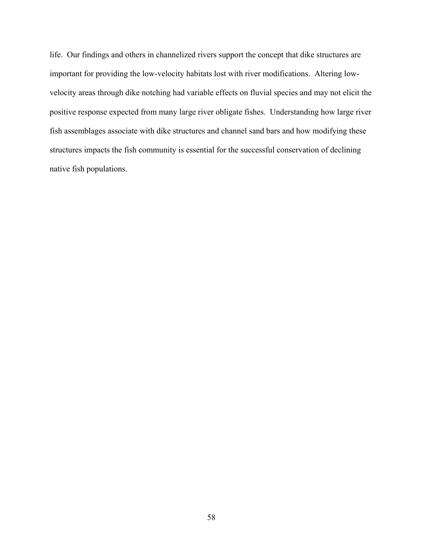life. Our findings and others in channelized rivers support the concept that dike structures are important for providing the low-velocity habitats lost with river modifications. Altering lowvelocity areas through dike notching had variable effects on fluvial species and may not elicit the positive response expected from many large river obligate fishes. Understanding how large river fish assemblages associate with dike structures and channel sand bars and how modifying these structures impacts the fish community is essential for the successful conservation of declining native fish populations.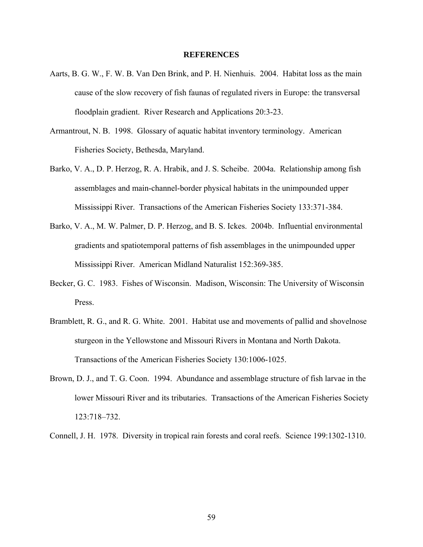#### **REFERENCES**

- Aarts, B. G. W., F. W. B. Van Den Brink, and P. H. Nienhuis. 2004. Habitat loss as the main cause of the slow recovery of fish faunas of regulated rivers in Europe: the transversal floodplain gradient. River Research and Applications 20:3-23.
- Armantrout, N. B. 1998. Glossary of aquatic habitat inventory terminology. American Fisheries Society, Bethesda, Maryland.
- Barko, V. A., D. P. Herzog, R. A. Hrabik, and J. S. Scheibe. 2004a. Relationship among fish assemblages and main-channel-border physical habitats in the unimpounded upper Mississippi River. Transactions of the American Fisheries Society 133:371-384.
- Barko, V. A., M. W. Palmer, D. P. Herzog, and B. S. Ickes. 2004b. Influential environmental gradients and spatiotemporal patterns of fish assemblages in the unimpounded upper Mississippi River. American Midland Naturalist 152:369-385.
- Becker, G. C. 1983. Fishes of Wisconsin. Madison, Wisconsin: The University of Wisconsin Press.
- Bramblett, R. G., and R. G. White. 2001. Habitat use and movements of pallid and shovelnose sturgeon in the Yellowstone and Missouri Rivers in Montana and North Dakota. Transactions of the American Fisheries Society 130:1006-1025.
- Brown, D. J., and T. G. Coon. 1994. Abundance and assemblage structure of fish larvae in the lower Missouri River and its tributaries. Transactions of the American Fisheries Society 123:718–732.

Connell, J. H. 1978. Diversity in tropical rain forests and coral reefs. Science 199:1302-1310.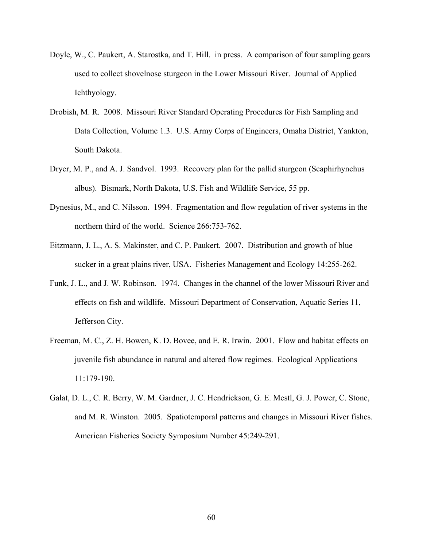- Doyle, W., C. Paukert, A. Starostka, and T. Hill. in press. A comparison of four sampling gears used to collect shovelnose sturgeon in the Lower Missouri River. Journal of Applied Ichthyology.
- Drobish, M. R. 2008. Missouri River Standard Operating Procedures for Fish Sampling and Data Collection, Volume 1.3. U.S. Army Corps of Engineers, Omaha District, Yankton, South Dakota.
- Dryer, M. P., and A. J. Sandvol. 1993. Recovery plan for the pallid sturgeon (Scaphirhynchus albus). Bismark, North Dakota, U.S. Fish and Wildlife Service, 55 pp.
- Dynesius, M., and C. Nilsson. 1994. Fragmentation and flow regulation of river systems in the northern third of the world. Science 266:753-762.
- Eitzmann, J. L., A. S. Makinster, and C. P. Paukert. 2007. Distribution and growth of blue sucker in a great plains river, USA. Fisheries Management and Ecology 14:255-262.
- Funk, J. L., and J. W. Robinson. 1974. Changes in the channel of the lower Missouri River and effects on fish and wildlife. Missouri Department of Conservation, Aquatic Series 11, Jefferson City.
- Freeman, M. C., Z. H. Bowen, K. D. Bovee, and E. R. Irwin. 2001. Flow and habitat effects on juvenile fish abundance in natural and altered flow regimes. Ecological Applications 11:179-190.
- Galat, D. L., C. R. Berry, W. M. Gardner, J. C. Hendrickson, G. E. Mestl, G. J. Power, C. Stone, and M. R. Winston. 2005. Spatiotemporal patterns and changes in Missouri River fishes. American Fisheries Society Symposium Number 45:249-291.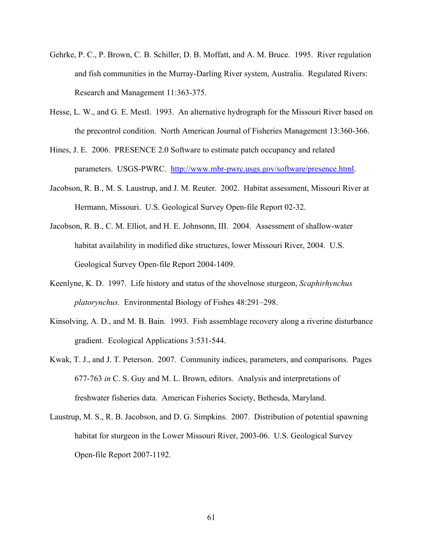- Gehrke, P. C., P. Brown, C. B. Schiller, D. B. Moffatt, and A. M. Bruce. 1995. River regulation and fish communities in the Murray-Darling River system, Australia. Regulated Rivers: Research and Management 11:363-375.
- Hesse, L. W., and G. E. Mestl. 1993. An alternative hydrograph for the Missouri River based on the precontrol condition. North American Journal of Fisheries Management 13:360-366.
- Hines, J. E. 2006. PRESENCE 2.0 Software to estimate patch occupancy and related parameters. USGS-PWRC. [http://www.mbr-pwrc.usgs.gov/software/presence.html.](http://www.mbr-pwrc.usgs.gov/software/presence.html)
- Jacobson, R. B., M. S. Laustrup, and J. M. Reuter. 2002. Habitat assessment, Missouri River at Hermann, Missouri. U.S. Geological Survey Open-file Report 02-32.
- Jacobson, R. B., C. M. Elliot, and H. E. Johnsonn, III. 2004. Assessment of shallow-water habitat availability in modified dike structures, lower Missouri River, 2004. U.S. Geological Survey Open-file Report 2004-1409.
- Keenlyne, K. D. 1997. Life history and status of the shovelnose sturgeon, *Scaphirhynchus platorynchus.* Environmental Biology of Fishes 48:291–298.
- Kinsolving, A. D., and M. B. Bain. 1993. Fish assemblage recovery along a riverine disturbance gradient. Ecological Applications 3:531-544.
- Kwak, T. J., and J. T. Peterson. 2007. Community indices, parameters, and comparisons. Pages 677-763 *in* C. S. Guy and M. L. Brown, editors. Analysis and interpretations of freshwater fisheries data. American Fisheries Society, Bethesda, Maryland.
- Laustrup, M. S., R. B. Jacobson, and D. G. Simpkins. 2007. Distribution of potential spawning habitat for sturgeon in the Lower Missouri River, 2003-06. U.S. Geological Survey Open-file Report 2007-1192.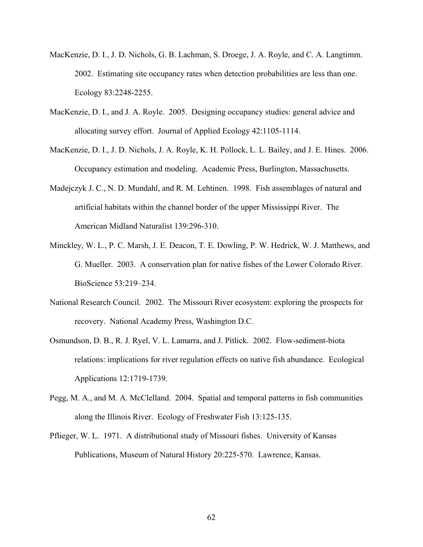- MacKenzie, D. I., J. D. Nichols, G. B. Lachman, S. Droege, J. A. Royle, and C. A. Langtimm. 2002. Estimating site occupancy rates when detection probabilities are less than one. Ecology 83:2248-2255.
- MacKenzie, D. I., and J. A. Royle. 2005. Designing occupancy studies: general advice and allocating survey effort. Journal of Applied Ecology 42:1105-1114.
- MacKenzie, D. I., J. D. Nichols, J. A. Royle, K. H. Pollock, L. L. Bailey, and J. E. Hines. 2006. Occupancy estimation and modeling. Academic Press, Burlington, Massachusetts.
- Madejczyk J. C., N. D. Mundahl, and R. M. Lehtinen. 1998. Fish assemblages of natural and artificial habitats within the channel border of the upper Mississippi River. The American Midland Naturalist 139:296-310.
- Minckley, W. L., P. C. Marsh, J. E. Deacon, T. E. Dowling, P. W. Hedrick, W. J. Matthews, and G. Mueller. 2003. A conservation plan for native fishes of the Lower Colorado River. BioScience 53:219–234.
- National Research Council. 2002. The Missouri River ecosystem: exploring the prospects for recovery. National Academy Press, Washington D.C.
- Osmundson, D. B., R. J. Ryel, V. L. Lamarra, and J. Pitlick. 2002. Flow-sediment-biota relations: implications for river regulation effects on native fish abundance. Ecological Applications 12:1719-1739.
- Pegg, M. A., and M. A. McClelland. 2004. Spatial and temporal patterns in fish communities along the Illinois River. Ecology of Freshwater Fish 13:125-135.
- Pflieger, W. L. 1971. A distributional study of Missouri fishes. University of Kansas Publications, Museum of Natural History 20:225-570. Lawrence, Kansas.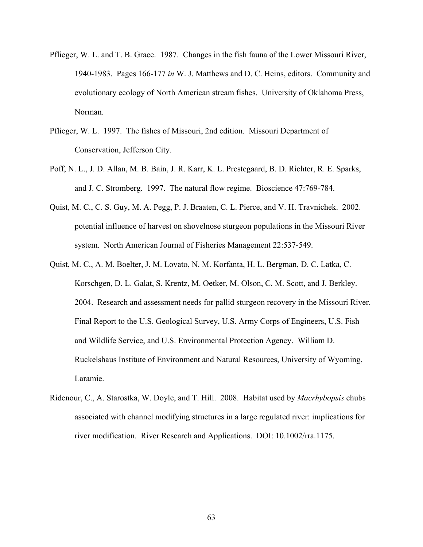- Pflieger, W. L. and T. B. Grace. 1987. Changes in the fish fauna of the Lower Missouri River, 1940-1983. Pages 166-177 *in* W. J. Matthews and D. C. Heins, editors. Community and evolutionary ecology of North American stream fishes. University of Oklahoma Press, Norman.
- Pflieger, W. L. 1997. The fishes of Missouri, 2nd edition. Missouri Department of Conservation, Jefferson City.
- Poff, N. L., J. D. Allan, M. B. Bain, J. R. Karr, K. L. Prestegaard, B. D. Richter, R. E. Sparks, and J. C. Stromberg. 1997. The natural flow regime. Bioscience 47:769-784.
- Quist, M. C., C. S. Guy, M. A. Pegg, P. J. Braaten, C. L. Pierce, and V. H. Travnichek. 2002. potential influence of harvest on shovelnose sturgeon populations in the Missouri River system. North American Journal of Fisheries Management 22:537-549.
- Quist, M. C., A. M. Boelter, J. M. Lovato, N. M. Korfanta, H. L. Bergman, D. C. Latka, C. Korschgen, D. L. Galat, S. Krentz, M. Oetker, M. Olson, C. M. Scott, and J. Berkley. 2004. Research and assessment needs for pallid sturgeon recovery in the Missouri River. Final Report to the U.S. Geological Survey, U.S. Army Corps of Engineers, U.S. Fish and Wildlife Service, and U.S. Environmental Protection Agency. William D. Ruckelshaus Institute of Environment and Natural Resources, University of Wyoming, Laramie.
- Ridenour, C., A. Starostka, W. Doyle, and T. Hill. 2008. Habitat used by *Macrhybopsis* chubs associated with channel modifying structures in a large regulated river: implications for river modification. River Research and Applications. DOI: 10.1002/rra.1175.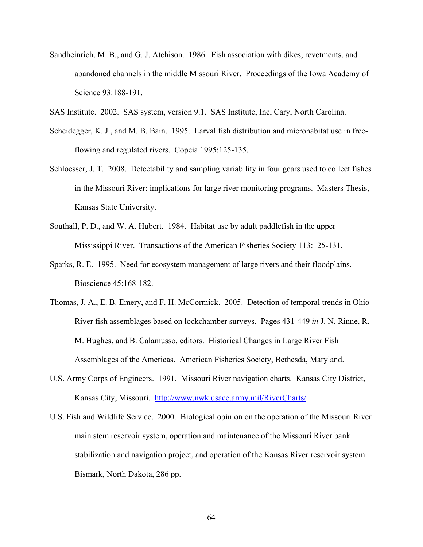- Sandheinrich, M. B., and G. J. Atchison. 1986. Fish association with dikes, revetments, and abandoned channels in the middle Missouri River. Proceedings of the Iowa Academy of Science 93:188-191.
- SAS Institute. 2002. SAS system, version 9.1. SAS Institute, Inc, Cary, North Carolina.
- Scheidegger, K. J., and M. B. Bain. 1995. Larval fish distribution and microhabitat use in freeflowing and regulated rivers. Copeia 1995:125-135.
- Schloesser, J. T. 2008. Detectability and sampling variability in four gears used to collect fishes in the Missouri River: implications for large river monitoring programs. Masters Thesis, Kansas State University.
- Southall, P. D., and W. A. Hubert. 1984. Habitat use by adult paddlefish in the upper Mississippi River. Transactions of the American Fisheries Society 113:125-131.
- Sparks, R. E. 1995. Need for ecosystem management of large rivers and their floodplains. Bioscience 45:168-182.
- Thomas, J. A., E. B. Emery, and F. H. McCormick. 2005. Detection of temporal trends in Ohio River fish assemblages based on lockchamber surveys. Pages 431-449 *in* J. N. Rinne, R. M. Hughes, and B. Calamusso, editors. Historical Changes in Large River Fish Assemblages of the Americas. American Fisheries Society, Bethesda, Maryland.
- U.S. Army Corps of Engineers. 1991. Missouri River navigation charts. Kansas City District, Kansas City, Missouri. http://www.nwk.usace.army.mil/RiverCharts/.
- U.S. Fish and Wildlife Service. 2000. Biological opinion on the operation of the Missouri River main stem reservoir system, operation and maintenance of the Missouri River bank stabilization and navigation project, and operation of the Kansas River reservoir system. Bismark, North Dakota, 286 pp.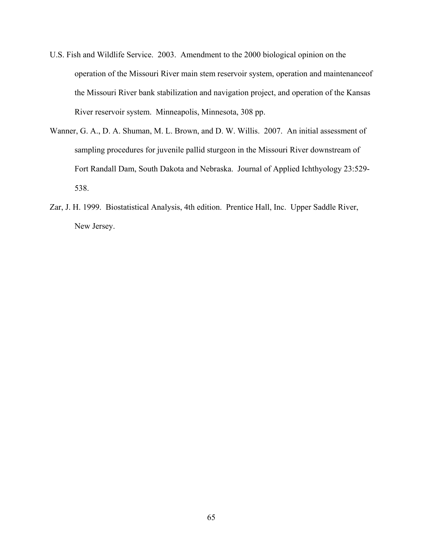- U.S. Fish and Wildlife Service. 2003. Amendment to the 2000 biological opinion on the operation of the Missouri River main stem reservoir system, operation and maintenanceof the Missouri River bank stabilization and navigation project, and operation of the Kansas River reservoir system. Minneapolis, Minnesota, 308 pp.
- Wanner, G. A., D. A. Shuman, M. L. Brown, and D. W. Willis. 2007. An initial assessment of sampling procedures for juvenile pallid sturgeon in the Missouri River downstream of Fort Randall Dam, South Dakota and Nebraska. Journal of Applied Ichthyology 23:529- 538.
- Zar, J. H. 1999. Biostatistical Analysis, 4th edition. Prentice Hall, Inc. Upper Saddle River, New Jersey.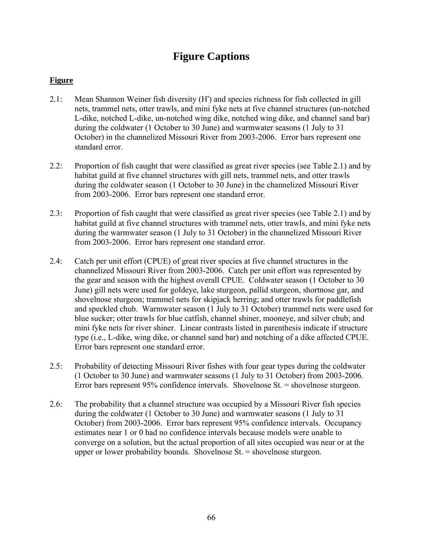## **Figure Captions**

## **Figure**

- 2.1: Mean Shannon Weiner fish diversity (H') and species richness for fish collected in gill nets, trammel nets, otter trawls, and mini fyke nets at five channel structures (un-notched L-dike, notched L-dike, un-notched wing dike, notched wing dike, and channel sand bar) during the coldwater (1 October to 30 June) and warmwater seasons (1 July to 31 October) in the channelized Missouri River from 2003-2006. Error bars represent one standard error.
- 2.2: Proportion of fish caught that were classified as great river species (see Table 2.1) and by habitat guild at five channel structures with gill nets, trammel nets, and otter trawls during the coldwater season (1 October to 30 June) in the channelized Missouri River from 2003-2006. Error bars represent one standard error.
- 2.3: Proportion of fish caught that were classified as great river species (see Table 2.1) and by habitat guild at five channel structures with trammel nets, otter trawls, and mini fyke nets during the warmwater season (1 July to 31 October) in the channelized Missouri River from 2003-2006. Error bars represent one standard error.
- 2.4: Catch per unit effort (CPUE) of great river species at five channel structures in the channelized Missouri River from 2003-2006. Catch per unit effort was represented by the gear and season with the highest overall CPUE. Coldwater season (1 October to 30 June) gill nets were used for goldeye, lake sturgeon, pallid sturgeon, shortnose gar, and shovelnose sturgeon; trammel nets for skipjack herring; and otter trawls for paddlefish and speckled chub. Warmwater season (1 July to 31 October) trammel nets were used for blue sucker; otter trawls for blue catfish, channel shiner, mooneye, and silver chub; and mini fyke nets for river shiner. Linear contrasts listed in parenthesis indicate if structure type (i.e., L-dike, wing dike, or channel sand bar) and notching of a dike affected CPUE. Error bars represent one standard error.
- 2.5: Probability of detecting Missouri River fishes with four gear types during the coldwater (1 October to 30 June) and warmwater seasons (1 July to 31 October) from 2003-2006. Error bars represent 95% confidence intervals. Shovelnose St. = shovelnose sturgeon.
- 2.6: The probability that a channel structure was occupied by a Missouri River fish species during the coldwater (1 October to 30 June) and warmwater seasons (1 July to 31 October) from 2003-2006. Error bars represent 95% confidence intervals. Occupancy estimates near 1 or 0 had no confidence intervals because models were unable to converge on a solution, but the actual proportion of all sites occupied was near or at the upper or lower probability bounds. Shovelnose St. = shovelnose sturgeon.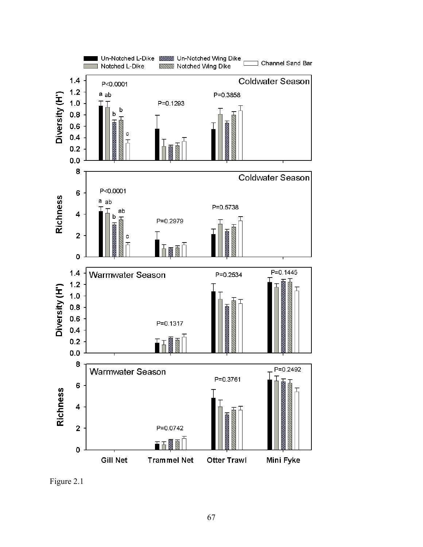

Figure 2.1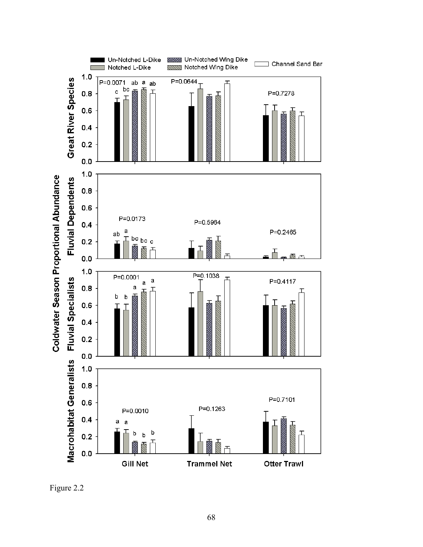

Figure 2.2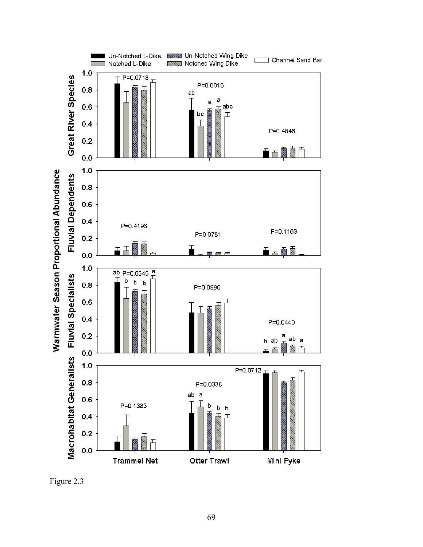

Figure 2.3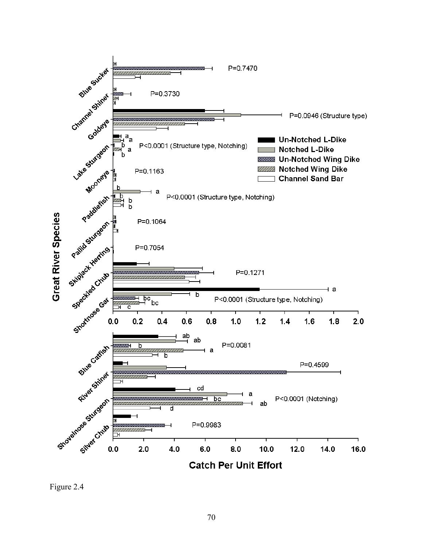

Figure 2.4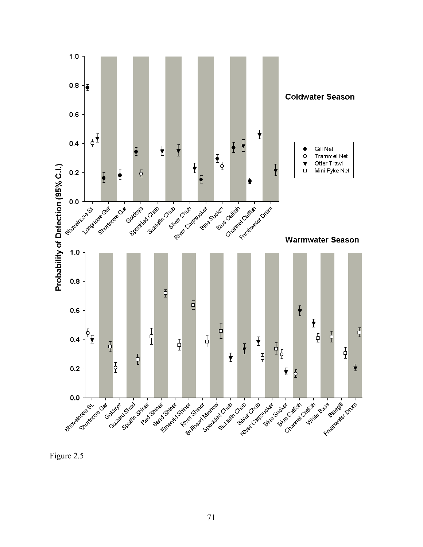

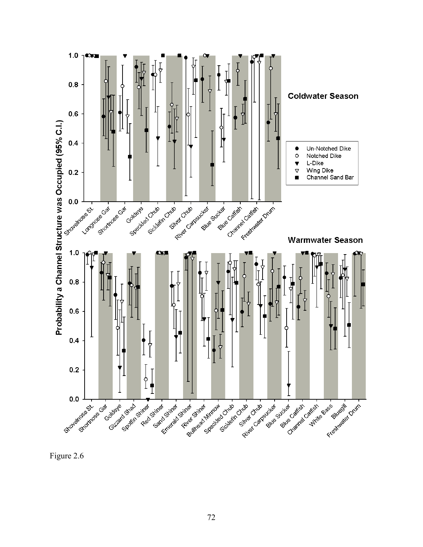

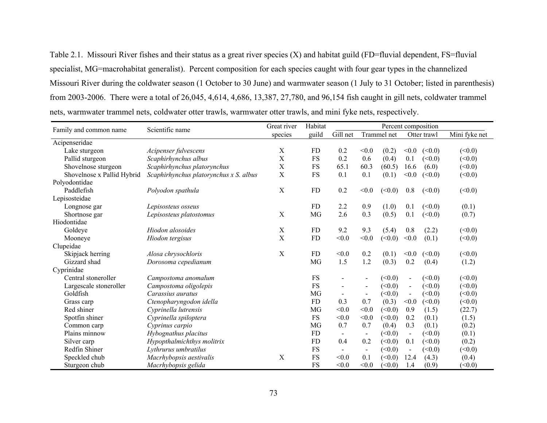Table 2.1. Missouri River fishes and their status as a great river species (X) and habitat guild (FD=fluvial dependent, FS=fluvial specialist, MG=macrohabitat generalist). Percent composition for each species caught with four gear types in the channelized Missouri River during the coldwater season (1 October to 30 June) and warmwater season (1 July to 31 October; listed in parenthesis) from 2003-2006. There were a total of 26,045, 4,614, 4,686, 13,387, 27,780, and 96,154 fish caught in gill nets, coldwater trammel nets, warmwater trammel nets, coldwater otter trawls, warmwater otter trawls, and mini fyke nets, respectively.

| Family and common name     | Scientific name                        | Great river | Habitat   | Percent composition |                          |        |                          |        |               |
|----------------------------|----------------------------------------|-------------|-----------|---------------------|--------------------------|--------|--------------------------|--------|---------------|
|                            |                                        | species     | guild     | Gill net            | Trammel net              |        | Otter trawl              |        | Mini fyke net |
| Acipenseridae              |                                        |             |           |                     |                          |        |                          |        |               |
| Lake sturgeon              | Acipenser fulvescens                   | X           | <b>FD</b> | 0.2                 | < 0.0                    | (0.2)  | < 0.0                    | (<0.0) | (<0.0)        |
| Pallid sturgeon            | Scaphirhynchus albus                   | X           | <b>FS</b> | 0.2                 | 0.6                      | (0.4)  | 0.1                      | (<0.0) | (<0.0)        |
| Shovelnose sturgeon        | Scaphirhynchus platorynchus            | X           | FS        | 65.1                | 60.3                     | (60.5) | 16.6                     | (6.0)  | (<0.0)        |
| Shovelnose x Pallid Hybrid | Scaphirhynchus platorynchus x S. albus | X           | <b>FS</b> | 0.1                 | 0.1                      | (0.1)  | < 0.0                    | (<0.0) | (<0.0)        |
| Polyodontidae              |                                        |             |           |                     |                          |        |                          |        |               |
| Paddlefish                 | Polyodon spathula                      | X           | <b>FD</b> | 0.2                 | < 0.0                    | (<0.0) | 0.8                      | (<0.0) | (<0.0)        |
| Lepisosteidae              |                                        |             |           |                     |                          |        |                          |        |               |
| Longnose gar               | Lepisosteus osseus                     |             | FD        | 2.2                 | 0.9                      | (1.0)  | 0.1                      | (<0.0) | (0.1)         |
| Shortnose gar              | Lepisosteus platostomus                | X           | MG        | 2.6                 | 0.3                      | (0.5)  | 0.1                      | (<0.0) | (0.7)         |
| Hiodontidae                |                                        |             |           |                     |                          |        |                          |        |               |
| Goldeye                    | Hiodon alosoides                       | X           | <b>FD</b> | 9.2                 | 9.3                      | (5.4)  | 0.8                      | (2.2)  | (<0.0)        |
| Mooneye                    | Hiodon tergisus                        | X           | <b>FD</b> | < 0.0               | < 0.0                    | (<0.0) | < 0.0                    | (0.1)  | (<0.0)        |
| Clupeidae                  |                                        |             |           |                     |                          |        |                          |        |               |
| Skipjack herring           | Alosa chrysochloris                    | X           | <b>FD</b> | < 0.0               | 0.2                      | (0.1)  | < 0.0                    | (<0.0) | (<0.0)        |
| Gizzard shad               | Dorosoma cepedianum                    |             | MG        | 1.5                 | 1.2                      | (0.3)  | 0.2                      | (0.4)  | (1.2)         |
| Cyprinidae                 |                                        |             |           |                     |                          |        |                          |        |               |
| Central stoneroller        | Campostoma anomalum                    |             | <b>FS</b> |                     | $\overline{\phantom{0}}$ | (0.0)  | $\blacksquare$           | (0.0)  | (<0.0)        |
| Largescale stoneroller     | Campostoma oligolepis                  |             | <b>FS</b> | $\overline{a}$      | $\blacksquare$           | (<0.0) | $\blacksquare$           | (<0.0) | (<0.0)        |
| Goldfish                   | Carassius auratus                      |             | MG        |                     | $\blacksquare$           | (<0.0) | $\blacksquare$           | (<0.0) | (<0.0)        |
| Grass carp                 | Ctenopharyngodon idella                |             | FD        | 0.3                 | 0.7                      | (0.3)  | < 0.0                    | (<0.0) | (<0.0)        |
| Red shiner                 | Cyprinella lutrensis                   |             | MG        | < 0.0               | < 0.0                    | (<0.0) | 0.9                      | (1.5)  | (22.7)        |
| Spotfin shiner             | Cyprinella spiloptera                  |             | <b>FS</b> | < 0.0               | < 0.0                    | (<0.0) | 0.2                      | (0.1)  | (1.5)         |
| Common carp                | Cyprinus carpio                        |             | MG        | 0.7                 | 0.7                      | (0.4)  | 0.3                      | (0.1)  | (0.2)         |
| Plains minnow              | Hybognathus placitus                   |             | <b>FD</b> | $\sim$              | $\blacksquare$           | (<0.0) | $\overline{\phantom{a}}$ | (<0.0) | (0.1)         |
| Silver carp                | Hypopthalmichthys molitrix             |             | <b>FD</b> | 0.4                 | 0.2                      | (<0.0) | 0.1                      | (<0.0) | (0.2)         |
| Redfin Shiner              | Lythrurus umbratilus                   |             | FS        | $\blacksquare$      | $\blacksquare$           | (<0.0) | $\blacksquare$           | (<0.0) | (<0.0)        |
| Speckled chub              | Macrhybopsis aestivalis                | X           | <b>FS</b> | < 0.0               | 0.1                      | (<0.0) | 12.4                     | (4.3)  | (0.4)         |
| Sturgeon chub              | Macrhybopsis gelida                    |             | FS        | < 0.0               | < 0.0                    | (<0.0) | 1.4                      | (0.9)  | (<0.0)        |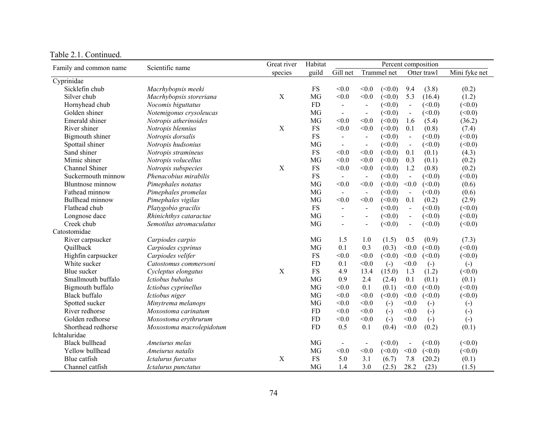| Family and common name  | Scientific name          | Great river | Habitat    | Percent composition      |                          |                   |                          |                   |                        |
|-------------------------|--------------------------|-------------|------------|--------------------------|--------------------------|-------------------|--------------------------|-------------------|------------------------|
|                         |                          | species     | guild      | Gill net                 |                          | Trammel net       |                          | Otter trawl       | Mini fyke net          |
| Cyprinidae              |                          |             |            |                          |                          |                   |                          |                   |                        |
| Sicklefin chub          | Macrhybopsis meeki       |             | <b>FS</b>  | < 0.0                    | < 0.0                    | (<0.0)            | 9.4                      | (3.8)             | (0.2)                  |
| Silver chub             | Macrhybopsis storeriana  | X           | MG         | < 0.0                    | < 0.0                    | (<0.0)            | 5.3                      | (16.4)            | (1.2)                  |
| Hornyhead chub          | Nocomis biguttatus       |             | <b>FD</b>  | $\blacksquare$           | $\blacksquare$           | (<0.0)            | $\blacksquare$           | (<0.0)            | (<0.0)                 |
| Golden shiner           | Notemigonus crysoleucas  |             | MG         | $\blacksquare$           | $\blacksquare$           | (<0.0)            | $\blacksquare$           | (<0.0)            | (<0.0)                 |
| Emerald shiner          | Notropis atherinoides    |             | MG         | < 0.0                    | < 0.0                    | (<0.0)            | 1.6                      | (5.4)             | (36.2)                 |
| River shiner            | Notropis blennius        | X           | <b>FS</b>  | < 0.0                    | < 0.0                    | (<0.0)            | 0.1                      | (0.8)             | (7.4)                  |
| Bigmouth shiner         | Notropis dorsalis        |             | ${\rm FS}$ | $\overline{\phantom{a}}$ | $\overline{\phantom{a}}$ | (<0.0)            | $\blacksquare$           | (<0.0)            | (<0.0)                 |
| Spottail shiner         | Notropis hudsonius       |             | MG         | $\blacksquare$           | $\overline{\phantom{a}}$ | (<0.0)            | $\blacksquare$           | (<0.0)            | (<0.0)                 |
| Sand shiner             | Notropis stramineus      |             | <b>FS</b>  | < 0.0                    | < 0.0                    | (<0.0)            | 0.1                      | (0.1)             | (4.3)                  |
| Mimic shiner            | Notropis volucellus      |             | <b>MG</b>  | < 0.0                    | < 0.0                    | (<0.0)            | 0.3                      | (0.1)             | (0.2)                  |
| <b>Channel Shiner</b>   | Notropis subspecies      | X           | <b>FS</b>  | < 0.0                    | < 0.0                    | (<0.0)            | 1.2                      | (0.8)             | (0.2)                  |
| Suckermouth minnow      | Phenacobius mirabilis    |             | ${\rm FS}$ | $\blacksquare$           | $\blacksquare$           | (<0.0)            | $\sim$                   | (<0.0)            | (<0.0)                 |
| <b>Bluntnose</b> minnow | Pimephales notatus       |             | <b>MG</b>  | < 0.0                    | < 0.0                    | (<0.0)            | < 0.0                    | (<0.0)            | (0.6)                  |
| Fathead minnow          | Pimephales promelas      |             | MG         | $\blacksquare$           | $\blacksquare$           | (<0.0)            | $\overline{\phantom{a}}$ | (<0.0)            | (0.6)                  |
| Bullhead minnow         | Pimephales vigilas       |             | MG         | < 0.0                    | < 0.0                    | (<0.0)            | 0.1                      | (0.2)             | (2.9)                  |
| Flathead chub           | Platygobio gracilis      |             | <b>FS</b>  | $\blacksquare$           | $\blacksquare$           | (<0.0)            | $\sim$                   | (<0.0)            | (<0.0)                 |
| Longnose dace           | Rhinichthys cataractae   |             | MG         | $\overline{a}$           | $\blacksquare$           | (<0.0)            | $\blacksquare$           | (<0.0)            | (<0.0)                 |
| Creek chub              | Semotilus atromaculatus  |             | MG         | $\overline{a}$           | $\overline{\phantom{a}}$ | (<0.0)            | $\blacksquare$           | (<0.0)            | (<0.0)                 |
| Catostomidae            |                          |             |            |                          |                          |                   |                          |                   |                        |
| River carpsucker        | Carpiodes carpio         |             | MG         | 1.5                      | 1.0                      | (1.5)             | 0.5                      | (0.9)             | (7.3)                  |
| Quillback               | Carpiodes cyprinus       |             | MG         | 0.1                      | 0.3                      | (0.3)             | < 0.0                    | (<0.0)            | (<0.0)                 |
| Highfin carpsucker      | Carpiodes velifer        |             | <b>FS</b>  | < 0.0                    | < 0.0                    | (<0.0)            | < 0.0                    | (<0.0)            | (<0.0)                 |
| White sucker            | Catostomus commersoni    |             | <b>FD</b>  | 0.1                      | < 0.0                    | $\left( -\right)$ | < 0.0                    | $(-)$             | $(-)$                  |
| Blue sucker             | Cycleptus elongatus      | X           | ${\rm FS}$ | 4.9                      | 13.4                     | (15.0)            | 1.3                      | (1.2)             | (<0.0)                 |
| Smallmouth buffalo      | Ictiobus bubalus         |             | MG         | 0.9                      | 2.4                      | (2.4)             | 0.1                      | (0.1)             | (0.1)                  |
| Bigmouth buffalo        | Ictiobus cyprinellus     |             | MG         | < 0.0                    | 0.1                      | (0.1)             | < 0.0                    | (<0.0)            | (<0.0)                 |
| <b>Black buffalo</b>    | Ictiobus niger           |             | MG         | < 0.0                    | < 0.0                    | (<0.0)            | < 0.0                    | (<0.0)            | (<0.0)                 |
| Spotted sucker          | Minytrema melanops       |             | MG         | < 0.0                    | < 0.0                    | $\left( -\right)$ | < 0.0                    | $(\cdot)$         | $\left( \cdot \right)$ |
| River redhorse          | Moxostoma carinatum      |             | <b>FD</b>  | < 0.0                    | < 0.0                    | $\left( -\right)$ | < 0.0                    | $\left( -\right)$ | $\left( \cdot \right)$ |
| Golden redhorse         | Moxostoma erythrurum     |             | <b>FD</b>  | < 0.0                    | < 0.0                    | $\left( -\right)$ | < 0.0                    | $\left( -\right)$ | $\left( -\right)$      |
| Shorthead redhorse      | Moxostoma macrolepidotum |             | <b>FD</b>  | 0.5                      | 0.1                      | (0.4)             | < 0.0                    | (0.2)             | (0.1)                  |
| Ichtaluridae            |                          |             |            |                          |                          |                   |                          |                   |                        |
| <b>Black bullhead</b>   | Ameiurus melas           |             | <b>MG</b>  | $\blacksquare$           | $\blacksquare$           | (<0.0)            | $\blacksquare$           | (<0.0)            | (<0.0)                 |
| Yellow bullhead         | Ameiurus natalis         |             | MG         | < 0.0                    | < 0.0                    | (<0.0)            | < 0.0                    | (<0.0)            | (<0.0)                 |
| Blue catfish            | Ictalurus furcatus       | X           | <b>FS</b>  | 5.0                      | 3.1                      | (6.7)             | 7.8                      | (20.2)            | (0.1)                  |
| Channel catfish         | Ictalurus punctatus      |             | MG         | 1.4                      | 3.0                      | (2.5)             | 28.2                     | (23)              | (1.5)                  |

## Table 2.1. Continued.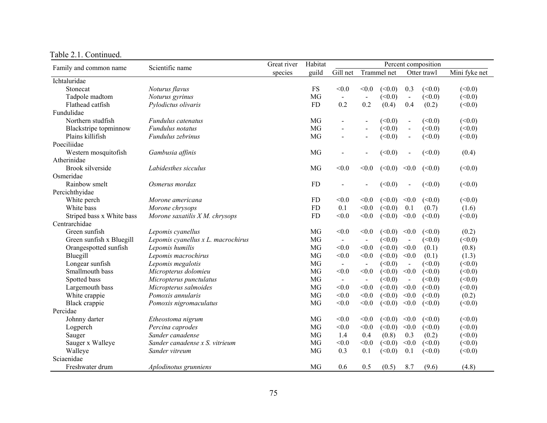| Family and common name    | Scientific name                    | Great river | Habitat   | Percent composition |                          |        |                          |        |               |
|---------------------------|------------------------------------|-------------|-----------|---------------------|--------------------------|--------|--------------------------|--------|---------------|
|                           |                                    | species     | guild     | Gill net            | Trammel net              |        | Otter trawl              |        | Mini fyke net |
| Ichtaluridae              |                                    |             |           |                     |                          |        |                          |        |               |
| Stonecat                  | Noturus flavus                     |             | <b>FS</b> | < 0.0               | < 0.0                    | (<0.0) | 0.3                      | (<0.0) | (<0.0)        |
| Tadpole madtom            | Noturus gyrinus                    |             | MG        | $\blacksquare$      | $\overline{\phantom{a}}$ | (<0.0) | $\sim$                   | (<0.0) | (<0.0)        |
| Flathead catfish          | Pylodictus olivaris                |             | <b>FD</b> | 0.2                 | 0.2                      | (0.4)  | 0.4                      | (0.2)  | (<0.0)        |
| Fundulidae                |                                    |             |           |                     |                          |        |                          |        |               |
| Northern studfish         | Fundulus catenatus                 |             | MG        |                     |                          | (<0.0) | $\overline{\phantom{a}}$ | (<0.0) | (<0.0)        |
| Blackstripe topminnow     | Fundulus notatus                   |             | MG        |                     | $\overline{a}$           | (<0.0) | $\blacksquare$           | (<0.0) | (<0.0)        |
| Plains killifish          | Fundulus zebrinus                  |             | MG        | $\overline{a}$      | $\overline{a}$           | (<0.0) | $\blacksquare$           | (<0.0) | (<0.0)        |
| Poeciliidae               |                                    |             |           |                     |                          |        |                          |        |               |
| Western mosquitofish      | Gambusia affinis                   |             | MG        |                     |                          | (<0.0) | $\overline{a}$           | (<0.0) | (0.4)         |
| Atherinidae               |                                    |             |           |                     |                          |        |                          |        |               |
| <b>Brook silverside</b>   | Labidesthes sicculus               |             | MG        | < 0.0               | < 0.0                    | (<0.0) | < 0.0                    | (<0.0) | (<0.0)        |
| Osmeridae                 |                                    |             |           |                     |                          |        |                          |        |               |
| Rainbow smelt             | Osmerus mordax                     |             | FD        |                     |                          | (<0.0) | $\overline{\phantom{a}}$ | (<0.0) | (<0.0)        |
| Percichthyidae            |                                    |             |           |                     |                          |        |                          |        |               |
| White perch               | Morone americana                   |             | <b>FD</b> | < 0.0               | < 0.0                    | (<0.0) | < 0.0                    | (<0.0) | (<0.0)        |
| White bass                | Morone chrysops                    |             | <b>FD</b> | 0.1                 | < 0.0                    | (<0.0) | 0.1                      | (0.7)  | (1.6)         |
| Striped bass x White bass | Morone saxatilis $X$ M. chrysops   |             | FD        | < 0.0               | < 0.0                    | (<0.0) | < 0.0                    | (<0.0) | (<0.0)        |
| Centrarchidae             |                                    |             |           |                     |                          |        |                          |        |               |
| Green sunfish             | Lepomis cyanellus                  |             | MG        | < 0.0               | < 0.0                    | (<0.0) | < 0.0                    | (<0.0) | (0.2)         |
| Green sunfish x Bluegill  | Lepomis cyanellus x L. macrochirus |             | MG        | $\blacksquare$      | $\blacksquare$           | (<0.0) | $\overline{\phantom{a}}$ | (<0.0) | (<0.0)        |
| Orangespotted sunfish     | Lepomis humilis                    |             | MG        | < 0.0               | < 0.0                    | (<0.0) | < 0.0                    | (0.1)  | (0.8)         |
| Bluegill                  | Lepomis macrochirus                |             | MG        | < 0.0               | < 0.0                    | (<0.0) | < 0.0                    | (0.1)  | (1.3)         |
| Longear sunfish           | Lepomis megalotis                  |             | MG        | $\blacksquare$      | $\blacksquare$           | (<0.0) | $\blacksquare$           | (<0.0) | (<0.0)        |
| Smallmouth bass           | Micropterus dolomieu               |             | MG        | < 0.0               | < 0.0                    | (<0.0) | < 0.0                    | (<0.0) | (<0.0)        |
| Spotted bass              | Micropterus punctulatus            |             | MG        | $\blacksquare$      | $\blacksquare$           | (<0.0) | $\mathbf{v}$             | (<0.0) | (<0.0)        |
| Largemouth bass           | Micropterus salmoides              |             | MG        | < 0.0               | < 0.0                    | (<0.0) | < 0.0                    | (<0.0) | (<0.0)        |
| White crappie             | Pomoxis annularis                  |             | MG        | < 0.0               | < 0.0                    | (<0.0) | < 0.0                    | (<0.0) | (0.2)         |
| Black crappie             | Pomoxis nigromaculatus             |             | MG        | < 0.0               | < 0.0                    | (<0.0) | < 0.0                    | (<0.0) | (<0.0)        |
| Percidae                  |                                    |             |           |                     |                          |        |                          |        |               |
| Johnny darter             | Etheostoma nigrum                  |             | MG        | < 0.0               | < 0.0                    | (<0.0) | < 0.0                    | (<0.0) | (<0.0)        |
| Logperch                  | Percina caprodes                   |             | MG        | < 0.0               | < 0.0                    | (<0.0) | < 0.0                    | (<0.0) | (<0.0)        |
| Sauger                    | Sander canadense                   |             | MG        | 1.4                 | 0.4                      | (0.8)  | 0.3                      | (0.2)  | (<0.0)        |
| Sauger x Walleye          | Sander canadense x S. vitrieum     |             | MG        | < 0.0               | < 0.0                    | (<0.0) | $<0.0$                   | (<0.0) | (<0.0)        |
| Walleye                   | Sander vitreum                     |             | MG        | 0.3                 | 0.1                      | (<0.0) | 0.1                      | (<0.0) | (<0.0)        |
| Sciaenidae                |                                    |             |           |                     |                          |        |                          |        |               |
| Freshwater drum           | Aplodinotus grunniens              |             | MG        | 0.6                 | 0.5                      | (0.5)  | 8.7                      | (9.6)  | (4.8)         |